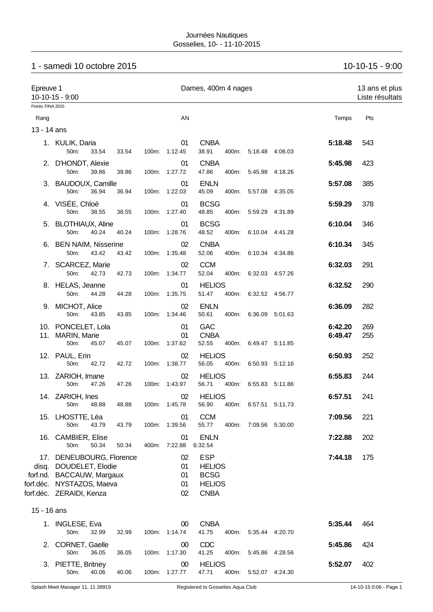# 1 - samedi 10 octobre 2015 10-10-15 - 9:00

|             | Epreuve 1<br>10-10-15 - 9:00<br>Points: FINA 2015                                                                                        |       |  | Dames, 400m 4 nages        |                                                                            |       |                       |  |                    |            |
|-------------|------------------------------------------------------------------------------------------------------------------------------------------|-------|--|----------------------------|----------------------------------------------------------------------------|-------|-----------------------|--|--------------------|------------|
|             |                                                                                                                                          |       |  |                            |                                                                            |       |                       |  |                    |            |
| Rang        |                                                                                                                                          |       |  | AN                         |                                                                            |       |                       |  | Temps              | Pts        |
| 13 - 14 ans |                                                                                                                                          |       |  |                            |                                                                            |       |                       |  |                    |            |
|             | 1. KULIK, Daria<br>50m:<br>33.54                                                                                                         | 33.54 |  | 01<br>100m: 1:12.45        | <b>CNBA</b><br>38.91                                                       |       | 400m: 5:18.48 4:06.03 |  | 5:18.48            | 543        |
|             | 2. D'HONDT, Alexie<br>50m:<br>39.86                                                                                                      | 39.86 |  | 01<br>100m: 1:27.72        | <b>CNBA</b><br>47.86                                                       | 400m: | 5:45.98 4:18.26       |  | 5:45.98            | 423        |
|             | 3. BAUDOUX, Camille<br>50m:<br>36.94                                                                                                     | 36.94 |  | 01<br>100m: 1:22.03        | <b>ENLN</b><br>45.09                                                       | 400m: | 5:57.08 4:35.05       |  | 5:57.08            | 385        |
|             | 4. VISÉE, Chloé<br>50m:<br>38.55                                                                                                         | 38.55 |  | 01<br>100m: 1:27.40        | <b>BCSG</b><br>48.85                                                       | 400m: | 5:59.29 4:31.89       |  | 5:59.29            | 378        |
|             | 5. BLOTHIAUX, Aline<br>50m:<br>40.24                                                                                                     | 40.24 |  | 01<br>100m: 1:28.76        | <b>BCSG</b><br>48.52                                                       |       | 400m: 6:10.04 4:41.28 |  | 6:10.04            | 346        |
|             | 6. BEN NAIM, Nisserine<br>50m:<br>43.42                                                                                                  | 43.42 |  | 02<br>100m: 1:35.48        | <b>CNBA</b><br>52.06                                                       |       | 400m: 6:10.34 4:34.86 |  | 6:10.34            | 345        |
|             | 7. SCARCEZ, Marie<br>42.73<br>50m:                                                                                                       | 42.73 |  | 02<br>100m: 1:34.77        | <b>CCM</b><br>52.04                                                        |       | 400m: 6:32.03 4:57.26 |  | 6:32.03            | 291        |
|             | 8. HELAS, Jeanne                                                                                                                         |       |  | 01                         | <b>HELIOS</b>                                                              |       |                       |  | 6:32.52            | 290        |
|             | 50m:<br>44.28<br>9. MICHOT, Alice                                                                                                        | 44.28 |  | 100m: 1:35.75<br>02        | 51.47<br><b>ENLN</b>                                                       | 400m: | 6:32.52 4:56.77       |  | 6:36.09            | 282        |
|             | 50m:<br>43.85                                                                                                                            | 43.85 |  | 100m: 1:34.46              | 50.61                                                                      |       | 400m: 6:36.09 5:01.63 |  |                    |            |
|             | 10. PONCELET, Lola<br>11. MARIN, Marie<br>50m:<br>45.07                                                                                  | 45.07 |  | 01<br>01<br>100m: 1:37.62  | <b>GAC</b><br><b>CNBA</b><br>52.55                                         |       | 400m: 6:49.47 5:11.85 |  | 6:42.20<br>6:49.47 | 269<br>255 |
|             | 12. PAUL, Erin                                                                                                                           |       |  | 02                         | <b>HELIOS</b>                                                              |       |                       |  | 6:50.93            | 252        |
|             | 50m:<br>42.72                                                                                                                            | 42.72 |  | 100m: 1:38.77              | 56.05                                                                      | 400m: | 6:50.93 5:12.16       |  |                    |            |
|             | 13. ZARIOH, Imane                                                                                                                        |       |  | 02                         | <b>HELIOS</b>                                                              |       |                       |  | 6:55.83            | 244        |
|             | 50m:<br>47.26                                                                                                                            | 47.26 |  | 100m: 1:43.97              | 56.71                                                                      |       | 400m: 6:55.83 5:11.86 |  |                    |            |
|             | 14. ZARIOH, Ines<br>50m: 48.88                                                                                                           | 48.88 |  | 02<br>100m: 1:45.78        | <b>HELIOS</b><br>56.90                                                     |       | 400m: 6:57.51 5:11.73 |  | 6:57.51            | 241        |
|             | 15. LHOSTTE, Léa<br>43.79<br>50m:                                                                                                        | 43.79 |  | 01<br>100m: 1:39.56        | <b>CCM</b><br>55.77                                                        |       | 400m: 7:09.56 5:30.00 |  | 7:09.56            | 221        |
|             | 16. CAMBIER, Elise<br>50m:<br>50.34                                                                                                      | 50.34 |  | 01<br>400m: 7:22.88        | <b>ENLN</b><br>6:32.54                                                     |       |                       |  | 7:22.88            | 202        |
|             | 17. DENEUBOURG, Florence<br>disq. DOUDELET, Elodie<br>forf.nd. BACCAUW, Margaux<br>forf.déc. NYSTAZOS, Maeva<br>forf.déc. ZERAIDI, Kenza |       |  | 02<br>01<br>01<br>01<br>02 | <b>ESP</b><br><b>HELIOS</b><br><b>BCSG</b><br><b>HELIOS</b><br><b>CNBA</b> |       |                       |  | 7:44.18            | 175        |
| 15 - 16 ans |                                                                                                                                          |       |  |                            |                                                                            |       |                       |  |                    |            |
|             | 1. INGLESE, Eva<br>50m:<br>32.99                                                                                                         | 32.99 |  | 00<br>100m: 1:14.74        | <b>CNBA</b><br>41.75                                                       |       | 400m: 5:35.44 4:20.70 |  | 5:35.44            | 464        |
|             | 2. CORNET, Gaelle<br>50m:<br>36.05                                                                                                       | 36.05 |  | 00<br>100m: 1:17.30        | <b>CDC</b><br>41.25                                                        |       | 400m: 5:45.86 4:28.56 |  | 5:45.86            | 424        |
|             | 3. PIETTE, Britney<br>40.06<br>50m:                                                                                                      | 40.06 |  | 00<br>100m: 1:27.77        | <b>HELIOS</b><br>47.71                                                     |       | 400m: 5:52.07 4:24.30 |  | 5:52.07            | 402        |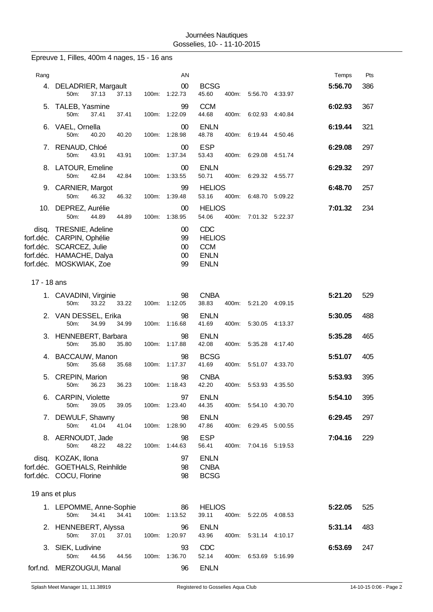|             | Epreuve 1, Filles, 400m 4 nages, 15 - 16 ans                                                                                     |       |                                    |                                                                  |                       |         |         |     |
|-------------|----------------------------------------------------------------------------------------------------------------------------------|-------|------------------------------------|------------------------------------------------------------------|-----------------------|---------|---------|-----|
| Rang        |                                                                                                                                  |       | AN                                 |                                                                  |                       |         | Temps   | Pts |
| 4.          | DELADRIER, Margault<br>50m:<br>37.13<br>37.13                                                                                    |       | 00<br>100m: 1:22.73                | <b>BCSG</b><br>45.60                                             | 400m: 5:56.70 4:33.97 |         | 5:56.70 | 386 |
|             | 5. TALEB, Yasmine<br>50m:<br>37.41<br>37.41                                                                                      | 100m: | 99<br>1:22.09                      | <b>CCM</b><br>44.68<br>400m:                                     | 6:02.93               | 4:40.84 | 6:02.93 | 367 |
| 6.          | VAEL, Ornella<br>50m:<br>40.20<br>40.20                                                                                          |       | 00<br>100m: 1:28.98                | <b>ENLN</b><br>48.78                                             | 400m: 6:19.44         | 4:50.46 | 6:19.44 | 321 |
|             | 7. RENAUD, Chloé<br>50m:<br>43.91<br>43.91                                                                                       |       | 00<br>100m: 1:37.34                | <b>ESP</b><br>53.43<br>400m:                                     | 6.29.08 4.51.74       |         | 6:29.08 | 297 |
|             | 8. LATOUR, Emeline<br>50m:<br>42.84<br>42.84                                                                                     | 100m: | 00<br>1:33.55                      | <b>ENLN</b><br>50.71<br>400m:                                    | 6:29.32               | 4:55.77 | 6:29.32 | 297 |
|             | 9. CARNIER, Margot<br>50m:<br>46.32<br>46.32                                                                                     | 100m: | 99<br>1:39.48                      | <b>HELIOS</b><br>53.16<br>400m:                                  | 6:48.70 5:09.22       |         | 6:48.70 | 257 |
|             | 10. DEPREZ, Aurélie<br>50m:<br>44.89<br>44.89                                                                                    |       | 00<br>100m: 1:38.95                | <b>HELIOS</b><br>54.06<br>400m:                                  | 7:01.32 5:22.37       |         | 7:01.32 | 234 |
| disq.       | TRESNIE, Adeline<br>forf.déc. CARPIN, Ophélie<br>forf.déc. SCARCEZ, Julie<br>forf.déc. HAMACHE, Dalya<br>forf.déc. MOSKWIAK, Zoe |       | 00<br>99<br>$00\,$<br>$00\,$<br>99 | CDC<br><b>HELIOS</b><br><b>CCM</b><br><b>ENLN</b><br><b>ENLN</b> |                       |         |         |     |
| 17 - 18 ans |                                                                                                                                  |       |                                    |                                                                  |                       |         |         |     |
|             | 1. CAVADINI, Virginie<br>50m:<br>33.22<br>33.22                                                                                  |       | 98<br>100m: 1:12.05                | <b>CNBA</b><br>38.83                                             | 400m: 5:21.20 4:09.15 |         | 5:21.20 | 529 |
|             | 2. VAN DESSEL, Erika<br>50m:<br>34.99<br>34.99                                                                                   | 100m: | 98<br>1:16.68                      | <b>ENLN</b><br>41.69<br>400m:                                    | 5:30.05               | 4:13.37 | 5:30.05 | 488 |
|             | 3. HENNEBERT, Barbara<br>35.80<br>50m:<br>35.80                                                                                  | 100m: | 98<br>1:17.88                      | <b>ENLN</b><br>42.08<br>400m:                                    | 5:35.28               | 4:17.40 | 5:35.28 | 465 |
|             | 4. BACCAUW, Manon<br>50m:<br>35.68<br>35.68                                                                                      |       | 98<br>100m: 1:17.37                | <b>BCSG</b><br>41.69                                             | 400m: 5:51.07 4:33.70 |         | 5:51.07 | 405 |
| 5.          | CREPIN, Marion<br>36.23<br>36.23<br>50m:                                                                                         |       | 98<br>100m: 1:18.43                | <b>CNBA</b><br>42.20                                             | 400m: 5:53.93 4:35.50 |         | 5:53.93 | 395 |
| 6.          | CARPIN, Violette<br>50m:<br>39.05<br>39.05                                                                                       |       | 97<br>100m: 1:23.40                | <b>ENLN</b><br>44.35                                             | 400m: 5:54.10 4:30.70 |         | 5:54.10 | 395 |
|             | 7. DEWULF, Shawny<br>50m:<br>41.04<br>41.04                                                                                      |       | 98<br>100m: 1:28.90                | <b>ENLN</b><br>47.86                                             | 400m: 6:29.45 5:00.55 |         | 6:29.45 | 297 |
|             | 8. AERNOUDT, Jade<br>50m:<br>48.22<br>48.22                                                                                      | 100m: | 98<br>1:44.63                      | <b>ESP</b><br>56.41<br>400m:                                     | 7:04.16 5:19.53       |         | 7:04.16 | 229 |
|             | disq. KOZAK, Ilona<br>forf.déc. GOETHALS, Reinhilde<br>forf.déc. COCU, Florine                                                   |       | 97<br>98<br>98                     | <b>ENLN</b><br><b>CNBA</b><br><b>BCSG</b>                        |                       |         |         |     |
|             | 19 ans et plus                                                                                                                   |       |                                    |                                                                  |                       |         |         |     |
|             | 1. LEPOMME, Anne-Sophie<br>50m:<br>34.41<br>34.41                                                                                |       | 86<br>100m: 1:13.52                | <b>HELIOS</b><br>39.11                                           | 400m: 5:22.05 4:08.53 |         | 5:22.05 | 525 |
|             | 2. HENNEBERT, Alyssa<br>50m:<br>37.01<br>37.01                                                                                   |       | 96<br>100m: 1:20.97                | <b>ENLN</b><br>43.96                                             | 400m: 5:31.14 4:10.17 |         | 5:31.14 | 483 |
|             | 3. SIEK, Ludivine<br>50m:<br>44.56<br>44.56                                                                                      |       | 93<br>100m: 1:36.70                | CDC<br>52.14                                                     | 400m: 6:53.69 5:16.99 |         | 6:53.69 | 247 |
|             | forf.nd. MERZOUGUI, Manal                                                                                                        |       | 96                                 | <b>ENLN</b>                                                      |                       |         |         |     |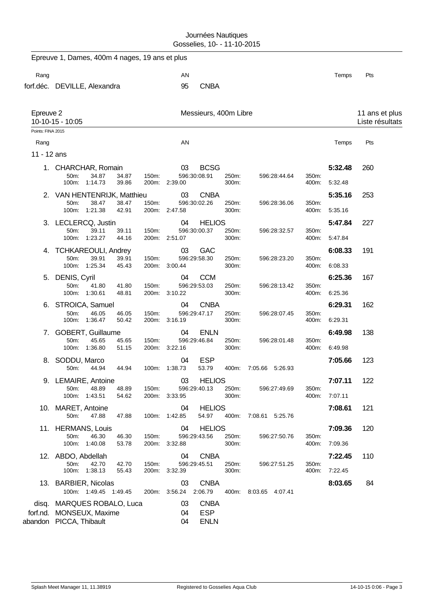|                   | Epreuve 1, Dames, 400m 4 nages, 19 ans et plus                     |                     |                                      |                       |                |                                   |     |
|-------------------|--------------------------------------------------------------------|---------------------|--------------------------------------|-----------------------|----------------|-----------------------------------|-----|
| Rang              |                                                                    | AN                  |                                      |                       |                | Temps                             | Pts |
|                   | forf.déc. DEVILLE, Alexandra                                       | 95                  | <b>CNBA</b>                          |                       |                |                                   |     |
| Epreuve 2         | 10-10-15 - 10:05                                                   |                     | Messieurs, 400m Libre                |                       |                | 11 ans et plus<br>Liste résultats |     |
| Points: FINA 2015 |                                                                    |                     |                                      |                       |                |                                   |     |
| Rang              |                                                                    | AN                  |                                      |                       |                | Temps                             | Pts |
| 11 - 12 ans       |                                                                    |                     |                                      |                       |                |                                   |     |
|                   | 1. CHARCHAR, Romain                                                | 03                  | <b>BCSG</b>                          |                       |                | 5:32.48                           | 260 |
|                   | 34.87<br>34.87<br>50m:<br>150m:<br>100m: 1:14.73<br>39.86          | 200m: 2:39.00       | 596:30:08.91<br>250m:<br>300m:       | 596:28:44.64          | 350m:<br>400m: | 5:32.48                           |     |
|                   | 2. VAN HENTENRIJK, Matthieu                                        | 03                  | <b>CNBA</b>                          |                       |                | 5:35.16                           | 253 |
|                   | 38.47<br>150m:<br>50m:<br>38.47<br>100m: 1:21.38<br>42.91          | 200m: 2:47.58       | 596:30:02.26<br>250m:<br>300m:       | 596:28:36.06          | 350m:<br>400m: | 5:35.16                           |     |
|                   | 3. LECLERCQ, Justin                                                | 04                  | <b>HELIOS</b>                        |                       |                | 5:47.84                           | 227 |
|                   | 50m:<br>39.11<br>150m:<br>39.11<br>1:23.27<br>44.16<br>100m:       | 200m: 2:51.07       | 596:30:00.37<br>250m:<br>300m:       | 596:28:32.57          | 350m:<br>400m: | 5:47.84                           |     |
| 4.                | <b>TCHKAREOULI, Andrey</b>                                         | 03                  | <b>GAC</b>                           |                       |                | 6:08.33                           | 191 |
|                   | 39.91<br>50m:<br>39.91<br>150m:<br>100m: 1:25.34<br>45.43          | 3:00.44<br>200m:    | 596:29:58.30<br>250m:<br>300m:       | 596:28:23.20          | 350m:<br>400m: | 6:08.33                           |     |
|                   | 5. DENIS, Cyril                                                    | 04                  | <b>CCM</b>                           |                       |                | 6:25.36                           | 167 |
|                   | 50m:<br>41.80<br>41.80<br>150m:<br>100m: 1:30.61<br>48.81          | 200m: 3:10.22       | 596:29:53.03<br>250m:<br>300m:       | 596:28:13.42          | 350m:<br>400m. | 6:25.36                           |     |
|                   | 6. STROICA, Samuel                                                 | 04                  | <b>CNBA</b>                          |                       |                | 6:29.31                           | 162 |
|                   | 50m:<br>46.05<br>46.05<br>150m:<br>100m: 1:36.47<br>50.42          | 3:16.19<br>200m:    | 596:29:47.17<br>250m:<br>300m:       | 596:28:07.45          | 350m:<br>400m: | 6:29.31                           |     |
|                   | 7. GOBERT, Guillaume                                               | 04                  | <b>ENLN</b>                          |                       |                | 6:49.98                           | 138 |
|                   | 50m:<br>45.65<br>45.65<br>150m:<br>100m: 1:36.80<br>51.15<br>200m: | 3:22.16             | 596:29:46.84<br>250m:<br>300m:       | 596:28:01.48          | 350m:<br>400m: | 6:49.98                           |     |
|                   | 8. SODDU, Marco                                                    | 04                  | <b>ESP</b>                           |                       |                | 7:05.66                           | 123 |
|                   | 50m:<br>44.94<br>44.94                                             | 100m: 1:38.73       | 53.79<br>400m:                       | 7:05.66<br>5:26.93    |                |                                   |     |
|                   | 9. LEMAIRE, Antoine                                                | 03                  | <b>HELIOS</b>                        |                       |                | 7:07.11                           | 122 |
|                   | 50m:<br>48.89<br>48.89<br>150m:<br>100m: 1:43.51<br>54.62          | 200m: 3:33.95       | 596:29:40.13<br>250m:<br>300m:       | 596:27:49.69          | 350m:<br>400m: | 7:07.11                           |     |
|                   | 10. MARET, Antoine<br>47.88<br>50m:<br>47.88                       | 04<br>100m: 1:42.85 | <b>HELIOS</b><br>54.97               | 400m: 7:08.61 5:25.76 |                | 7:08.61                           | 121 |
|                   | 11. HERMANS, Louis                                                 | 04                  | <b>HELIOS</b>                        |                       |                | 7:09.36                           | 120 |
|                   | 50m:<br>46.30<br>46.30<br>150m:                                    |                     | 250m:<br>596:29:43.56                | 596:27:50.76          | 350m:          |                                   |     |
|                   | 100m: 1:40.08<br>53.78                                             | 200m: 3:32.88       | 300m:                                |                       | 400m:          | 7:09.36                           |     |
|                   | 12. ABDO, Abdellah<br>50m:<br>42.70<br>42.70<br>150m:              | 04                  | <b>CNBA</b><br>596:29:45.51<br>250m: | 596:27:51.25          | 350m:          | 7:22.45                           | 110 |
|                   | 100m: 1:38.13<br>55.43                                             | 200m: 3:32.39       | 300m:                                |                       | 400m:          | 7:22.45                           |     |
|                   | 13. BARBIER, Nicolas<br>100m: 1:49.45 1:49.45                      | 03<br>200m: 3:56.24 | <b>CNBA</b><br>2:06.79               | 400m: 8:03.65 4:07.41 |                | 8:03.65                           | 84  |
|                   | disq. MARQUES ROBALO, Luca                                         | 03                  | <b>CNBA</b>                          |                       |                |                                   |     |
|                   | forf.nd. MONSEUX, Maxime                                           | 04                  | <b>ESP</b>                           |                       |                |                                   |     |
|                   | abandon PICCA, Thibault                                            | 04                  | <b>ENLN</b>                          |                       |                |                                   |     |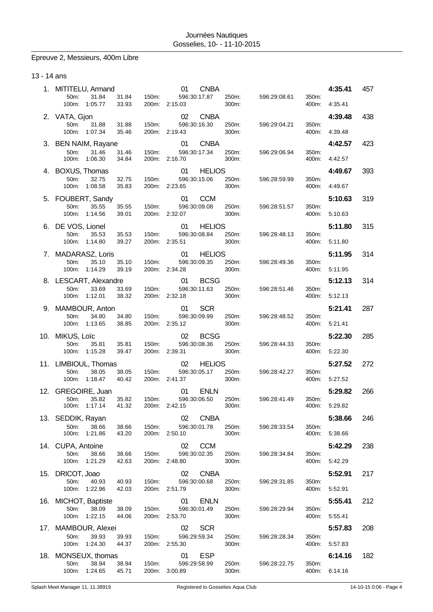# Epreuve 2, Messieurs, 400m Libre

### 13 - 14 ans

| 1.  | MITITELU, Armand                                    |                | <b>CNBA</b><br>01                   |                |              |                | 4:35.41 | 457 |
|-----|-----------------------------------------------------|----------------|-------------------------------------|----------------|--------------|----------------|---------|-----|
|     | 50m:<br>31.84<br>31.84<br>100m:<br>1:05.77<br>33.93 | 150m:<br>200m: | 596:30:17.87<br>2:15.03             | 250m:<br>300m: | 596:29:08.61 | 350m:<br>400m: | 4:35.41 |     |
|     | 2. VATA, Gjon<br>50m:<br>31.88<br>31.88             | 150m:          | 02<br><b>CNBA</b><br>596:30:16.30   | 250m:          | 596:29:04.21 | 350m:          | 4:39.48 | 438 |
|     | 100m:<br>1:07.34<br>35.46                           | 200m:          | 2:19.43                             | 300m:          |              | 400m:          | 4:39.48 |     |
|     | 3. BEN NAIM, Rayane                                 |                | <b>CNBA</b><br>01                   |                |              |                | 4:42.57 | 423 |
|     | 50m:<br>31.46<br>31.46<br>100m:<br>1:06.30<br>34.84 | 150m:<br>200m: | 596:30:17.34<br>2:16.70             | 250m:<br>300m: | 596:29:06.94 | 350m:<br>400m: | 4:42.57 |     |
|     | 4. BOXUS, Thomas<br>50m:<br>32.75<br>32.75          | 150m:          | 01<br><b>HELIOS</b><br>596:30:15.06 | 250m:          | 596:28:59.99 | 350m:          | 4:49.67 | 393 |
|     | 100m:<br>1:08.58<br>35.83                           | 200m:          | 2:23.65                             | 300m:          |              | 400m:          | 4:49.67 |     |
|     | 5. FOUBERT, Sandy                                   |                | 01<br><b>CCM</b><br>596:30:09.08    |                |              |                | 5:10.63 | 319 |
|     | 50m:<br>35.55<br>35.55<br>100m:<br>1:14.56<br>39.01 | 150m:<br>200m: | 2:32.07                             | 250m:<br>300m: | 596:28:51.57 | 350m:<br>400m: | 5:10.63 |     |
|     | 6. DE VOS, Lionel                                   |                | <b>HELIOS</b><br>01                 |                |              |                | 5:11.80 | 315 |
|     | 50m:<br>35.53<br>35.53<br>100m: 1:14.80<br>39.27    | 150m:          | 596:30:08.84<br>200m: 2:35.51       | 250m:<br>300m: | 596:28:48.13 | 350m:<br>400m: | 5:11.80 |     |
| 7.  | MADARASZ, Loris                                     |                | 01<br><b>HELIOS</b>                 |                |              |                | 5:11.95 | 314 |
|     | 35.10<br>50m:<br>35.10<br>100m:<br>1:14.29<br>39.19 | 150m:<br>200m: | 596:30:09.35<br>2:34.28             | 250m:<br>300m: | 596:28:49.36 | 350m:<br>400m: | 5:11.95 |     |
|     | 8. LESCART, Alexandre                               |                | <b>BCSG</b><br>01                   |                |              |                | 5:12.13 | 314 |
|     | 50m:<br>33.69<br>33.69<br>100m:<br>1:12.01<br>38.32 | 150m:<br>200m: | 596:30:11.63<br>2:32.18             | 250m:<br>300m: | 596:28:51.46 | 350m:<br>400m: | 5:12.13 |     |
|     | 9. MAMBOUR, Anton                                   |                | <b>SCR</b><br>01                    |                |              |                | 5:21.41 | 287 |
|     | 34.80<br>50m:<br>34.80<br>100m:<br>1:13.65<br>38.85 | 150m:<br>200m: | 596:30:09.99<br>2:35.12             | 250m:<br>300m: | 596:28:48.52 | 350m:<br>400m: | 5:21.41 |     |
|     | 10. MIKUS, Loïc                                     |                | <b>BCSG</b><br>02                   |                |              |                | 5:22.30 | 285 |
|     | 50m:<br>35.81<br>35.81<br>100m:<br>1:15.28<br>39.47 | 150m:          | 596:30:08.36<br>200m: 2:39.31       | 250m:<br>300m: | 596:28:44.33 | 350m:<br>400m: | 5:22.30 |     |
|     | 11. LIMBIOUL, Thomas                                |                | 02<br><b>HELIOS</b>                 |                |              |                | 5:27.52 | 272 |
|     | 50m:<br>38.05<br>38.05<br>100m:<br>1:18.47<br>40.42 | 150m:<br>200m: | 596:30:05.17<br>2:41.37             | 250m:<br>300m: | 596:28:42.27 | 350m:<br>400m: | 5:27.52 |     |
| 12. | GREGOIRE, Juan                                      |                | <b>ENLN</b><br>01                   |                |              |                | 5:29.82 | 266 |
|     | 35.82<br>35.82<br>50m:<br>100m:<br>1:17.14<br>41.32 | 150m:          | 596:30:06.50<br>200m: 2:42.15       | 250m:<br>300m: | 596:28:41.49 | 350m:<br>400m: | 5:29.82 |     |
|     | 13. SEDDIK, Rayan                                   |                | <b>CNBA</b><br>02                   |                |              |                | 5:38.66 | 246 |
|     | 50m:<br>38.66<br>38.66<br>1:21.86<br>100m:<br>43.20 | 150m:<br>200m: | 596:30:01.78<br>2:50.10             | 250m:<br>300m: | 596:28:33.54 | 350m:<br>400m: | 5:38.66 |     |
|     | 14. CUPA, Antoine                                   |                | 02<br><b>CCM</b>                    |                |              |                | 5:42.29 | 238 |
|     | 50m:<br>38.66<br>38.66<br>100m:<br>1:21.29<br>42.63 | 150m:<br>200m: | 596:30:02.35<br>2:48.80             | 250m:<br>300m: | 596:28:34.84 | 350m:<br>400m: | 5:42.29 |     |
| 15. | DRICOT, Joao                                        |                | 02<br><b>CNBA</b>                   |                |              |                | 5:52.91 | 217 |
|     | 50m:<br>40.93<br>40.93<br>100m:<br>1:22.96<br>42.03 | 150m:<br>200m: | 596:30:00.68<br>2:51.79             | 250m:<br>300m: | 596:28:31.85 | 350m:<br>400m: | 5:52.91 |     |
|     | 16. MICHOT, Baptiste                                |                | <b>ENLN</b><br>01                   |                |              |                | 5:55.41 | 212 |
|     | 38.09<br>50m:<br>38.09<br>100m: 1:22.15<br>44.06    | 150m:          | 596:30:01.49<br>200m: 2:53.70       | 250m:<br>300m: | 596:28:29.94 | 350m:<br>400m: | 5:55.41 |     |
|     | 17. MAMBOUR, Alexei                                 |                | 02<br><b>SCR</b>                    |                |              |                | 5:57.83 | 208 |
|     | 50m:<br>39.93<br>39.93<br>1:24.30<br>100m:<br>44.37 | 150m:<br>200m: | 596:29:59.34<br>2:55.30             | 250m:<br>300m: | 596:28:28.34 | 350m:<br>400m: | 5:57.83 |     |
| 18. | MONSEUX, thomas                                     |                | <b>ESP</b><br>01                    |                |              |                | 6:14.16 | 182 |
|     | 50m:<br>38.94<br>38.94<br>1:24.65<br>100m:<br>45.71 | 150m:<br>200m: | 596:29:58.99<br>3:00.89             | 250m:<br>300m: | 596:28:22.75 | 350m:<br>400m: | 6:14.16 |     |
|     |                                                     |                |                                     |                |              |                |         |     |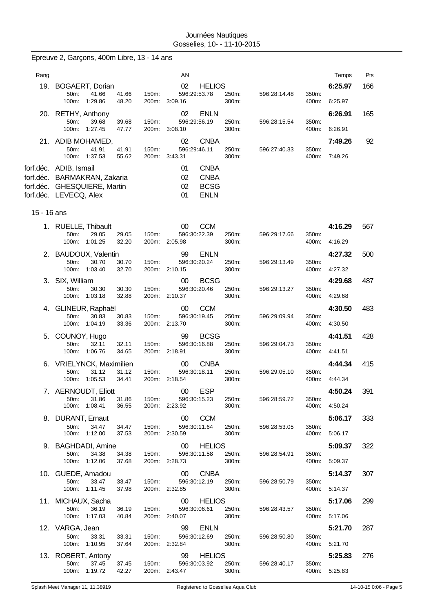|             | Epreuve 2, Garçons, 400m Libre, 13 - 14 ans                                                                      |                                  |                                                                                  |                |              |                |                          |     |
|-------------|------------------------------------------------------------------------------------------------------------------|----------------------------------|----------------------------------------------------------------------------------|----------------|--------------|----------------|--------------------------|-----|
| Rang        |                                                                                                                  |                                  | AN                                                                               |                |              |                | Temps                    | Pts |
|             | 19. BOGAERT, Dorian<br>41.66<br>50m:<br>100m:<br>1:29.86                                                         | 41.66<br>150m:<br>48.20<br>200m: | 02<br><b>HELIOS</b><br>596:29:53.78<br>3:09.16                                   | 250m:<br>300m: | 596:28:14.48 | 350m:<br>400m: | 6:25.97<br>6:25.97       | 166 |
|             | 20. RETHY, Anthony<br>50m:<br>39.68<br>100m: 1:27.45                                                             | 39.68<br>150m:<br>47.77<br>200m: | 02<br><b>ENLN</b><br>596:29:56.19<br>3:08.10                                     | 250m:<br>300m: | 596:28:15.54 | 350m:<br>400m: | 6:26.91<br>6.26.91       | 165 |
|             | 21. ADIB MOHAMED,<br>50m:<br>41.91<br>100m: 1:37.53                                                              | 41.91<br>150m:<br>55.62          | <b>CNBA</b><br>02<br>596:29:46.11<br>200m: 3:43.31                               | 250m:<br>300m: | 596:27:40.33 | 350m:<br>400m: | 7:49.26<br>7:49.26       | 92  |
|             | forf.déc. ADIB, Ismail<br>forf.déc. BARMAKRAN, Zakaria<br>forf.déc. GHESQUIERE, Martin<br>forf.déc. LEVECQ, Alex |                                  | <b>CNBA</b><br>01<br>02<br><b>CNBA</b><br>02<br><b>BCSG</b><br>01<br><b>ENLN</b> |                |              |                |                          |     |
| 15 - 16 ans |                                                                                                                  |                                  |                                                                                  |                |              |                |                          |     |
|             | 1. RUELLE, Thibault<br>29.05<br>50m:<br>100m: 1:01.25                                                            | 29.05<br>150m:<br>32.20<br>200m: | <b>CCM</b><br>00<br>596:30:22.39<br>2:05.98                                      | 250m:<br>300m: | 596:29:17.66 | 350m:<br>400m: | 4:16.29<br>4:16.29       | 567 |
|             | 2. BAUDOUX, Valentin<br>30.70<br>50m:<br>100m: 1:03.40                                                           | 30.70<br>150m:<br>32.70          | 99<br><b>ENLN</b><br>596:30:20.24<br>200m: 2:10.15                               | 250m:<br>300m: | 596:29:13.49 | 350m:<br>400m: | 4:27.32<br>4:27.32       | 500 |
|             | 3. SIX, William<br>50m:<br>30.30<br>100m: 1:03.18                                                                | 150m:<br>30.30<br>32.88<br>200m: | <b>BCSG</b><br>00<br>596:30:20.46<br>2:10.37                                     | 250m:<br>300m: | 596:29:13.27 | 350m:<br>400m: | 4:29.68<br>4:29.68       | 487 |
|             | 4. GLINEUR, Raphaël<br>50m:<br>30.83<br>100m: 1:04.19                                                            | 30.83<br>150m:<br>33.36<br>200m: | <b>CCM</b><br>00<br>596:30:19.45<br>2:13.70                                      | 250m:<br>300m: | 596:29:09.94 | 350m:<br>400m: | 4:30.50<br>4:30.50       | 483 |
|             | 5. COUNOY, Hugo<br>32.11<br>50m:<br>1:06.76<br>100m:                                                             | 32.11<br>150m:<br>34.65          | <b>BCSG</b><br>99<br>596:30:16.88<br>200m: 2:18.91                               | 250m:<br>300m: | 596:29:04.73 | 350m:<br>400m: | 4:41.51<br>4:41.51       | 428 |
|             | 6. VRIELYNCK, Maximilien<br>50m:<br>31.12<br>100m: 1:05.53                                                       | 31.12<br>150m:<br>34.41          | <b>CNBA</b><br>00<br>596:30:18.11<br>200m: 2:18.54                               | 250m:<br>300m: | 596:29:05.10 | 350m:          | 4:44.34<br>400m: 4:44.34 | 415 |
|             | 7. AERNOUDT, Eliott<br>31.86<br>50m:<br>100m: 1:08.41                                                            | 31.86<br>150m:<br>36.55          | <b>ESP</b><br>00 <sup>°</sup><br>596:30:15.23<br>200m: 2:23.92                   | 250m:<br>300m: | 596:28:59.72 | 350m:<br>400m: | 4:50.24<br>4:50.24       | 391 |
|             | 8. DURANT, Ernaut<br>50m:<br>34.47<br>100m: 1:12.00                                                              | 34.47<br>150m:<br>37.53          | <b>CCM</b><br>$00\,$<br>596:30:11.64<br>200m: 2:30.59                            | 250m:<br>300m: | 596:28:53.05 | 350m:<br>400m: | 5:06.17<br>5:06.17       | 333 |
|             | 9. BAGHDADI, Amine<br>50m:<br>34.38<br>100m: 1:12.06                                                             | 34.38<br>150m:<br>37.68          | 00<br><b>HELIOS</b><br>596:30:11.58<br>200m: 2:28.73                             | 250m:<br>300m: | 596:28:54.91 | 350m:<br>400m: | 5:09.37<br>5:09.37       | 322 |
|             | 10. GUEDE, Amadou<br>50m:<br>33.47<br>100m: 1:11.45                                                              | 33.47<br>150m:<br>37.98          | <b>CNBA</b><br>$00\,$<br>596:30:12.19<br>200m: 2:32.85                           | 250m:<br>300m: | 596:28:50.79 | 350m:<br>400m: | 5:14.37<br>5:14.37       | 307 |
|             | 11. MICHAUX, Sacha<br>50m:<br>36.19<br>100m: 1:17.03                                                             | 36.19<br>150m:<br>40.84          | $00\,$<br><b>HELIOS</b><br>596:30:06.61<br>200m: 2:40.07                         | 250m:<br>300m: | 596:28:43.57 | 350m:<br>400m: | 5:17.06<br>5:17.06       | 299 |
|             | 12. VARGA, Jean<br>50m:<br>33.31<br>100m: 1:10.95                                                                | 33.31<br>150m:<br>37.64          | 99<br><b>ENLN</b><br>596:30:12.69<br>200m: 2:32.84                               | 250m:<br>300m: | 596:28:50.80 | 350m:<br>400m: | 5:21.70<br>5:21.70       | 287 |
|             | 13. ROBERT, Antony<br>50m:<br>37.45<br>100m: 1:19.72                                                             | 37.45<br>150m:<br>42.27          | <b>HELIOS</b><br>99<br>596:30:03.92<br>200m: 2:43.47                             | 250m:<br>300m: | 596:28:40.17 | 350m:          | 5:25.83<br>400m: 5:25.83 | 276 |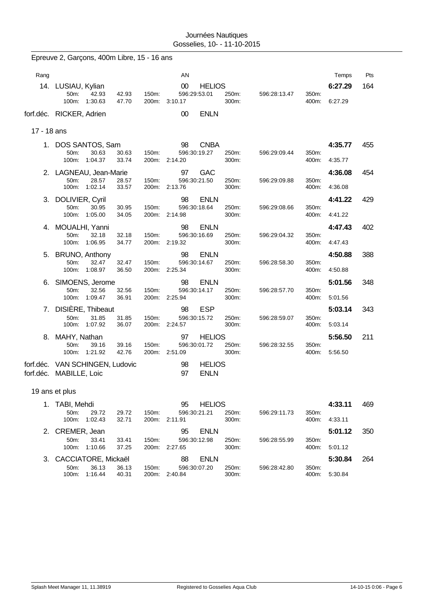Epreuve 2, Garçons, 400m Libre, 15 - 16 ans

| Rang        |                                                            |                | AN                            |                              |              |                | Temps   | Pts |
|-------------|------------------------------------------------------------|----------------|-------------------------------|------------------------------|--------------|----------------|---------|-----|
|             | 14. LUSIAU, Kylian                                         |                | 00                            | <b>HELIOS</b>                |              |                | 6:27.29 | 164 |
|             | 42.93<br>50m:<br>42.93<br>1:30.63<br>$100m$ :<br>47.70     | 150m:<br>200m: | 596:29:53.01<br>3:10.17       | 250m:<br>300m:               | 596:28:13.47 | 350m:<br>400m: | 6:27.29 |     |
|             | forf.déc. RICKER, Adrien                                   |                | $00\,$                        | <b>ENLN</b>                  |              |                |         |     |
| 17 - 18 ans |                                                            |                |                               |                              |              |                |         |     |
|             | 1. DOS SANTOS, Sam                                         |                | 98                            | <b>CNBA</b>                  |              |                | 4:35.77 | 455 |
|             | 50m:<br>30.63<br>30.63<br>100m:<br>1:04.37<br>33.74        | 150m:<br>200m: | 596:30:19.27<br>2:14.20       | 250m:<br>300m:               | 596:29:09.44 | 350m:<br>400m: | 4:35.77 |     |
|             | 2. LAGNEAU, Jean-Marie                                     |                | 97                            | <b>GAC</b>                   |              |                | 4:36.08 | 454 |
|             | 50m:<br>28.57<br>28.57<br>1:02.14<br>100m:<br>33.57        | 150m:<br>200m: | 596:30:21.50<br>2:13.76       | 250m:<br>300m:               | 596:29:09.88 | 350m:<br>400m: | 4:36.08 |     |
|             | 3. DOLIVIER, Cyril                                         |                | 98                            | <b>ENLN</b>                  |              |                | 4:41.22 | 429 |
|             | 50m:<br>30.95<br>30.95<br>100m: 1:05.00<br>34.05           | 150m:<br>200m: | 596:30:18.64<br>2:14.98       | 250m:<br>300m:               | 596:29:08.66 | 350m:<br>400m: | 4:41.22 |     |
|             | 4. MOUALHI, Yanni                                          |                | 98                            | <b>ENLN</b>                  |              |                | 4:47.43 | 402 |
|             | 50m:<br>32.18<br>32.18<br>100m:<br>1:06.95<br>34.77        | 150m:<br>200m: | 596:30:16.69<br>2:19.32       | 250m:<br>300m:               | 596:29:04.32 | 350m:<br>400m: | 4:47.43 |     |
|             | 5. BRUNO, Anthony                                          |                | 98                            | <b>ENLN</b>                  |              |                | 4:50.88 | 388 |
|             | 32.47<br>50m:<br>32.47<br>100m: 1:08.97<br>36.50           | 150m:          | 596:30:14.67<br>200m: 2:25.34 | 250m:<br>300m:               | 596:28:58.30 | 350m:<br>400m: | 4:50.88 |     |
|             | 6. SIMOENS, Jerome                                         |                | 98                            | <b>ENLN</b>                  |              |                | 5:01.56 | 348 |
|             | 50m:<br>32.56<br>32.56<br>100m: 1:09.47<br>36.91           | 150m:<br>200m: | 596:30:14.17<br>2:25.94       | 250m:<br>300m:               | 596:28:57.70 | 350m:<br>400m: | 5:01.56 |     |
| 7.          | DISIÈRE, Thibeaut                                          |                | 98                            | <b>ESP</b>                   |              |                | 5:03.14 | 343 |
|             | 50m:<br>31.85<br>31.85<br>100m:<br>1:07.92<br>36.07        | 150m:<br>200m: | 596:30:15.72<br>2:24.57       | 250m:<br>300m:               | 596:28:59.07 | 350m:<br>400m: | 5:03.14 |     |
|             | 8. MAHY, Nathan                                            |                | 97                            | <b>HELIOS</b>                |              |                | 5:56.50 | 211 |
|             | 39.16<br>50m:<br>39.16<br>1:21.92<br>42.76<br>100m:        | 150m:<br>200m: | 596:30:01.72<br>2:51.09       | 250m:<br>300m:               | 596:28:32.55 | 350m:<br>400m: | 5:56.50 |     |
|             | forf.déc. VAN SCHINGEN, Ludovic<br>forf.déc. MABILLE, Loic |                | 98<br>97                      | <b>HELIOS</b><br><b>ENLN</b> |              |                |         |     |
|             | 19 ans et plus                                             |                |                               |                              |              |                |         |     |
|             | 1. TABI, Mehdi                                             |                | 95                            | <b>HELIOS</b>                |              |                | 4:33.11 | 469 |
|             | 50m:<br>29.72<br>29.72<br>1:02.43<br>100m:<br>32.71        | 150m:<br>200m: | 596:30:21.21<br>2:11.91       | 250m:<br>300m:               | 596:29:11.73 | 350m:<br>400m: | 4:33.11 |     |
|             | 2. CREMER, Jean                                            |                | 95                            | <b>ENLN</b>                  |              |                | 5:01.12 | 350 |
|             | 50m:<br>33.41<br>33.41<br>1:10.66<br>100m:<br>37.25        | 150m.<br>200m: | 596:30:12.98<br>2:27.65       | 250m:<br>300m:               | 596:28:55.99 | 350m:<br>400m: | 5:01.12 |     |
|             | 3. CACCIATORE, Mickaël                                     |                | 88                            | <b>ENLN</b>                  |              |                | 5:30.84 | 264 |
|             | 36.13<br>50m:<br>36.13                                     | 150m:          | 596:30:07.20                  | 250m:                        | 596:28:42.80 | 350m:          |         |     |
|             | 100m:<br>1:16.44<br>40.31                                  |                | 200m: 2:40.84                 | 300m:                        |              | 400m:          | 5:30.84 |     |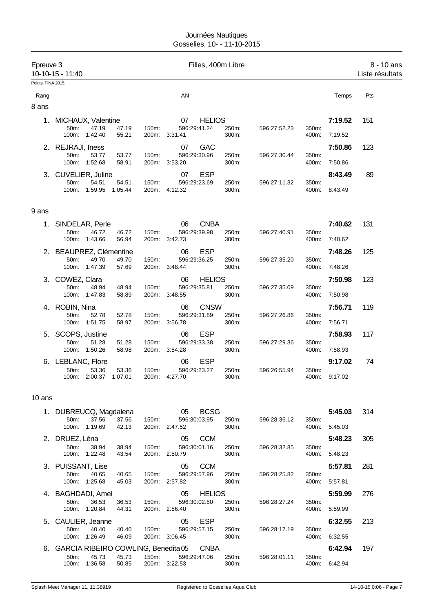| Epreuve 3         | 10-10-15 - 11:40                                                                           |                           | Filles, 400m Libre                  |                |              |                |                    | $8 - 10$ ans<br>Liste résultats |
|-------------------|--------------------------------------------------------------------------------------------|---------------------------|-------------------------------------|----------------|--------------|----------------|--------------------|---------------------------------|
| Points: FINA 2015 |                                                                                            |                           |                                     |                |              |                |                    |                                 |
| Rang<br>8 ans     |                                                                                            |                           | AN                                  |                |              |                | Temps              | Pts                             |
|                   | 1. MICHAUX, Valentine<br>50m:<br>47.19<br>47.19<br>100m: 1:42.40<br>55.21                  | 150m:<br>200m: 3:31.41    | 07<br><b>HELIOS</b><br>596:29:41.24 | 250m:<br>300m: | 596:27:52.23 | 350m:<br>400m: | 7:19.52<br>7:19.52 | 151                             |
|                   | 2. REJRAJI, Iness<br>50m:<br>53.77<br>53.77<br>1:52.68<br>100m:<br>58.91                   | 150m:<br>200m:<br>3:53.20 | <b>GAC</b><br>07<br>596:29:30.96    | 250m:<br>300m: | 596:27:30.44 | 350m:<br>400m: | 7:50.86<br>7:50.86 | 123                             |
|                   | 3. CUVELIER, Juline<br>50m:<br>54.51<br>54.51<br>1:59.95<br>100m:<br>1:05.44               | 150m:<br>200m: 4:12.32    | <b>ESP</b><br>07<br>596:29:23.69    | 250m:<br>300m: | 596:27:11.32 | 350m:<br>400m: | 8:43.49<br>8:43.49 | 89                              |
| 9 ans             |                                                                                            |                           |                                     |                |              |                |                    |                                 |
|                   | 1. SINDELAR, Perle<br>50m:<br>46.72<br>46.72<br>100m: 1:43.66<br>56.94                     | 150m:<br>200m: 3:42.73    | <b>CNBA</b><br>06<br>596:29:39.98   | 250m:<br>300m: | 596:27:40.91 | 350m:<br>400m: | 7:40.62<br>7:40.62 | 131                             |
|                   | 2. BEAUPREZ, Clémentine<br>50m:<br>49.70<br>49.70<br>100m:<br>1:47.39<br>57.69             | 150m:<br>200m:<br>3:48.44 | <b>ESP</b><br>06<br>596:29:36.25    | 250m:<br>300m: | 596:27:35.20 | 350m:<br>400m: | 7:48.26<br>7:48.26 | 125                             |
|                   | 3. COWEZ, Clara<br>50m:<br>48.94<br>48.94<br>100m: 1:47.83<br>58.89                        | 150m:<br>200m: 3:48.55    | <b>HELIOS</b><br>06<br>596:29:35.81 | 250m:<br>300m: | 596:27:35.09 | 350m:<br>400m: | 7:50.98<br>7:50.98 | 123                             |
|                   | 4. ROBIN, Nina<br>50m:<br>52.78<br>52.78<br>100m: 1:51.75<br>58.97                         | 150m:<br>200m: 3:56.78    | <b>CNSW</b><br>06<br>596:29:31.89   | 250m:<br>300m: | 596:27:26.86 | 350m:<br>400m: | 7:56.71<br>7:56.71 | 119                             |
|                   | 5. SCOPS, Justine<br>50m:<br>51.28<br>51.28<br>100m: 1:50.26<br>58.98                      | 150m:<br>200m: 3:54.28    | <b>ESP</b><br>06<br>596:29:33.38    | 250m:<br>300m: | 596:27:29.36 | 350m:<br>400m: | 7:58.93<br>7:58.93 | 117                             |
|                   | 6. LEBLANC, Flore<br>53.36<br>50m:<br>53.36<br>2:00.37<br>1:07.01<br>100m:                 | 150m:<br>200m:<br>4:27.70 | <b>ESP</b><br>06<br>596:29:23.27    | 250m:<br>300m: | 596:26:55.94 | 350m:<br>400m: | 9:17.02<br>9:17.02 | 74                              |
| 10 ans            |                                                                                            |                           |                                     |                |              |                |                    |                                 |
|                   | 1. DUBREUCQ, Magdalena<br>50m:<br>37.56<br>37.56<br>100m: 1:19.69<br>42.13                 | 150m:<br>200m: 2:47.52    | <b>BCSG</b><br>05<br>596:30:03.95   | 250m:<br>300m: | 596.28.36.12 | 350m:<br>400m: | 5:45.03<br>5.45.03 | 314                             |
|                   | 2. DRUEZ, Léna<br>50m:<br>38.94<br>38.94<br>100m: 1:22.48<br>43.54                         | 150m:<br>200m: 2:50.79    | <b>CCM</b><br>05<br>596:30:01.16    | 250m:<br>300m: | 596:28:32.85 | 350m:<br>400m: | 5:48.23<br>5:48.23 | 305                             |
|                   | 3. PUISSANT, Lise<br>50m:<br>40.65<br>40.65<br>100m: 1:25.68<br>45.03                      | 150m:<br>200m: 2:57.82    | 05<br><b>CCM</b><br>596:29:57.96    | 250m:<br>300m: | 596:28:25.82 | 350m:<br>400m: | 5:57.81<br>5:57.81 | 281                             |
|                   | 4. BAGHDADI, Amel<br>50m:<br>36.53<br>36.53<br>100m: 1:20.84<br>44.31                      | 150m:<br>200m: 2:56.40    | <b>HELIOS</b><br>05<br>596:30:02.80 | 250m:<br>300m: | 596:28:27.24 | 350m:<br>400m: | 5:59.99<br>5:59.99 | 276                             |
|                   | 5. CAULIER, Jeanne<br>50m:<br>40.40<br>40.40<br>100m: 1:26.49<br>46.09                     | 150m:<br>200m: 3:06.45    | <b>ESP</b><br>05<br>596:29:57.15    | 250m:<br>300m: | 596:28:17.19 | 350m:<br>400m: | 6:32.55<br>6:32.55 | 213                             |
| 6.                | GARCIA RIBEIRO COWLING, Benedita 05<br>50m:<br>45.73<br>45.73<br>1:36.58<br>50.85<br>100m: | 150m:<br>200m: 3:22.53    | CNBA<br>596:29:47.06                | 250m:<br>300m: | 596:28:01.11 | 350m:<br>400m: | 6:42.94<br>6:42.94 | 197                             |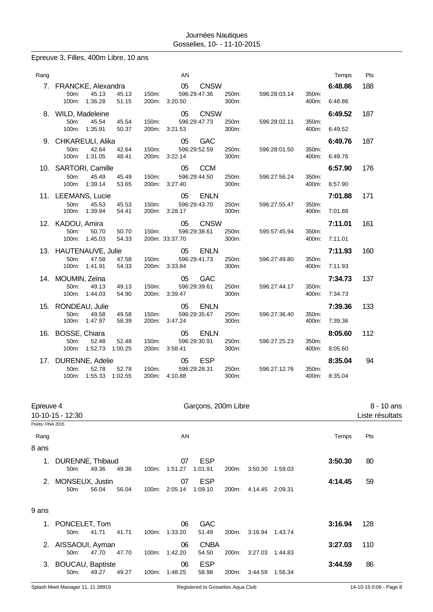# Epreuve 3, Filles, 400m Libre, 10 ans

| Rang |                                                                        | AN                                                                                                                 | Temps                     | Pts |
|------|------------------------------------------------------------------------|--------------------------------------------------------------------------------------------------------------------|---------------------------|-----|
| 7.   | FRANCKE, Alexandra<br>45.13<br>45.13<br>50m:                           | 05<br><b>CNSW</b><br>596:29:47.36<br>350m:<br>150m:<br>250m:<br>596:28:03.14                                       | 6:48.86<br>188            |     |
|      | 100m:<br>1:36.28<br>51.15<br>8. WILD, Madeleine                        | 300m:<br>400m:<br>200m:<br>3:20.50<br><b>CNSW</b><br>05                                                            | 6:48.86<br>6:49.52<br>187 |     |
|      | 50 <sub>m</sub> :<br>45.54<br>45.54<br>1:35.91<br>100m:<br>50.37       | 596:29:47.73<br>150m:<br>250m:<br>350m:<br>596:28:02.11<br>3:21.53<br>300m:<br>400m:<br>200m:                      | 6:49.52                   |     |
|      | 9. CHKAREULI, Alika<br>50m:<br>42.64<br>42.64                          | 05<br><b>GAC</b><br>596:29:52.59<br>250m:<br>596:28:01.50<br>150m:<br>350m:                                        | 187<br>6:49.76            |     |
|      | 100m: 1:31.05<br>48.41<br>10. SARTORI, Camille                         | 3:22.14<br>200m:<br>300m:<br>400m:<br><b>CCM</b><br>05                                                             | 6:49.76<br>6:57.90<br>176 |     |
|      | 50m:<br>45.49<br>45.49<br>100m: 1:39.14<br>53.65                       | 150m:<br>596:29:44.50<br>250m:<br>596:27:56.24<br>350m:<br>200m:<br>3:27.40<br>300m:<br>400m:                      | 6:57.90                   |     |
|      | 11. LEEMANS, Lucie<br>50m:<br>45.53<br>45.53                           | 05<br><b>ENLN</b><br>596:29:43.70<br>250m:<br>350m:<br>150m:<br>596:27:55.47                                       | 7:01.88<br>171            |     |
|      | 100m:<br>1:39.94<br>54.41<br>12. KADOU, Amira                          | 3:28.17<br>200m:<br>300m:<br>400m:<br><b>CNSW</b><br>05                                                            | 7:01.88<br>7:11.01<br>161 |     |
|      | 50m:<br>50.70<br>50.70<br>1:45.03<br>100m:<br>54.33                    | 596:29:38.61<br>250m:<br>595:57:45.94<br>350m:<br>150m:<br>200m: 33:37.70<br>300m:<br>400m:                        | 7:11.01                   |     |
|      | 13. HAUTENAUVE, Julie<br>50 <sub>m</sub> :<br>47.58<br>47.58           | 05<br><b>ENLN</b><br>596:29:41.73<br>250m:<br>596:27:49.80<br>350m:<br>150m:                                       | 7:11.93<br>160            |     |
|      | 100m: 1:41.91<br>54.33<br>14. MOUMIN, Zeïna                            | 200m: 3:33.84<br>300m:<br>400m:<br><b>GAC</b><br>05                                                                | 7:11.93<br>7:34.73<br>137 |     |
|      | 50m:<br>49.13<br>49.13<br>100m:<br>1:44.03<br>54.90                    | 596:29:39.61<br>150m:<br>250m:<br>596:27:44.17<br>350m:<br>3:39.47<br>300m:<br>400m:<br>200m:                      | 7:34.73                   |     |
|      | 15. RONDEAU, Julie<br>49.58<br>49.58<br>50m:                           | 05<br><b>ENLN</b><br>150m:<br>596:29:35.67<br>250m:<br>596:27:36.40<br>350m:                                       | 7:39.36<br>133            |     |
|      | 100m: 1:47.97<br>58.39                                                 | 3:47.24<br>200m:<br>300m:<br>400m:                                                                                 | 7:39.36                   |     |
| 16.  | BOSSE, Chiara<br>52.48<br>52.48<br>50m:<br>1:52.73<br>100m:<br>1:00.25 | 05<br><b>ENLN</b><br>596:29:30.91<br>250m:<br>150m.<br>596:27:25.23<br>350m:<br>200m:<br>3:58.41<br>300m:<br>400m: | 112<br>8:05.60<br>8:05.60 |     |
|      | 17. DURENNE, Adelie                                                    | <b>ESP</b><br>05                                                                                                   | 8:35.04                   | 94  |
|      | 50m:<br>52.78<br>52.78<br>1:55.33<br>100m:<br>1:02.55                  | 596:29:28.31<br>250m:<br>350m:<br>150m:<br>596:27:12.76<br>200m: 4:10.88<br>300m:<br>400m:                         | 8:35.04                   |     |

| Epreuve 4<br>Garçons, 200m Libre<br>10-10-15 - 12:30 |                                       |       |       | 8 - 10 ans<br>Liste résultats |                     |                       |       |         |         |         |     |
|------------------------------------------------------|---------------------------------------|-------|-------|-------------------------------|---------------------|-----------------------|-------|---------|---------|---------|-----|
| Points: FINA 2015                                    |                                       |       |       |                               |                     |                       |       |         |         |         |     |
| Rang                                                 |                                       |       |       |                               | AN                  |                       |       |         |         | Temps   | Pts |
| 8 ans                                                |                                       |       |       |                               |                     |                       |       |         |         |         |     |
| 1.                                                   | DURENNE, Thibaud<br>50m:              | 49.36 | 49.36 | 100m:                         | 07<br>1:51.27       | <b>ESP</b><br>1:01.91 | 200m: | 3:50.30 | 1.59.03 | 3:50.30 | 80  |
| 2.                                                   | MONSEUX, Justin<br>50m:               | 56.04 | 56.04 | 100m:                         | 07<br>2:05.14       | <b>ESP</b><br>1:09.10 | 200m: | 4:14.45 | 2:09.31 | 4:14.45 | 59  |
| 9 ans                                                |                                       |       |       |                               |                     |                       |       |         |         |         |     |
|                                                      | 1. PONCELET, Tom<br>50 <sub>m</sub> : | 41.71 | 41.71 | 100m:                         | 06<br>1:33.20       | <b>GAC</b><br>51.49   | 200m: | 3:16.94 | 1:43.74 | 3:16.94 | 128 |
| 2.                                                   | AISSAOUI, Ayman<br>50 <sub>m</sub> :  | 47.70 | 47.70 |                               | 06<br>100m: 1:42.20 | <b>CNBA</b><br>54.50  | 200m: | 3:27.03 | 1:44.83 | 3:27.03 | 110 |
| 3.                                                   | <b>BOUCAU, Baptiste</b><br>50m:       | 49.27 | 49.27 | 100m:                         | 06<br>1:48.25       | <b>ESP</b><br>58.98   | 200m: | 3:44.59 | 1.56.34 | 3:44.59 | 86  |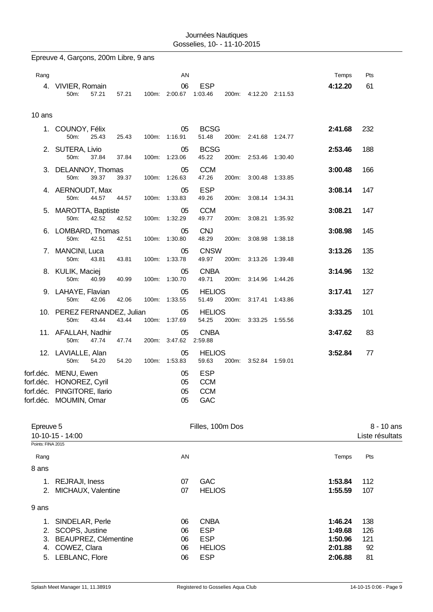Epreuve 4, Garçons, 200m Libre, 9 ans

| Rang              |                                                       |       |       | AN                    |                      |                       | Temps   | Pts             |            |
|-------------------|-------------------------------------------------------|-------|-------|-----------------------|----------------------|-----------------------|---------|-----------------|------------|
|                   | 4. VIVIER, Romain                                     |       |       | 06                    | <b>ESP</b>           |                       | 4:12.20 | 61              |            |
|                   | 50m:                                                  | 57.21 | 57.21 | 100m: 2:00.67 1:03.46 |                      | 200m: 4:12.20 2:11.53 |         |                 |            |
|                   |                                                       |       |       |                       |                      |                       |         |                 |            |
| 10 ans            |                                                       |       |       |                       |                      |                       |         |                 |            |
|                   | 1. COUNOY, Félix                                      |       |       | 05                    | <b>BCSG</b>          |                       | 2:41.68 | 232             |            |
|                   | 50m:                                                  | 25.43 | 25.43 | 100m: 1:16.91         | 51.48                | 200m: 2:41.68 1:24.77 |         |                 |            |
|                   | 2. SUTERA, Livio                                      |       |       | 05                    | <b>BCSG</b>          |                       | 2:53.46 | 188             |            |
|                   | 50m:                                                  | 37.84 | 37.84 | 100m: 1:23.06         | 45.22                | 200m: 2:53.46 1:30.40 |         |                 |            |
|                   | 3. DELANNOY, Thomas                                   |       |       | 05                    | <b>CCM</b>           |                       | 3:00.48 | 166             |            |
|                   | 50m:                                                  | 39.37 | 39.37 | 100m: 1:26.63         | 47.26                | 200m: 3:00.48 1:33.85 |         |                 |            |
|                   | 4. AERNOUDT, Max                                      |       |       | 05                    | <b>ESP</b>           |                       | 3:08.14 | 147             |            |
|                   | 50m:                                                  | 44.57 | 44.57 | 100m: 1:33.83         | 49.26                | 200m: 3:08.14 1:34.31 |         |                 |            |
|                   | 5. MAROTTA, Baptiste                                  |       |       | 05                    | <b>CCM</b>           |                       | 3:08.21 | 147             |            |
|                   | 50m:                                                  | 42.52 | 42.52 | 100m: 1:32.29         | 49.77                | 200m: 3:08.21 1:35.92 |         |                 |            |
|                   | 6. LOMBARD, Thomas                                    |       |       | 05                    | <b>CNJ</b>           |                       | 3:08.98 | 145             |            |
|                   | 50m:                                                  | 42.51 | 42.51 | 100m: 1:30.80         | 48.29                | 200m: 3:08.98 1:38.18 |         |                 |            |
|                   | 7. MANCINI, Luca                                      |       |       | 05                    | <b>CNSW</b>          |                       | 3:13.26 | 135             |            |
|                   | 50m:                                                  | 43.81 | 43.81 | 100m: 1:33.78         | 49.97                | 200m: 3:13.26 1:39.48 |         |                 |            |
|                   | 8. KULIK, Maciej                                      |       |       | 05                    | <b>CNBA</b>          |                       | 3:14.96 | 132             |            |
|                   | 50m:                                                  | 40.99 | 40.99 | 100m: 1:30.70         | 49.71                | 200m: 3:14.96 1:44.26 |         |                 |            |
|                   | 9. LAHAYE, Flavian                                    |       |       | 05                    | <b>HELIOS</b>        |                       | 3:17.41 | 127             |            |
|                   | 50m:                                                  | 42.06 | 42.06 | 100m: 1:33.55         | 51.49                | 200m: 3:17.41 1:43.86 |         |                 |            |
|                   | 10. PEREZ FERNANDEZ, Julian                           |       |       | 05                    | <b>HELIOS</b>        |                       | 3:33.25 | 101             |            |
|                   | 50m:                                                  | 43.44 | 43.44 | 100m: 1:37.69         | 54.25                | 200m: 3:33.25 1:55.56 |         |                 |            |
|                   | 11. AFALLAH, Nadhir                                   |       |       | 05                    | <b>CNBA</b>          |                       | 3:47.62 | 83              |            |
|                   | 50m:                                                  | 47.74 | 47.74 | 200m: 3:47.62 2:59.88 |                      |                       |         |                 |            |
|                   | 12. LAVIALLE, Alan                                    |       |       | 05                    | <b>HELIOS</b>        |                       | 3:52.84 | 77              |            |
|                   | 50m:                                                  | 54.20 | 54.20 | 100m: 1:53.83         | 59.63                | 200m: 3:52.84 1:59.01 |         |                 |            |
|                   | forf.déc. MENU, Ewen                                  |       |       | 05                    | <b>ESP</b>           |                       |         |                 |            |
|                   | forf.déc. HONOREZ, Cyril                              |       |       | 05                    | <b>CCM</b>           |                       |         |                 |            |
|                   | forf.déc. PINGITORE, llario<br>forf.déc. MOUMIN, Omar |       |       | 05                    | 05 CCM<br><b>GAC</b> |                       |         |                 |            |
|                   |                                                       |       |       |                       |                      |                       |         |                 |            |
|                   |                                                       |       |       |                       |                      |                       |         |                 |            |
| Epreuve 5         |                                                       |       |       |                       | Filles, 100m Dos     |                       |         |                 | 8 - 10 ans |
|                   | 10-10-15 - 14:00                                      |       |       |                       |                      |                       |         | Liste résultats |            |
| Points: FINA 2015 |                                                       |       |       |                       |                      |                       |         |                 |            |
| Rang              |                                                       |       |       | AN                    |                      |                       | Temps   | Pts             |            |
| 8 ans             |                                                       |       |       |                       |                      |                       |         |                 |            |
| 1.                | REJRAJI, Iness                                        |       |       | 07                    | GAC                  |                       | 1:53.84 | 112             |            |
| 2.                | MICHAUX, Valentine                                    |       |       | 07                    | <b>HELIOS</b>        |                       | 1:55.59 | 107             |            |
|                   |                                                       |       |       |                       |                      |                       |         |                 |            |
| 9 ans             |                                                       |       |       |                       |                      |                       |         |                 |            |

| 1. SINDELAR, Perle      | 06  | CNBA          | 1:46.24 | - 138 |
|-------------------------|-----|---------------|---------|-------|
| 2. SCOPS, Justine       | 06. | ESP           | 1:49.68 | - 126 |
| 3. BEAUPREZ, Clémentine | 06. | ESP           | 1:50.96 | -121  |
| 4. COWEZ, Clara         | 06  | <b>HELIOS</b> | 2:01.88 | 92    |
| 5. LEBLANC, Flore       | 06  | ESP           | 2:06.88 | 81    |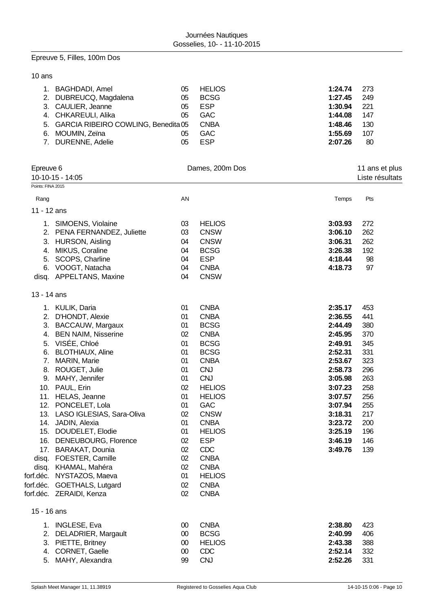# Epreuve 5, Filles, 100m Dos

## 10 ans

| 1. BAGHDADI, Amel                      | 05 | <b>HELIOS</b> | 1:24.74 | - 273 |
|----------------------------------------|----|---------------|---------|-------|
| 2. DUBREUCQ, Magdalena                 | 05 | <b>BCSG</b>   | 1:27.45 | 249   |
| 3. CAULIER, Jeanne                     | 05 | <b>ESP</b>    | 1:30.94 | -221  |
| 4. CHKAREULI, Alika                    | 05 | <b>GAC</b>    | 1:44.08 | 147   |
| 5. GARCIA RIBEIRO COWLING, Benedita 05 |    | <b>CNBA</b>   | 1:48.46 | 130   |
| 6. MOUMIN, Zeïna                       | 05 | <b>GAC</b>    | 1:55.69 | 107   |
| 7. DURENNE, Adelie                     | 05 | <b>ESP</b>    | 2:07.26 | 80    |

|                   | Epreuve 6                                       |          | Dames, 200m Dos          |         | 11 ans et plus  |
|-------------------|-------------------------------------------------|----------|--------------------------|---------|-----------------|
|                   | 10-10-15 - 14:05                                |          |                          |         | Liste résultats |
| Points: FINA 2015 |                                                 |          |                          |         |                 |
| Rang              |                                                 | AN       |                          | Temps   | Pts             |
| 11 - 12 ans       |                                                 |          |                          |         |                 |
|                   | 1. SIMOENS, Violaine                            | 03       | <b>HELIOS</b>            | 3:03.93 | 272             |
|                   | 2. PENA FERNANDEZ, Juliette                     | 03       | <b>CNSW</b>              | 3:06.10 | 262             |
| 3.                | HURSON, Aisling                                 | 04       | <b>CNSW</b>              | 3:06.31 | 262             |
| 4.                | MIKUS, Coraline                                 | 04       | <b>BCSG</b>              | 3:26.38 | 192             |
| 5.                | SCOPS, Charline                                 | 04       | <b>ESP</b>               | 4:18.44 | 98              |
|                   | 6. VOOGT, Natacha                               | 04       | <b>CNBA</b>              | 4:18.73 | 97              |
|                   | disq. APPELTANS, Maxine                         | 04       | <b>CNSW</b>              |         |                 |
| 13 - 14 ans       |                                                 |          |                          |         |                 |
|                   | 1. KULIK, Daria                                 | 01       | <b>CNBA</b>              | 2:35.17 | 453             |
| 2.                | D'HONDT, Alexie                                 | 01       | <b>CNBA</b>              | 2:36.55 | 441             |
| 3.                | <b>BACCAUW, Margaux</b>                         | 01       | <b>BCSG</b>              | 2:44.49 | 380             |
| 4.                | <b>BEN NAIM, Nisserine</b>                      | 02       | <b>CNBA</b>              | 2:45.95 | 370             |
| 5.                | VISÉE, Chloé                                    | 01       | <b>BCSG</b>              | 2:49.91 | 345             |
| 6.                | <b>BLOTHIAUX, Aline</b>                         | 01       | <b>BCSG</b>              | 2:52.31 | 331             |
| 7.                | MARIN, Marie                                    | 01       | <b>CNBA</b>              | 2:53.67 | 323             |
|                   | 8. ROUGET, Julie                                | 01       | <b>CNJ</b>               | 2:58.73 | 296             |
| 9.                | MAHY, Jennifer                                  | 01       | <b>CNJ</b>               | 3:05.98 | 263             |
|                   | 10. PAUL, Erin                                  | 02       | <b>HELIOS</b>            | 3:07.23 | 258             |
|                   | 11. HELAS, Jeanne                               | 01       | <b>HELIOS</b>            | 3:07.57 | 256             |
|                   | 12. PONCELET, Lola                              | 01       | GAC                      | 3:07.94 | 255             |
|                   | 13. LASO IGLESIAS, Sara-Oliva                   | 02       | <b>CNSW</b>              | 3:18.31 | 217             |
|                   | 14. JADIN, Alexia                               | 01       | <b>CNBA</b>              | 3:23.72 | 200             |
|                   | 15. DOUDELET, Elodie                            | 01       | <b>HELIOS</b>            | 3:25.19 | 196             |
|                   | 16. DENEUBOURG, Florence<br>17. BARAKAT, Dounia | 02<br>02 | <b>ESP</b><br><b>CDC</b> | 3:46.19 | 146             |
| disq.             | FOESTER, Camille                                | 02       | <b>CNBA</b>              | 3:49.76 | 139             |
| disq.             | KHAMAL, Mahéra                                  | 02       | <b>CNBA</b>              |         |                 |
| forf.déc.         | NYSTAZOS, Maeva                                 | 01       | <b>HELIOS</b>            |         |                 |
|                   | forf.déc. GOETHALS, Lutgard                     | 02       | <b>CNBA</b>              |         |                 |
|                   | forf.déc. ZERAIDI, Kenza                        | 02       | <b>CNBA</b>              |         |                 |
| 15 - 16 ans       |                                                 |          |                          |         |                 |
|                   | 1. INGLESE, Eva                                 | 00       | <b>CNBA</b>              | 2:38.80 | 423             |
| 2.                | DELADRIER, Margault                             | $00\,$   | <b>BCSG</b>              | 2:40.99 | 406             |
| 3.                | PIETTE, Britney                                 | $00\,$   | <b>HELIOS</b>            | 2:43.38 | 388             |
| 4.                | CORNET, Gaelle                                  | $00\,$   | <b>CDC</b>               | 2:52.14 | 332             |
|                   | 5. MAHY, Alexandra                              | 99       | <b>CNJ</b>               | 2:52.26 | 331             |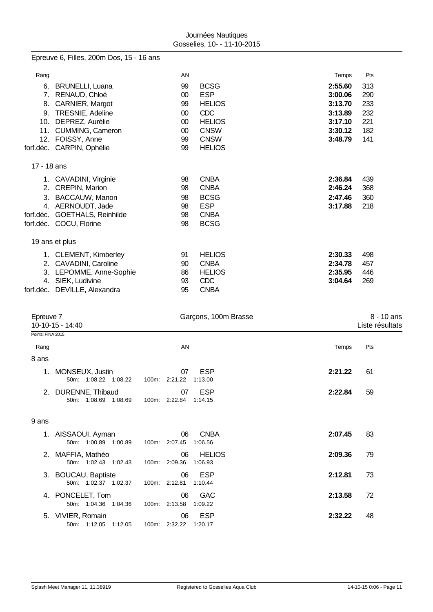Epreuve 6, Filles, 200m Dos, 15 - 16 ans

| Rang        |                           | AN     |               | Temps   | Pts |
|-------------|---------------------------|--------|---------------|---------|-----|
| 6.          | <b>BRUNELLI, Luana</b>    | 99     | <b>BCSG</b>   | 2:55.60 | 313 |
| 7.          | RENAUD, Chloé             | 00     | <b>ESP</b>    | 3:00.06 | 290 |
| 8.          | CARNIER, Margot           | 99     | <b>HELIOS</b> | 3:13.70 | 233 |
| 9.          | TRESNIE, Adeline          | $00\,$ | <b>CDC</b>    | 3:13.89 | 232 |
| 10.         | DEPREZ, Aurélie           | $00\,$ | <b>HELIOS</b> | 3:17.10 | 221 |
| 11.         | CUMMING, Cameron          | 00     | <b>CNSW</b>   | 3:30.12 | 182 |
| 12.         | FOISSY, Anne              | 99     | <b>CNSW</b>   | 3:48.79 | 141 |
| forf.déc.   | CARPIN, Ophélie           | 99     | <b>HELIOS</b> |         |     |
| 17 - 18 ans |                           |        |               |         |     |
| 1.          | CAVADINI, Virginie        | 98     | <b>CNBA</b>   | 2:36.84 | 439 |
| 2.          | <b>CREPIN, Marion</b>     | 98     | <b>CNBA</b>   | 2:46.24 | 368 |
| 3.          | <b>BACCAUW, Manon</b>     | 98     | <b>BCSG</b>   | 2:47.46 | 360 |
| 4.          | AERNOUDT, Jade            | 98     | <b>ESP</b>    | 3:17.88 | 218 |
| forf.déc.   | GOETHALS, Reinhilde       | 98     | <b>CNBA</b>   |         |     |
|             | forf.déc. COCU, Florine   | 98     | <b>BCSG</b>   |         |     |
|             | 19 ans et plus            |        |               |         |     |
| 1.          | <b>CLEMENT, Kimberley</b> | 91     | <b>HELIOS</b> | 2:30.33 | 498 |
| 2.          | CAVADINI, Caroline        | 90     | <b>CNBA</b>   | 2:34.78 | 457 |
| 3.          | LEPOMME, Anne-Sophie      | 86     | <b>HELIOS</b> | 2:35.95 | 446 |
| 4.          | SIEK, Ludivine            | 93     | <b>CDC</b>    | 3:04.64 | 269 |
| forf.déc.   | DEVILLE, Alexandra        | 95     | <b>CNBA</b>   |         |     |

| Epreuve 7         | 10-10-15 - 14:40                            |               |               | Garçons, 100m Brasse     |         | 8 - 10 ans<br>Liste résultats |
|-------------------|---------------------------------------------|---------------|---------------|--------------------------|---------|-------------------------------|
| Points: FINA 2015 |                                             |               |               |                          |         |                               |
| Rang              |                                             |               | AN            |                          | Temps   | Pts                           |
| 8 ans             |                                             |               |               |                          |         |                               |
| 1.                | MONSEUX, Justin<br>50m: 1:08.22 1:08.22     | 100m: 2:21.22 | 07            | <b>ESP</b><br>1:13.00    | 2:21.22 | 61                            |
| 2.                | DURENNE, Thibaud<br>50m: 1:08.69 1:08.69    | 100m: 2:22.84 | 07            | ESP<br>1:14.15           | 2:22.84 | 59                            |
| 9 ans             |                                             |               |               |                          |         |                               |
|                   | 1. AISSAOUI, Ayman<br>50m: 1:00.89 1:00.89  | 100m: 2:07.45 | 06            | <b>CNBA</b><br>1:06.56   | 2:07.45 | 83                            |
|                   | 2. MAFFIA, Mathéo<br>50m: 1:02.43 1:02.43   | 100m:         | 06<br>2:09.36 | <b>HELIOS</b><br>1:06.93 | 2:09.36 | 79                            |
|                   | 3. BOUCAU, Baptiste<br>50m: 1:02.37 1:02.37 | 100m: 2:12.81 | 06            | <b>ESP</b><br>1:10.44    | 2:12.81 | 73                            |
| 4.                | PONCELET, Tom<br>50m: 1:04.36 1:04.36       | 100m: 2:13.58 | 06            | <b>GAC</b><br>1:09.22    | 2:13.58 | 72                            |
| 5.                | VIVIER, Romain<br>50m: 1:12.05 1:12.05      | 100m: 2:32.22 | 06            | <b>ESP</b><br>1:20.17    | 2:32.22 | 48                            |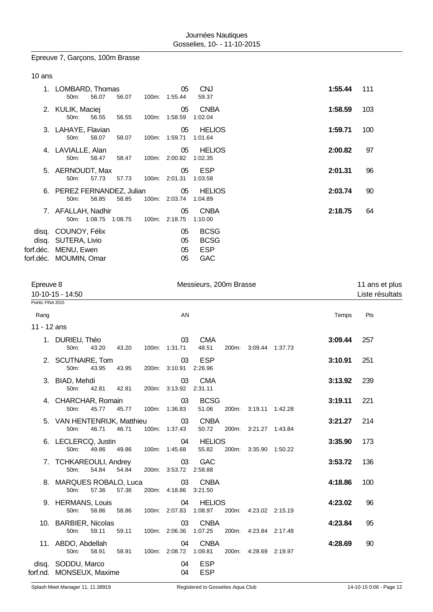# Epreuve 7, Garçons, 100m Brasse

|  | ır<br>÷ |
|--|---------|
|--|---------|

| 1.        | LOMBARD, Thomas            |       |         |       | 05            | <b>CNJ</b>    |  | 1:55.44 | 111 |
|-----------|----------------------------|-------|---------|-------|---------------|---------------|--|---------|-----|
|           | 50 <sub>m</sub> :          | 56.07 | 56.07   | 100m: | 1:55.44       | 59.37         |  |         |     |
|           | 2. KULIK, Maciej           |       |         |       | 05            | <b>CNBA</b>   |  | 1:58.59 | 103 |
|           | 50 <sub>m</sub> :          | 56.55 | 56.55   | 100m: | 1:58.59       | 1:02.04       |  |         |     |
|           | 3. LAHAYE, Flavian         |       |         |       | 05            | <b>HELIOS</b> |  | 1:59.71 | 100 |
|           | 50 <sub>m</sub> :          | 58.07 | 58.07   | 100m: | 1:59.71       | 1:01.64       |  |         |     |
|           | 4. LAVIALLE, Alan          |       |         |       | 05            | <b>HELIOS</b> |  | 2:00.82 | 97  |
|           | 50 <sub>m</sub> :          | 58.47 | 58.47   | 100m: | 2:00.82       | 1:02.35       |  |         |     |
|           | 5. AERNOUDT, Max           |       |         |       | 05            | ESP           |  | 2:01.31 | 96  |
|           | 50 <sub>m</sub> :          | 57.73 | 57.73   |       | 100m: 2:01.31 | 1:03.58       |  |         |     |
|           | 6. PEREZ FERNANDEZ, Julian |       |         |       | 05            | <b>HELIOS</b> |  | 2:03.74 | 90  |
|           | $50m$ :                    | 58.85 | 58.85   | 100m: | 2:03.74       | 1:04.89       |  |         |     |
|           | 7. AFALLAH, Nadhir         |       |         |       | 05            | <b>CNBA</b>   |  | 2:18.75 | 64  |
|           | 50m: 1:08.75               |       | 1:08.75 | 100m: | 2:18.75       | 1:10.00       |  |         |     |
|           | disq. COUNOY, Félix        |       |         |       | 05            | <b>BCSG</b>   |  |         |     |
| disq.     | SUTERA, Livio              |       |         |       | 05            | <b>BCSG</b>   |  |         |     |
| forf.déc. | MENU, Ewen                 |       |         |       | 05            | <b>ESP</b>    |  |         |     |
| forf.déc. | MOUMIN, Omar               |       |         |       | 05            | <b>GAC</b>    |  |         |     |
|           |                            |       |         |       |               |               |  |         |     |

| Epreuve 8<br>Points: FINA 2015 | 10-10-15 - 14:50                               |       |                             | Messieurs, 200m Brasse   |                       |         | 11 ans et plus<br>Liste résultats |
|--------------------------------|------------------------------------------------|-------|-----------------------------|--------------------------|-----------------------|---------|-----------------------------------|
| Rang                           |                                                |       | AN                          |                          |                       | Temps   | Pts                               |
| 11 - 12 ans                    |                                                |       |                             |                          |                       |         |                                   |
|                                | 1. DURIEU, Théo<br>50 <sub>m</sub> :<br>43.20  | 43.20 | 03<br>100m: 1:31.71         | <b>CMA</b><br>48.51      | 200m: 3:09.44 1:37.73 | 3:09.44 | 257                               |
|                                | 2. SCUTNAIRE, Tom<br>43.95<br>50m:             | 43.95 | 03<br>200m: 3:10.91 2:26.96 | ESP                      |                       | 3:10.91 | 251                               |
|                                | 3. BIAD, Mehdi<br>50m:<br>42.81                | 42.81 | 03<br>200m: 3:13.92 2:31.11 | <b>CMA</b>               |                       | 3:13.92 | 239                               |
|                                | 4. CHARCHAR, Romain<br>$50m$ :<br>45.77        | 45.77 | 03<br>100m: 1:36.83         | <b>BCSG</b><br>51.06     | 200m: 3:19.11 1:42.28 | 3:19.11 | 221                               |
|                                | 5. VAN HENTENRIJK, Matthieu<br>50m:<br>46.71   | 46.71 | 03<br>100m: 1:37.43         | <b>CNBA</b><br>50.72     | 200m: 3:21.27 1:43.84 | 3:21.27 | 214                               |
|                                | 6. LECLERCQ, Justin<br>49.86<br>50m:           | 49.86 | 04<br>100m: 1:45.68         | <b>HELIOS</b><br>55.82   | 200m: 3:35.90 1:50.22 | 3:35.90 | 173                               |
|                                | 7. TCHKAREOULI, Andrey<br>54.84<br>50m:        | 54.84 | 03<br>200m: 3:53.72 2:58.88 | <b>GAC</b>               |                       | 3:53.72 | 136                               |
|                                | 8. MARQUES ROBALO, Luca<br>57.36<br>50m:       | 57.36 | 03<br>200m: 4:18.86 3:21.50 | <b>CNBA</b>              |                       | 4:18.86 | 100                               |
|                                | 9. HERMANS, Louis<br>58.86<br>50m:             | 58.86 | 04<br>100m: 2:07.83 1:08.97 | <b>HELIOS</b>            | 200m: 4:23.02 2:15.19 | 4:23.02 | 96                                |
|                                | 10. BARBIER, Nicolas<br>59.11<br>50m:          | 59.11 | 03<br>100m: 2:06.36         | <b>CNBA</b><br>1:07.25   | 200m: 4:23.84 2:17.48 | 4:23.84 | 95                                |
|                                | 11. ABDO, Abdellah<br>50m:<br>58.91            | 58.91 | 04<br>100m: 2:08.72 1:09.81 | <b>CNBA</b>              | 200m: 4:28.69 2:19.97 | 4:28.69 | 90                                |
|                                | disq. SODDU, Marco<br>forf.nd. MONSEUX, Maxime |       | 04<br>04                    | <b>ESP</b><br><b>ESP</b> |                       |         |                                   |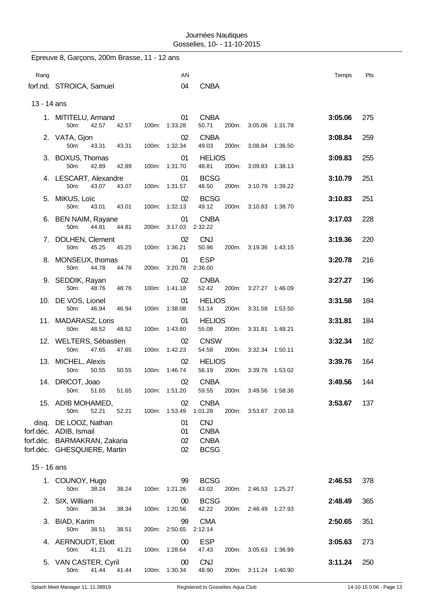|             | Epreuve 8, Garçons, 200m Brasse, 11 - 12 ans                                                                    |       |                                  |                                                         |                       |         |         |     |
|-------------|-----------------------------------------------------------------------------------------------------------------|-------|----------------------------------|---------------------------------------------------------|-----------------------|---------|---------|-----|
| Rang        |                                                                                                                 |       | AN                               |                                                         |                       |         | Temps   | Pts |
|             | forf.nd. STROICA, Samuel                                                                                        |       | 04                               | <b>CNBA</b>                                             |                       |         |         |     |
| 13 - 14 ans |                                                                                                                 |       |                                  |                                                         |                       |         |         |     |
|             | 1. MITITELU, Armand<br>50m:<br>42.57                                                                            | 42.57 | 01<br>100m: 1:33.28              | <b>CNBA</b><br>50.71                                    | 200m: 3:05.06 1:31.78 |         | 3:05.06 | 275 |
|             | 2. VATA, Gjon<br>50m:<br>43.31                                                                                  | 43.31 | 02<br>100m: 1:32.34              | <b>CNBA</b><br>49.03                                    | 200m: 3:08.84 1:36.50 |         | 3:08.84 | 259 |
|             | 3. BOXUS, Thomas<br>50m:<br>42.89                                                                               | 42.89 | 01<br>100m: 1:31.70              | <b>HELIOS</b><br>48.81                                  | 200m: 3:09.83         | 1:38.13 | 3:09.83 | 255 |
|             | 4. LESCART, Alexandre<br>50m:<br>43.07                                                                          | 43.07 | 01<br>100m: 1:31.57              | <b>BCSG</b><br>48.50                                    | 200m: 3:10.79 1:39.22 |         | 3:10.79 | 251 |
|             | 5. MIKUS, Loïc                                                                                                  |       | 02 <sub>2</sub>                  | <b>BCSG</b><br>49.12                                    |                       |         | 3:10.83 | 251 |
|             | 50m:<br>43.01<br>6. BEN NAIM, Rayane                                                                            | 43.01 | 100m: 1:32.13<br>01              | <b>CNBA</b>                                             | 200m: 3:10.83 1:38.70 |         | 3:17.03 | 228 |
|             | 50m:<br>44.81<br>7. DOLHEN, Clement                                                                             | 44.81 | 200m: 3:17.03<br>02              | 2:32.22<br><b>CNJ</b>                                   |                       |         | 3:19.36 | 220 |
|             | 50m:<br>45.25<br>8. MONSEUX, thomas                                                                             | 45.25 | 100m: 1:36.21<br>01              | 50.96<br><b>ESP</b>                                     | 200m: 3:19.36 1:43.15 |         | 3:20.78 | 216 |
|             | 50 <sub>m</sub> :<br>44.78<br>9. SEDDIK, Rayan                                                                  | 44.78 | 200m: 3:20.78 2:36.00<br>02      | <b>CNBA</b>                                             |                       |         | 3:27.27 | 196 |
|             | 50m:<br>48.76                                                                                                   | 48.76 | 100m: 1:41.18                    | 52.42                                                   | 200m: 3:27.27 1:46.09 |         |         |     |
|             | 10. DE VOS, Lionel<br>50m:<br>46.94                                                                             | 46.94 | 01<br>100m: 1:38.08              | <b>HELIOS</b><br>51.14                                  | 200m: 3:31.58 1:53.50 |         | 3:31.58 | 184 |
|             | 11. MADARASZ, Loris<br>50 <sub>m</sub> :<br>48.52                                                               | 48.52 | 01<br>100m: 1:43.60              | <b>HELIOS</b><br>55.08                                  | 200m: 3:31.81 1:48.21 |         | 3:31.81 | 184 |
|             | 12. WELTERS, Sébastien<br>50m:<br>47.65                                                                         | 47.65 | 02 <sub>2</sub><br>100m: 1:42.23 | <b>CNSW</b><br>54.58                                    | 200m: 3:32.34 1:50.11 |         | 3:32.34 | 182 |
|             | 13. MICHEL, Alexis<br>50m:<br>50.55                                                                             | 50.55 | 02<br>100m: 1:46.74              | <b>HELIOS</b><br>56.19                                  | 200m: 3:39.76 1:53.02 |         | 3:39.76 | 164 |
|             | 14. DRICOT, Joao<br>50m:<br>51.65                                                                               | 51.65 | 02<br>100m: 1:51.20              | <b>CNBA</b><br>59.55                                    | 200m: 3:49.56 1:58.36 |         | 3:49.56 | 144 |
|             | 15. ADIB MOHAMED,<br>50m:<br>52.21                                                                              | 52.21 | 02<br>100m: 1:53.49              | <b>CNBA</b><br>1:01.28                                  | 200m: 3:53.67 2:00.18 |         | 3:53.67 | 137 |
|             | disq. DE LOOZ, Nathan<br>forf.déc. ADIB, Ismail<br>forf.déc. BARMAKRAN, Zakaria<br>forf.déc. GHESQUIERE, Martin |       | 01<br>01<br>02<br>02             | <b>CNJ</b><br><b>CNBA</b><br><b>CNBA</b><br><b>BCSG</b> |                       |         |         |     |
| 15 - 16 ans |                                                                                                                 |       |                                  |                                                         |                       |         |         |     |
|             | 1. COUNOY, Hugo<br>50m:<br>38.24                                                                                | 38.24 | 99<br>100m: 1:21.26              | <b>BCSG</b><br>43.02                                    | 200m: 2:46.53 1:25.27 |         | 2:46.53 | 378 |
|             | 2. SIX, William<br>38.34<br>50m:                                                                                | 38.34 | $00\,$<br>100m: 1:20.56          | <b>BCSG</b><br>42.22                                    | 200m: 2:48.49 1:27.93 |         | 2:48.49 | 365 |
|             | 3. BIAD, Karim<br>50m:<br>38.51                                                                                 | 38.51 | 99<br>200m: 2:50.65              | <b>CMA</b><br>2:12.14                                   |                       |         | 2:50.65 | 351 |
|             | 4. AERNOUDT, Eliott<br>41.21<br>50m:                                                                            | 41.21 | 00<br>100m: 1:28.64              | <b>ESP</b><br>47.43                                     | 200m: 3:05.63 1:36.99 |         | 3:05.63 | 273 |
|             | 5. VAN CASTER, Cyril<br>41.44<br>50m:                                                                           | 41.44 | 00<br>100m: 1:30.34              | <b>CNJ</b><br>48.90                                     | 200m: 3:11.24 1:40.90 |         | 3:11.24 | 250 |
|             |                                                                                                                 |       |                                  |                                                         |                       |         |         |     |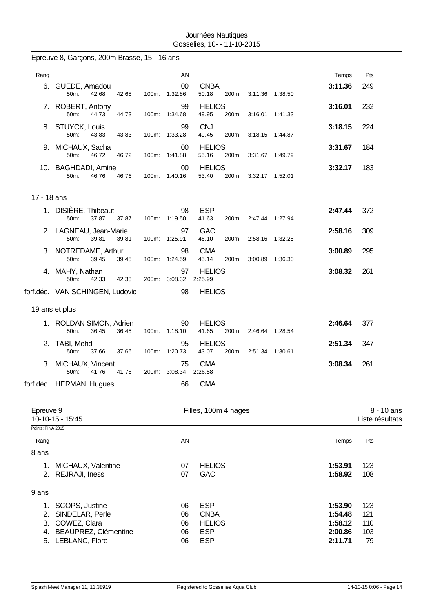|                           | Epreuve 8, Garçons, 200m Brasse, 15 - 16 ans                                     |       |       |                             |                                                          |       |                       |                                          |                          |            |
|---------------------------|----------------------------------------------------------------------------------|-------|-------|-----------------------------|----------------------------------------------------------|-------|-----------------------|------------------------------------------|--------------------------|------------|
| Rang                      |                                                                                  |       |       | AN                          |                                                          |       |                       | Temps                                    | Pts                      |            |
|                           | 6. GUEDE, Amadou<br>50m:                                                         | 42.68 | 42.68 | 00<br>100m: 1:32.86         | <b>CNBA</b><br>50.18                                     |       | 200m: 3:11.36 1:38.50 | 3:11.36                                  | 249                      |            |
|                           | 7. ROBERT, Antony<br>50m:                                                        | 44.73 | 44.73 | 99<br>100m: 1:34.68         | <b>HELIOS</b><br>49.95                                   |       | 200m: 3:16.01 1:41.33 | 3:16.01                                  | 232                      |            |
|                           | 8. STUYCK, Louis<br>50m:                                                         | 43.83 | 43.83 | 99<br>100m: 1:33.28         | <b>CNJ</b><br>49.45                                      | 200m: | 3:18.15 1:44.87       | 3:18.15                                  | 224                      |            |
|                           | 9. MICHAUX, Sacha<br>50m:                                                        | 46.72 | 46.72 | 00<br>100m: 1:41.88         | <b>HELIOS</b><br>55.16                                   | 200m: | 3:31.67 1:49.79       | 3:31.67                                  | 184                      |            |
|                           | 10. BAGHDADI, Amine<br>50m:                                                      | 46.76 | 46.76 | 00<br>100m: 1:40.16         | <b>HELIOS</b><br>53.40                                   |       | 200m: 3:32.17 1:52.01 | 3:32.17                                  | 183                      |            |
| 17 - 18 ans               |                                                                                  |       |       |                             |                                                          |       |                       |                                          |                          |            |
|                           | 1. DISIÈRE, Thibeaut<br>50m:                                                     | 37.87 | 37.87 | 98<br>100m: 1:19.50         | <b>ESP</b><br>41.63                                      |       | 200m: 2:47.44 1:27.94 | 2:47.44                                  | 372                      |            |
|                           | 2. LAGNEAU, Jean-Marie<br>50m:                                                   | 39.81 | 39.81 | 97<br>100m: 1:25.91         | <b>GAC</b><br>46.10                                      | 200m: | 2:58.16 1:32.25       | 2:58.16                                  | 309                      |            |
|                           | 3. NOTREDAME, Arthur<br>50m:                                                     | 39.45 | 39.45 | 98<br>100m: 1:24.59         | <b>CMA</b><br>45.14                                      | 200m: | 3:00.89 1:36.30       | 3:00.89                                  | 295                      |            |
|                           | 4. MAHY, Nathan<br>50m:                                                          | 42.33 | 42.33 | 97<br>200m: 3:08.32         | <b>HELIOS</b><br>2:25.99                                 |       |                       | 3:08.32                                  | 261                      |            |
|                           | forf.déc. VAN SCHINGEN, Ludovic                                                  |       |       | 98                          | <b>HELIOS</b>                                            |       |                       |                                          |                          |            |
|                           | 19 ans et plus                                                                   |       |       |                             |                                                          |       |                       |                                          |                          |            |
|                           | 1. ROLDAN SIMON, Adrien<br>50m:                                                  | 36.45 | 36.45 | 90<br>100m: 1:18.10         | <b>HELIOS</b><br>41.65                                   | 200m: | 2:46.64 1:28.54       | 2:46.64                                  | 377                      |            |
|                           | 2. TABI, Mehdi<br>50m:                                                           | 37.66 | 37.66 | 95<br>100m: 1:20.73         | <b>HELIOS</b><br>43.07                                   | 200m: | 2:51.34 1:30.61       | 2:51.34                                  | 347                      |            |
| 3.                        | MICHAUX, Vincent<br>50m:                                                         | 41.76 | 41.76 | 75<br>200m: 3:08.34 2:26.58 | <b>CMA</b>                                               |       |                       | 3:08.34                                  | 261                      |            |
|                           | forf.déc. HERMAN, Hugues                                                         |       |       | 66                          | <b>CMA</b>                                               |       |                       |                                          |                          |            |
| Epreuve 9                 | 10-10-15 - 15:45                                                                 |       |       |                             | Filles, 100m 4 nages                                     |       |                       |                                          | Liste résultats          | 8 - 10 ans |
| Points: FINA 2015<br>Rang |                                                                                  |       |       | AN                          |                                                          |       |                       | Temps                                    | Pts                      |            |
| 8 ans                     |                                                                                  |       |       |                             |                                                          |       |                       |                                          |                          |            |
| 1.                        | MICHAUX, Valentine<br>2. REJRAJI, Iness                                          |       |       | 07<br>07                    | <b>HELIOS</b><br><b>GAC</b>                              |       |                       | 1:53.91<br>1:58.92                       | 123<br>108               |            |
| 9 ans                     |                                                                                  |       |       |                             |                                                          |       |                       |                                          |                          |            |
| 1.<br>2.<br>3.<br>4.      | SCOPS, Justine<br>SINDELAR, Perle<br>COWEZ, Clara<br><b>BEAUPREZ, Clémentine</b> |       |       | 06<br>06<br>06<br>06        | <b>ESP</b><br><b>CNBA</b><br><b>HELIOS</b><br><b>ESP</b> |       |                       | 1:53.90<br>1:54.48<br>1:58.12<br>2:00.86 | 123<br>121<br>110<br>103 |            |
|                           | 5. LEBLANC, Flore                                                                |       |       | 06                          | <b>ESP</b>                                               |       |                       | 2:11.71                                  | 79                       |            |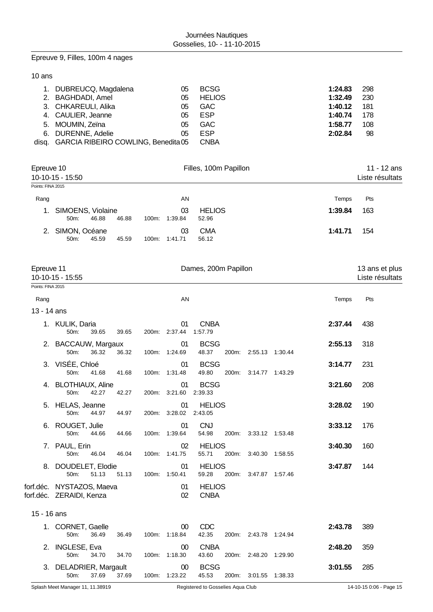## Epreuve 9, Filles, 100m 4 nages

## 10 ans

| 1. DUBREUCQ, Magdalena                    | 05 | <b>BCSG</b>   | 1:24.83 | 298  |
|-------------------------------------------|----|---------------|---------|------|
| 2. BAGHDADI, Amel                         | 05 | <b>HELIOS</b> | 1:32.49 | -230 |
| 3. CHKAREULI, Alika                       | 05 | <b>GAC</b>    | 1:40.12 | 181  |
| 4. CAULIER, Jeanne                        | 05 | ESP           | 1:40.74 | 178  |
| 5. MOUMIN, Zeïna                          | 05 | <b>GAC</b>    | 1:58.77 | 108  |
| 6. DURENNE, Adelie                        | 05 | ESP           | 2:02.84 | 98   |
| disq. GARCIA RIBEIRO COWLING, Benedita 05 |    | CNBA          |         |      |

| Epreuve 10        |                                  |       |       |       |               | Filles, 100m Papillon  | 11 - 12 ans |                 |  |
|-------------------|----------------------------------|-------|-------|-------|---------------|------------------------|-------------|-----------------|--|
|                   | $10-10-15 - 15:50$               |       |       |       |               |                        |             | Liste résultats |  |
| Points: FINA 2015 |                                  |       |       |       |               |                        |             |                 |  |
| Rang              |                                  |       |       |       | AN            |                        | Temps       | Pts             |  |
| $1_{\cdot}$       | SIMOENS, Violaine<br>$50m$ :     | 46.88 | 46.88 | 100m: | 03<br>1:39.84 | <b>HELIOS</b><br>52.96 | 1:39.84     | 163             |  |
| 2.                | SIMON, Océane<br>50 <sub>m</sub> | 45.59 | 45.59 | 100m: | 03<br>1:41.71 | <b>CMA</b><br>56.12    | 1:41.71     | 154             |  |

| Epreuve 11        | 10-10-15 - 15:55                                      |       | Dames, 200m Papillon |                     |                              |       |                       |                 |         | 13 ans et plus<br>Liste résultats |
|-------------------|-------------------------------------------------------|-------|----------------------|---------------------|------------------------------|-------|-----------------------|-----------------|---------|-----------------------------------|
| Points: FINA 2015 |                                                       |       |                      |                     |                              |       |                       |                 |         |                                   |
| Rang              |                                                       |       |                      | AN                  |                              |       |                       |                 | Temps   | Pts                               |
| 13 - 14 ans       |                                                       |       |                      |                     |                              |       |                       |                 |         |                                   |
|                   | 1. KULIK, Daria<br>50m:<br>39.65                      | 39.65 |                      | 01<br>200m: 2:37.44 | <b>CNBA</b><br>1:57.79       |       |                       |                 | 2:37.44 | 438                               |
|                   | 2. BACCAUW, Margaux<br>50m:<br>36.32                  | 36.32 |                      | 01<br>100m: 1:24.69 | <b>BCSG</b><br>48.37         | 200m: | 2:55.13 1:30.44       |                 | 2:55.13 | 318                               |
|                   | 3. VISÉE, Chloé<br>50m:<br>41.68                      | 41.68 |                      | 01<br>100m: 1:31.48 | <b>BCSG</b><br>49.80         |       | 200m: 3:14.77 1:43.29 |                 | 3:14.77 | 231                               |
|                   | 4. BLOTHIAUX, Aline<br>50m:<br>42.27                  | 42.27 |                      | 01<br>200m: 3:21.60 | <b>BCSG</b><br>2:39.33       |       |                       |                 | 3:21.60 | 208                               |
|                   | 5. HELAS, Jeanne<br>50m:<br>44.97                     | 44.97 |                      | 01<br>200m: 3:28.02 | <b>HELIOS</b><br>2:43.05     |       |                       |                 | 3:28.02 | 190                               |
| 6.                | ROUGET, Julie<br>50m:<br>44.66                        | 44.66 |                      | 01<br>100m: 1:39.64 | <b>CNJ</b><br>54.98          | 200m: | 3:33.12 1:53.48       |                 | 3:33.12 | 176                               |
|                   | 7. PAUL, Erin<br>50m:<br>46.04                        | 46.04 | 100m:                | 02<br>1:41.75       | <b>HELIOS</b><br>55.71       | 200m: |                       | 3:40.30 1:58.55 | 3:40.30 | 160                               |
|                   | 8. DOUDELET, Elodie<br>50m:<br>51.13                  | 51.13 |                      | 01<br>100m: 1:50.41 | <b>HELIOS</b><br>59.28       | 200m: | 3:47.87 1:57.46       |                 | 3:47.87 | 144                               |
|                   | forf.déc. NYSTAZOS, Maeva<br>forf.déc. ZERAIDI, Kenza |       |                      | 01<br>02            | <b>HELIOS</b><br><b>CNBA</b> |       |                       |                 |         |                                   |
| 15 - 16 ans       |                                                       |       |                      |                     |                              |       |                       |                 |         |                                   |
|                   | 1. CORNET, Gaelle<br>50m:<br>36.49                    | 36.49 |                      | 00<br>100m: 1:18.84 | <b>CDC</b><br>42.35          |       | 200m: 2:43.78 1:24.94 |                 | 2:43.78 | 389                               |
| 2.                | <b>INGLESE, Eva</b><br>50m:<br>34.70                  | 34.70 | 100m:                | 00<br>1:18.30       | <b>CNBA</b><br>43.60         | 200m: | 2:48.20 1:29.90       |                 | 2:48.20 | 359                               |
|                   | 3. DELADRIER, Margault<br>50m:<br>37.69               | 37.69 | 100m:                | 00<br>1:23.22       | <b>BCSG</b><br>45.53         | 200m: | 3:01.55               | 1:38.33         | 3:01.55 | 285                               |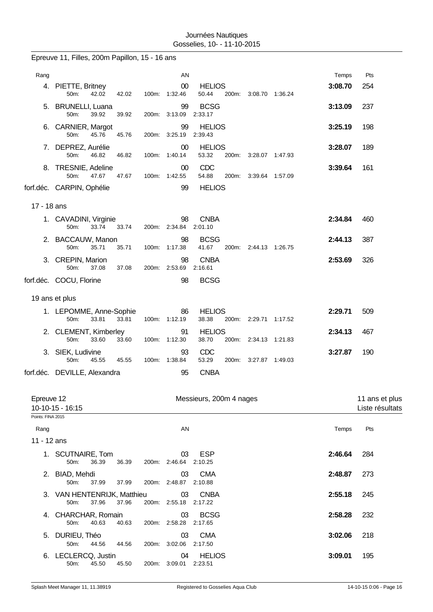|                     | Epreuve 11, Filles, 200m Papillon, 15 - 16 ans        |       |                             |                          |                       |         |                                   |
|---------------------|-------------------------------------------------------|-------|-----------------------------|--------------------------|-----------------------|---------|-----------------------------------|
| Rang                |                                                       |       | AN                          |                          |                       | Temps   | Pts                               |
|                     | 4. PIETTE, Britney<br>42.02<br>50m:<br>42.02          |       | 00<br>100m: 1:32.46         | <b>HELIOS</b><br>50.44   | 200m: 3:08.70 1:36.24 | 3:08.70 | 254                               |
| 5.                  | <b>BRUNELLI, Luana</b><br>50m:<br>39.92<br>39.92      |       | 99<br>200m: 3:13.09         | <b>BCSG</b><br>2:33.17   |                       | 3:13.09 | 237                               |
| 6.                  | CARNIER, Margot<br>45.76<br>50m:<br>45.76             |       | 99<br>200m: 3:25.19         | <b>HELIOS</b><br>2:39.43 |                       | 3:25.19 | 198                               |
|                     | 7. DEPREZ, Aurélie<br>50m:<br>46.82<br>46.82          |       | 00<br>100m: 1:40.14         | <b>HELIOS</b><br>53.32   | 200m: 3:28.07 1:47.93 | 3:28.07 | 189                               |
|                     | 8. TRESNIE, Adeline<br>50m:<br>47.67<br>47.67         |       | $00\,$<br>100m: 1:42.55     | CDC<br>54.88<br>200m:    | 3:39.64 1:57.09       | 3:39.64 | 161                               |
|                     | forf.déc. CARPIN, Ophélie                             |       | 99                          | <b>HELIOS</b>            |                       |         |                                   |
| 17 - 18 ans         |                                                       |       |                             |                          |                       |         |                                   |
|                     | 1. CAVADINI, Virginie                                 |       | 98                          | <b>CNBA</b>              |                       | 2:34.84 | 460                               |
|                     | 50m:<br>33.74<br>33.74                                |       | 200m: 2:34.84               | 2:01.10                  |                       |         |                                   |
|                     | 2. BACCAUW, Manon<br>50m:<br>35.71<br>35.71           |       | 98<br>100m: 1:17.38         | <b>BCSG</b><br>41.67     | 200m: 2:44.13 1:26.75 | 2:44.13 | 387                               |
|                     | 3. CREPIN, Marion<br>50m:<br>37.08<br>37.08           |       | 98<br>200m: 2:53.69         | <b>CNBA</b><br>2:16.61   |                       | 2:53.69 | 326                               |
|                     | forf.déc. COCU, Florine                               |       | 98                          | <b>BCSG</b>              |                       |         |                                   |
|                     | 19 ans et plus                                        |       |                             |                          |                       |         |                                   |
|                     | 1. LEPOMME, Anne-Sophie<br>50m:<br>33.81<br>33.81     |       | 86<br>100m: 1:12.19         | <b>HELIOS</b><br>38.38   | 200m: 2:29.71 1:17.52 | 2:29.71 | 509                               |
|                     | 2. CLEMENT, Kimberley<br>50m:<br>33.60<br>33.60       | 100m: | 91<br>1:12.30               | <b>HELIOS</b><br>38.70   | 200m: 2:34.13 1:21.83 | 2:34.13 | 467                               |
|                     | 3. SIEK, Ludivine<br>50m:<br>45.55<br>45.55           |       | 93<br>100m: 1:38.84         | CDC<br>53.29             | 200m: 3:27.87 1:49.03 | 3:27.87 | 190                               |
|                     | forf.déc. DEVILLE, Alexandra                          |       | 95                          | <b>CNBA</b>              |                       |         |                                   |
| Epreuve 12          | 10-10-15 - 16:15                                      |       |                             | Messieurs, 200m 4 nages  |                       |         | 11 ans et plus<br>Liste résultats |
| Points: FINA 2015   |                                                       |       |                             |                          |                       |         |                                   |
| Rang<br>11 - 12 ans |                                                       |       | AN                          |                          |                       | Temps   | Pts                               |
|                     | 1. SCUTNAIRE, Tom<br>50m:<br>36.39<br>36.39           |       | 03<br>200m: 2:46.64         | <b>ESP</b><br>2:10.25    |                       | 2:46.64 | 284                               |
|                     | 2. BIAD, Mehdi<br>37.99<br>37.99<br>50m:              |       | 03<br>200m: 2:48.87 2:10.88 | <b>CMA</b>               |                       | 2:48.87 | 273                               |
|                     | 3. VAN HENTENRIJK, Matthieu<br>50m:<br>37.96<br>37.96 |       | 03<br>200m: 2:55.18         | <b>CNBA</b><br>2:17.22   |                       | 2:55.18 | 245                               |
|                     | 4. CHARCHAR, Romain<br>50m:<br>40.63<br>40.63         |       | 03<br>200m: 2:58.28         | <b>BCSG</b><br>2:17.65   |                       | 2:58.28 | 232                               |
|                     | 5. DURIEU, Théo<br>50m:<br>44.56<br>44.56             |       | 03<br>200m: 3:02.06         | <b>CMA</b><br>2:17.50    |                       | 3:02.06 | 218                               |
|                     | 6. LECLERCQ, Justin<br>50m:<br>45.50<br>45.50         |       | 04<br>200m: 3:09.01         | <b>HELIOS</b><br>2:23.51 |                       | 3:09.01 | 195                               |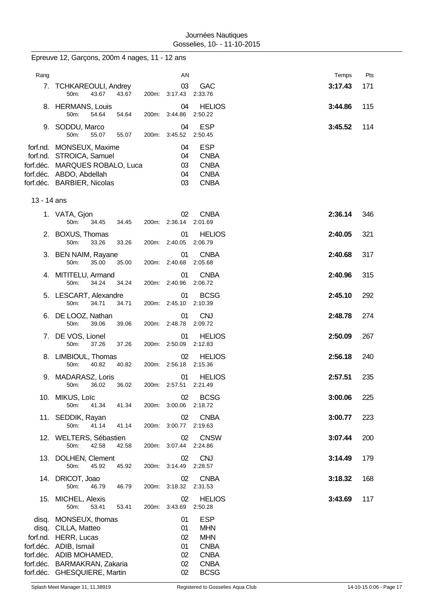|             | Epreuve 12, Garçons, 200m 4 nages, 11 - 12 ans                                                                                                                                            |       |                                            |                                                                                                    |         |     |
|-------------|-------------------------------------------------------------------------------------------------------------------------------------------------------------------------------------------|-------|--------------------------------------------|----------------------------------------------------------------------------------------------------|---------|-----|
| Rang        |                                                                                                                                                                                           |       | AN                                         |                                                                                                    | Temps   | Pts |
| 7.          | <b>TCHKAREOULI, Andrey</b><br>43.67<br>50m:                                                                                                                                               | 43.67 | 03<br>200m: 3:17.43                        | <b>GAC</b><br>2:33.76                                                                              | 3:17.43 | 171 |
|             | 8. HERMANS, Louis<br>50m:<br>54.64                                                                                                                                                        | 54.64 | 04<br>200m: 3:44.86                        | <b>HELIOS</b><br>2:50.22                                                                           | 3:44.86 | 115 |
|             | 9. SODDU, Marco<br>50m:<br>55.07                                                                                                                                                          | 55.07 | 04<br>200m: 3:45.52                        | <b>ESP</b><br>2:50.45                                                                              | 3:45.52 | 114 |
|             | forf.nd. MONSEUX, Maxime<br>forf.nd. STROICA, Samuel<br>forf.déc. MARQUES ROBALO, Luca<br>forf.déc. ABDO, Abdellah<br>forf.déc. BARBIER, Nicolas                                          |       | 04<br>04<br>03<br>04<br>03                 | <b>ESP</b><br><b>CNBA</b><br><b>CNBA</b><br><b>CNBA</b><br><b>CNBA</b>                             |         |     |
| 13 - 14 ans |                                                                                                                                                                                           |       |                                            |                                                                                                    |         |     |
|             | 1. VATA, Gjon<br>50m:<br>34.45                                                                                                                                                            | 34.45 | 02<br>200m: 2:36.14                        | <b>CNBA</b><br>2:01.69                                                                             | 2:36.14 | 346 |
|             | 2. BOXUS, Thomas<br>50m:<br>33.26                                                                                                                                                         | 33.26 | 01<br>200m: 2:40.05                        | <b>HELIOS</b><br>2:06.79                                                                           | 2:40.05 | 321 |
|             | 3. BEN NAIM, Rayane<br>50m:<br>35.00                                                                                                                                                      | 35.00 | 01<br>200m: 2:40.68                        | <b>CNBA</b><br>2:05.68                                                                             | 2:40.68 | 317 |
|             | 4. MITITELU, Armand<br>50m:<br>34.24                                                                                                                                                      | 34.24 | 01<br>200m: 2:40.96                        | <b>CNBA</b><br>2:06.72                                                                             | 2:40.96 | 315 |
|             | 5. LESCART, Alexandre<br>50m:<br>34.71                                                                                                                                                    | 34.71 | 01<br>200m: 2:45.10                        | <b>BCSG</b><br>2:10.39                                                                             | 2:45.10 | 292 |
|             | 6. DE LOOZ, Nathan<br>50m:<br>39.06                                                                                                                                                       | 39.06 | 01<br>200m: 2:48.78                        | <b>CNJ</b><br>2:09.72                                                                              | 2:48.78 | 274 |
|             | 7. DE VOS, Lionel<br>50m:<br>37.26                                                                                                                                                        | 37.26 | 01<br>200m: 2:50.09                        | <b>HELIOS</b><br>2:12.83                                                                           | 2:50.09 | 267 |
| 8.          | LIMBIOUL, Thomas<br>40.82<br>50m:                                                                                                                                                         | 40.82 | 02<br>200m: 2:56.18 2:15.36                | <b>HELIOS</b>                                                                                      | 2:56.18 | 240 |
|             | 9. MADARASZ, Loris<br>50m:<br>36.02                                                                                                                                                       | 36.02 | 200m: 2:57.51 2:21.49                      | 01 HELIOS                                                                                          | 2:57.51 | 235 |
|             | 10. MIKUS, Loïc<br>50m:<br>41.34                                                                                                                                                          | 41.34 | 02<br>200m: 3:00.06 2:18.72                | <b>BCSG</b>                                                                                        | 3:00.06 | 225 |
|             | 11. SEDDIK, Rayan<br>41.14<br>50m:                                                                                                                                                        | 41.14 | 02<br>200m: 3:00.77                        | <b>CNBA</b><br>2:19.63                                                                             | 3:00.77 | 223 |
|             | 12. WELTERS, Sébastien<br>50m:<br>42.58                                                                                                                                                   | 42.58 | 02<br>200m: 3:07.44                        | <b>CNSW</b><br>2:24.86                                                                             | 3:07.44 | 200 |
|             | 13. DOLHEN, Clement<br>50m:<br>45.92                                                                                                                                                      | 45.92 | 02<br>200m: 3:14.49                        | <b>CNJ</b><br>2:28.57                                                                              | 3:14.49 | 179 |
|             | 14. DRICOT, Joao<br>50m:<br>46.79                                                                                                                                                         | 46.79 | 02<br>200m: 3:18.32                        | <b>CNBA</b><br>2:31.53                                                                             | 3:18.32 | 168 |
|             | 15. MICHEL, Alexis<br>50m:<br>53.41                                                                                                                                                       | 53.41 | 02<br>200m: 3:43.69                        | <b>HELIOS</b><br>2:50.28                                                                           | 3:43.69 | 117 |
|             | disq. MONSEUX, thomas<br>disq. CILLA, Matteo<br>forf.nd. HERR, Lucas<br>forf.déc. ADIB, Ismail<br>forf.déc. ADIB MOHAMED,<br>forf.déc. BARMAKRAN, Zakaria<br>forf.déc. GHESQUIERE, Martin |       | 01<br>01<br>02<br>01<br>02<br>02<br>$02\,$ | <b>ESP</b><br><b>MHN</b><br><b>MHN</b><br><b>CNBA</b><br><b>CNBA</b><br><b>CNBA</b><br><b>BCSG</b> |         |     |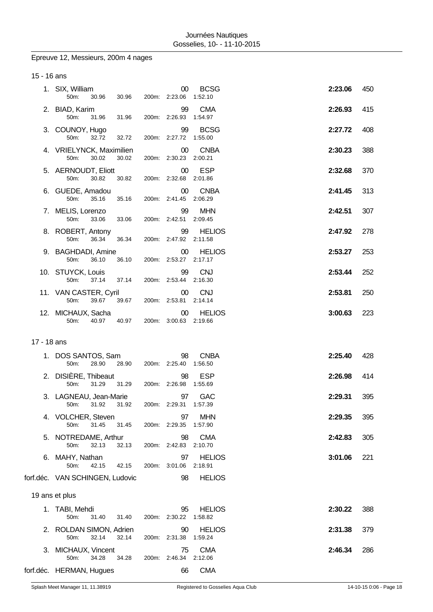# Epreuve 12, Messieurs, 200m 4 nages

| 15 - 16 ans |                                  |       |       |                                  |                          |         |     |
|-------------|----------------------------------|-------|-------|----------------------------------|--------------------------|---------|-----|
|             | 1. SIX, William<br>50m:          | 30.96 | 30.96 | 00 <sup>°</sup><br>200m: 2:23.06 | <b>BCSG</b><br>1:52.10   | 2:23.06 | 450 |
|             | 2. BIAD, Karim<br>50m:           | 31.96 | 31.96 | 99<br>200m: 2:26.93              | <b>CMA</b><br>1:54.97    | 2:26.93 | 415 |
|             | 3. COUNOY, Hugo<br>50m:          | 32.72 | 32.72 | 99<br>200m: 2:27.72              | <b>BCSG</b><br>1:55.00   | 2:27.72 | 408 |
|             | 4. VRIELYNCK, Maximilien<br>50m: | 30.02 | 30.02 | $00\,$<br>200m: 2:30.23 2:00.21  | <b>CNBA</b>              | 2:30.23 | 388 |
|             | 5. AERNOUDT, Eliott<br>50m:      | 30.82 | 30.82 | $00\,$<br>200m: 2:32.68 2:01.86  | ESP                      | 2:32.68 | 370 |
|             | 6. GUEDE, Amadou<br>50m:         | 35.16 | 35.16 | $00\,$<br>200m: 2:41.45          | <b>CNBA</b><br>2:06.29   | 2:41.45 | 313 |
|             | 7. MELIS, Lorenzo<br>50m:        | 33.06 | 33.06 | 99<br>200m: 2:42.51              | <b>MHN</b><br>2:09.45    | 2:42.51 | 307 |
|             | 8. ROBERT, Antony<br>50m:        | 36.34 | 36.34 | 99<br>200m: 2:47.92 2:11.58      | <b>HELIOS</b>            | 2:47.92 | 278 |
|             | 9. BAGHDADI, Amine<br>50m:       | 36.10 | 36.10 | $00\,$<br>200m: 2:53.27 2:17.17  | <b>HELIOS</b>            | 2:53.27 | 253 |
|             | 10. STUYCK, Louis<br>50m:        | 37.14 | 37.14 | 99<br>200m: 2:53.44 2:16.30      | <b>CNJ</b>               | 2:53.44 | 252 |
|             | 11. VAN CASTER, Cyril<br>50m:    | 39.67 | 39.67 | $00\,$<br>200m: 2:53.81 2:14.14  | <b>CNJ</b>               | 2:53.81 | 250 |
|             | 12. MICHAUX, Sacha<br>50m:       | 40.97 | 40.97 | 00<br>200m: 3:00.63 2:19.66      | <b>HELIOS</b>            | 3:00.63 | 223 |
| 17 - 18 ans |                                  |       |       |                                  |                          |         |     |
|             | 1. DOS SANTOS, Sam<br>50m:       | 28.90 | 28.90 | 98<br>200m: 2:25.40              | <b>CNBA</b><br>1:56.50   | 2:25.40 | 428 |
|             | 2. DISIÈRE, Thibeaut<br>50m:     | 31.29 | 31.29 | 98<br>200m: 2:26.98              | <b>ESP</b><br>1:55.69    | 2:26.98 | 414 |
|             | 3. LAGNEAU, Jean-Marie<br>50m:   | 31.92 | 31.92 | $97\,$<br>200m: 2.29.31 1:57.39  | GAC                      | 2:29.31 | 395 |
|             | 4. VOLCHER, Steven<br>50m:       | 31.45 | 31.45 | 97<br>200m: 2:29.35              | <b>MHN</b><br>1:57.90    | 2:29.35 | 395 |
|             | 5. NOTREDAME, Arthur<br>50m:     | 32.13 | 32.13 | 98<br>200m: 2:42.83 2:10.70      | <b>CMA</b>               | 2:42.83 | 305 |
|             | 6. MAHY, Nathan<br>50m:          | 42.15 | 42.15 | 97<br>200m: 3:01.06              | <b>HELIOS</b><br>2:18.91 | 3:01.06 | 221 |
|             | forf.déc. VAN SCHINGEN, Ludovic  |       |       | 98                               | <b>HELIOS</b>            |         |     |
|             | 19 ans et plus                   |       |       |                                  |                          |         |     |
|             | 1. TABI, Mehdi<br>50m:           | 31.40 | 31.40 | 95<br>200m: 2:30.22              | <b>HELIOS</b><br>1:58.82 | 2:30.22 | 388 |
|             | 2. ROLDAN SIMON, Adrien<br>50m:  | 32.14 | 32.14 | 90<br>200m: 2:31.38              | <b>HELIOS</b><br>1:59.24 | 2:31.38 | 379 |
|             | 3. MICHAUX, Vincent<br>50m:      | 34.28 | 34.28 | 75<br>200m: 2:46.34 2:12.06      | <b>CMA</b>               | 2:46.34 | 286 |
|             |                                  |       |       |                                  |                          |         |     |

forf.déc. HERMAN, Hugues 66 CMA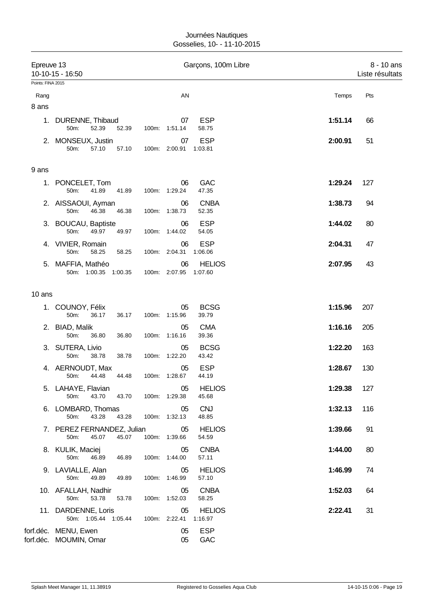| Epreuve 13<br>Points: FINA 2015 | 10-10-15 - 16:50                               |                |                     | Garçons, 100m Libre      |         | 8 - 10 ans<br>Liste résultats |
|---------------------------------|------------------------------------------------|----------------|---------------------|--------------------------|---------|-------------------------------|
| Rang<br>8 ans                   |                                                |                | AN                  |                          | Temps   | Pts                           |
| 1.                              | DURENNE, Thibaud<br>52.39<br>50m:              | 52.39          | 07<br>100m: 1:51.14 | <b>ESP</b><br>58.75      | 1:51.14 | 66                            |
|                                 | 2. MONSEUX, Justin<br>50m:<br>57.10            | 57.10          | 07<br>100m: 2:00.91 | <b>ESP</b><br>1:03.81    | 2:00.91 | 51                            |
| 9 ans                           |                                                |                |                     |                          |         |                               |
| 1.                              | PONCELET, Tom<br>50m:<br>41.89                 | 41.89          | 06<br>100m: 1:29.24 | <b>GAC</b><br>47.35      | 1:29.24 | 127                           |
|                                 | 2. AISSAOUI, Ayman<br>50m:<br>46.38            | 46.38          | 06<br>100m: 1:38.73 | <b>CNBA</b><br>52.35     | 1:38.73 | 94                            |
|                                 | 3. BOUCAU, Baptiste<br>50m:<br>49.97           | 49.97          | 06<br>100m: 1:44.02 | <b>ESP</b><br>54.05      | 1:44.02 | 80                            |
|                                 | 4. VIVIER, Romain<br>50m:<br>58.25             | 58.25          | 06<br>100m: 2:04.31 | <b>ESP</b><br>1:06.06    | 2:04.31 | 47                            |
| 5.                              | MAFFIA, Mathéo<br>50m: 1:00.35 1:00.35         |                | 06<br>100m: 2:07.95 | <b>HELIOS</b><br>1:07.60 | 2:07.95 | 43                            |
| 10 ans                          |                                                |                |                     |                          |         |                               |
|                                 | 1. COUNOY, Félix<br>50m:<br>36.17              | 36.17<br>100m: | 05<br>1:15.96       | <b>BCSG</b><br>39.79     | 1:15.96 | 207                           |
|                                 | 2. BIAD, Malik<br>50m:<br>36.80                | 36.80          | 05<br>100m: 1:16.16 | <b>CMA</b><br>39.36      | 1:16.16 | 205                           |
|                                 | 3. SUTERA, Livio<br>50m:<br>38.78              | 38.78          | 05<br>100m: 1:22.20 | <b>BCSG</b><br>43.42     | 1:22.20 | 163                           |
|                                 | 4. AERNOUDT, Max<br>50m:<br>44.48              | 44.48          | 05<br>100m: 1:28.67 | <b>ESP</b><br>44.19      | 1:28.67 | 130                           |
|                                 | 5. LAHAYE, Flavian<br>50m:<br>43.70            | 43.70          | 05<br>100m: 1:29.38 | <b>HELIOS</b><br>45.68   | 1:29.38 | 127                           |
|                                 | 6. LOMBARD, Thomas<br>50m:<br>43.28            | 43.28          | 05<br>100m: 1:32.13 | <b>CNJ</b><br>48.85      | 1:32.13 | 116                           |
|                                 | 7. PEREZ FERNANDEZ, Julian<br>50m:<br>45.07    | 45.07          | 05<br>100m: 1:39.66 | <b>HELIOS</b><br>54.59   | 1:39.66 | 91                            |
|                                 | 8. KULIK, Maciej<br>50m:<br>46.89              | 46.89          | 05<br>100m: 1:44.00 | <b>CNBA</b><br>57.11     | 1:44.00 | 80                            |
|                                 | 9. LAVIALLE, Alan<br>50m:<br>49.89             | 49.89          | 05<br>100m: 1:46.99 | <b>HELIOS</b><br>57.10   | 1:46.99 | 74                            |
|                                 | 10. AFALLAH, Nadhir<br>53.78<br>50m:           | 53.78          | 05<br>100m: 1:52.03 | <b>CNBA</b><br>58.25     | 1:52.03 | 64                            |
|                                 | 11. DARDENNE, Loris<br>50m: 1:05.44 1:05.44    |                | 05<br>100m: 2:22.41 | <b>HELIOS</b><br>1:16.97 | 2:22.41 | 31                            |
|                                 | forf.déc. MENU, Ewen<br>forf.déc. MOUMIN, Omar |                | 05<br>05            | <b>ESP</b><br>GAC        |         |                               |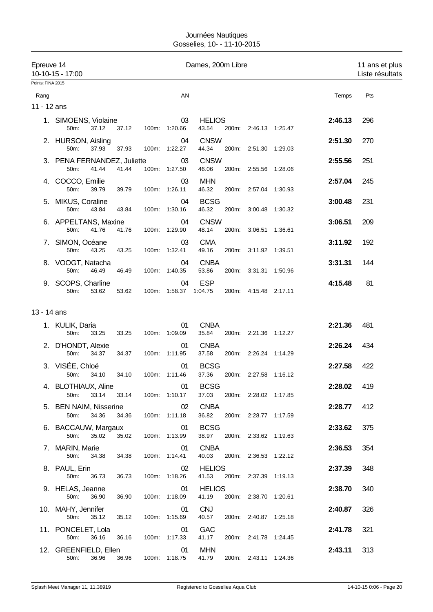| Epreuve 14        | 10-10-15 - 17:00                             |                     |                             | Dames, 200m Libre      |       |                       |         | 11 ans et plus<br>Liste résultats |
|-------------------|----------------------------------------------|---------------------|-----------------------------|------------------------|-------|-----------------------|---------|-----------------------------------|
| Points: FINA 2015 |                                              |                     |                             |                        |       |                       |         |                                   |
| Rang              |                                              |                     | AN                          |                        |       |                       | Temps   | Pts                               |
| 11 - 12 ans       |                                              |                     |                             |                        |       |                       |         |                                   |
|                   | 1. SIMOENS, Violaine<br>37.12<br>50m:        | 37.12               | 03<br>100m: 1:20.66         | <b>HELIOS</b><br>43.54 |       | 200m: 2:46.13 1:25.47 | 2:46.13 | 296                               |
|                   | 2. HURSON, Aisling<br>50m:<br>37.93          | 37.93               | 04<br>100m: 1:22.27         | <b>CNSW</b><br>44.34   |       | 200m: 2:51.30 1:29.03 | 2:51.30 | 270                               |
|                   | 3. PENA FERNANDEZ, Juliette<br>50m:<br>41.44 | 41.44               | 03<br>100m: 1:27.50         | <b>CNSW</b><br>46.06   |       | 200m: 2:55.56 1:28.06 | 2:55.56 | 251                               |
|                   | 4. COCCO, Emilie<br>50m:<br>39.79            | 39.79               | 03<br>100m: 1:26.11         | <b>MHN</b><br>46.32    |       | 200m: 2:57.04 1:30.93 | 2:57.04 | 245                               |
| 5.                | MIKUS, Coraline<br>50m:<br>43.84             | 43.84               | 04<br>100m: 1:30.16         | <b>BCSG</b><br>46.32   | 200m: | 3:00.48 1:30.32       | 3:00.48 | 231                               |
|                   | 6. APPELTANS, Maxine<br>50m:<br>41.76        | 41.76               | 04<br>100m: 1:29.90         | <b>CNSW</b><br>48.14   | 200m: | 3:06.51 1:36.61       | 3:06.51 | 209                               |
|                   | 7. SIMON, Océane<br>50m:<br>43.25            | 43.25               | 03<br>100m: 1:32.41         | <b>CMA</b><br>49.16    |       | 200m: 3:11.92 1:39.51 | 3:11.92 | 192                               |
|                   | 8. VOOGT, Natacha<br>50m:<br>46.49           | 46.49               | 04<br>100m: 1:40.35         | <b>CNBA</b><br>53.86   |       | 200m: 3:31.31 1:50.96 | 3:31.31 | 144                               |
|                   | 9. SCOPS, Charline<br>50m:<br>53.62          | 53.62               | 04<br>100m: 1:58.37 1:04.75 | <b>ESP</b>             |       | 200m: 4:15.48 2:17.11 | 4:15.48 | 81                                |
| 13 - 14 ans       |                                              |                     |                             |                        |       |                       |         |                                   |
|                   |                                              |                     | 01                          | <b>CNBA</b>            |       |                       | 2:21.36 | 481                               |
|                   | 1. KULIK, Daria<br>50m:<br>33.25             | 33.25               | 100m: 1:09.09               | 35.84                  |       | 200m: 2:21.36 1:12.27 |         |                                   |
|                   | 2. D'HONDT, Alexie<br>50m:<br>34.37          | 34.37               | 01<br>100m: 1:11.95         | <b>CNBA</b><br>37.58   |       | 200m: 2:26.24 1:14.29 | 2:26.24 | 434                               |
|                   | 3. VISÉE, Chloé<br>50m:<br>34.10             | 34.10               | 01<br>100m: 1:11.46         | <b>BCSG</b><br>37.36   |       | 200m: 2:27.58 1:16.12 | 2:27.58 | 422                               |
|                   | 4. BLOTHIAUX, Aline<br>33.14<br>50m:         | 33.14               | 01<br>100m: 1:10.17         | <b>BCSG</b><br>37.03   |       | 200m: 2:28.02 1:17.85 | 2:28.02 | 419                               |
|                   | 5. BEN NAIM, Nisserine<br>50m:<br>34.36      | 34.36               | 02<br>100m: 1:11.18         | <b>CNBA</b><br>36.82   |       | 200m: 2:28.77 1:17.59 | 2:28.77 | 412                               |
|                   | 6. BACCAUW, Margaux<br>50m:<br>35.02         | 35.02               | 01<br>100m: 1:13.99         | <b>BCSG</b><br>38.97   |       | 200m: 2:33.62 1:19.63 | 2:33.62 | 375                               |
|                   | 7. MARIN, Marie<br>50m:<br>34.38             | 34.38               | 01<br>100m: 1:14.41         | <b>CNBA</b><br>40.03   |       | 200m: 2:36.53 1:22.12 | 2:36.53 | 354                               |
|                   | 8. PAUL, Erin<br>50m:<br>36.73               | 36.73               | 02<br>100m: 1:18.26         | <b>HELIOS</b><br>41.53 |       | 200m: 2:37.39 1:19.13 | 2:37.39 | 348                               |
|                   | 9. HELAS, Jeanne<br>50m:<br>36.90            | 36.90               | 01<br>100m: 1:18.09         | <b>HELIOS</b><br>41.19 |       | 200m: 2:38.70 1:20.61 | 2:38.70 | 340                               |
|                   | 10. MAHY, Jennifer<br>50m:<br>35.12          | 35.12               | 01<br>100m: 1:15.69         | <b>CNJ</b><br>40.57    |       | 200m: 2:40.87 1:25.18 | 2:40.87 | 326                               |
|                   | 11. PONCELET, Lola<br>50m:<br>36.16          | 36.16               | 01<br>100m: 1:17.33         | <b>GAC</b><br>41.17    |       | 200m: 2:41.78 1:24.45 | 2:41.78 | 321                               |
|                   | 12. GREENFIELD, Ellen<br>50m: 36.96          | 36.96 100m: 1:18.75 | 01                          | <b>MHN</b><br>41.79    |       | 200m: 2:43.11 1:24.36 | 2:43.11 | 313                               |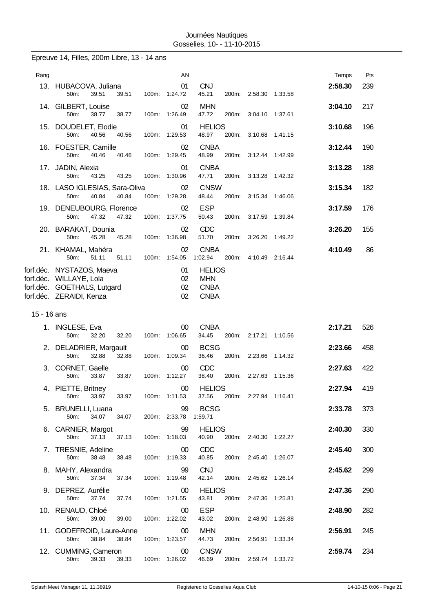| Epreuve 14, Filles, 200m Libre, 13 - 14 ans |  |  |  |  |  |  |  |
|---------------------------------------------|--|--|--|--|--|--|--|
|---------------------------------------------|--|--|--|--|--|--|--|

| Rang        |                                                                                                                 |       |       |       | AN                          |                                                           |       |                       |         | Temps   | Pts |
|-------------|-----------------------------------------------------------------------------------------------------------------|-------|-------|-------|-----------------------------|-----------------------------------------------------------|-------|-----------------------|---------|---------|-----|
|             | 13. HUBACOVA, Juliana<br>50m:                                                                                   | 39.51 | 39.51 |       | 01<br>100m: 1:24.72         | <b>CNJ</b><br>45.21                                       |       | 200m: 2:58.30 1:33.58 |         | 2:58.30 | 239 |
|             | 14. GILBERT, Louise<br>50m:                                                                                     | 38.77 | 38.77 |       | 02<br>100m: 1:26.49         | <b>MHN</b><br>47.72                                       | 200m: | 3:04.10 1:37.61       |         | 3:04.10 | 217 |
|             | 15. DOUDELET, Elodie<br>50m:                                                                                    | 40.56 | 40.56 |       | 01<br>100m: 1:29.53         | <b>HELIOS</b><br>48.97                                    | 200m: | 3:10.68               | 1:41.15 | 3:10.68 | 196 |
|             | 16. FOESTER, Camille<br>50m:                                                                                    | 40.46 | 40.46 |       | 02<br>100m: 1:29.45         | <b>CNBA</b><br>48.99                                      |       | 200m: 3:12.44 1:42.99 |         | 3:12.44 | 190 |
|             | 17. JADIN, Alexia<br>50m:                                                                                       | 43.25 | 43.25 |       | 01<br>100m: 1:30.96         | <b>CNBA</b><br>47.71                                      |       | 200m: 3:13.28 1:42.32 |         | 3:13.28 | 188 |
|             | 18. LASO IGLESIAS, Sara-Oliva<br>50m:                                                                           | 40.84 | 40.84 | 100m: | 02<br>1:29.28               | <b>CNSW</b><br>48.44                                      | 200m: | 3:15.34               | 1:46.06 | 3:15.34 | 182 |
|             | 19. DENEUBOURG, Florence<br>50m:                                                                                | 47.32 | 47.32 | 100m: | 02<br>1:37.75               | <b>ESP</b><br>50.43                                       |       | 200m: 3:17.59 1:39.84 |         | 3:17.59 | 176 |
|             | 20. BARAKAT, Dounia<br>50m:                                                                                     | 45.28 | 45.28 |       | 02<br>100m: 1:36.98         | <b>CDC</b><br>51.70                                       | 200m: | 3:26.20 1:49.22       |         | 3:26.20 | 155 |
|             | 21. KHAMAL, Mahéra<br>50m:                                                                                      | 51.11 | 51.11 | 100m: | 02<br>1:54.05               | <b>CNBA</b><br>1:02.94                                    | 200m: | 4:10.49 2:16.44       |         | 4:10.49 | 86  |
|             | forf.déc. NYSTAZOS, Maeva<br>forf.déc. WILLAYE, Lola<br>forf.déc. GOETHALS, Lutgard<br>forf.déc. ZERAIDI, Kenza |       |       |       | 01<br>02<br>02<br>02        | <b>HELIOS</b><br><b>MHN</b><br><b>CNBA</b><br><b>CNBA</b> |       |                       |         |         |     |
|             |                                                                                                                 |       |       |       |                             |                                                           |       |                       |         |         |     |
| 15 - 16 ans |                                                                                                                 |       |       |       |                             |                                                           |       |                       |         |         |     |
|             | 1. INGLESE, Eva<br>50m:                                                                                         | 32.20 | 32.20 | 100m: | $00\,$<br>1:06.65           | <b>CNBA</b><br>34.45                                      |       | 200m: 2:17.21         | 1:10.56 | 2:17.21 | 526 |
|             | 2. DELADRIER, Margault<br>50m:                                                                                  | 32.88 | 32.88 |       | $00\,$<br>100m: 1:09.34     | <b>BCSG</b><br>36.46                                      |       | 200m: 2:23.66 1:14.32 |         | 2:23.66 | 458 |
|             | 3. CORNET, Gaelle<br>50m:                                                                                       | 33.87 | 33.87 |       | $00\,$<br>100m: 1:12.27     | CDC<br>38.40                                              |       | 200m: 2:27.63 1:15.36 |         | 2:27.63 | 422 |
|             | 4. PIETTE, Britney<br>50m:                                                                                      | 33.97 | 33.97 |       | 00<br>100m: 1:11.53         | <b>HELIOS</b><br>37.56                                    |       | 200m: 2:27.94 1:16.41 |         | 2:27.94 | 419 |
|             | 5. BRUNELLI, Luana<br>50m:                                                                                      | 34.07 | 34.07 |       | 99<br>200m: 2:33.78 1:59.71 | <b>BCSG</b>                                               |       |                       |         | 2:33.78 | 373 |
|             | 6. CARNIER, Margot<br>50m:                                                                                      | 37.13 | 37.13 |       | 99<br>100m: 1:18.03         | <b>HELIOS</b><br>40.90                                    |       | 200m: 2:40.30 1:22.27 |         | 2:40.30 | 330 |
|             | 7. TRESNIE, Adeline<br>50m:                                                                                     | 38.48 | 38.48 |       | 00<br>100m: 1:19.33         | <b>CDC</b><br>40.85                                       |       | 200m: 2:45.40 1:26.07 |         | 2:45.40 | 300 |
|             | 8. MAHY, Alexandra<br>50m:                                                                                      | 37.34 | 37.34 |       | 99<br>100m: 1:19.48         | <b>CNJ</b><br>42.14                                       |       | 200m: 2:45.62 1:26.14 |         | 2:45.62 | 299 |
|             | 9. DEPREZ, Aurélie<br>50m:                                                                                      | 37.74 | 37.74 |       | 00<br>100m: 1:21.55         | <b>HELIOS</b><br>43.81                                    |       | 200m: 2:47.36 1:25.81 |         | 2:47.36 | 290 |
|             | 10. RENAUD, Chloé<br>50m:                                                                                       | 39.00 | 39.00 |       | 00<br>100m: 1:22.02         | <b>ESP</b><br>43.02                                       |       | 200m: 2:48.90 1:26.88 |         | 2:48.90 | 282 |

50m: 39.33 39.33 100m: 1:26.02 46.69 200m: 2:59.74 1:33.72

12. CUMMING, Cameron **00** CNSW **2:59.74** 234<br>
50m: 39.33 39.33 100m: 1:26.02 46.69 200m: 2:59.74 1:33.72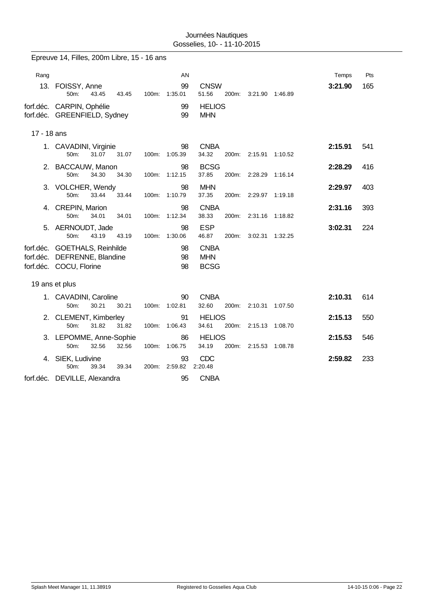|             | Epreuve 14, Filles, 200m Libre, 15 - 16 ans         |       |                     |                                 |                       |                 |         |     |
|-------------|-----------------------------------------------------|-------|---------------------|---------------------------------|-----------------------|-----------------|---------|-----|
|             |                                                     |       |                     |                                 |                       |                 |         |     |
| Rang        |                                                     |       | AN<br>99            | <b>CNSW</b>                     |                       |                 | Temps   | Pts |
|             | 13. FOISSY, Anne<br>50m:<br>43.45<br>43.45          |       | 100m: 1:35.01       | 51.56                           | 200m: 3:21.90 1:46.89 |                 | 3:21.90 | 165 |
|             | forf.déc. CARPIN, Ophélie                           |       | 99                  | <b>HELIOS</b>                   |                       |                 |         |     |
|             | forf.déc. GREENFIELD, Sydney                        |       | 99                  | <b>MHN</b>                      |                       |                 |         |     |
| 17 - 18 ans |                                                     |       |                     |                                 |                       |                 |         |     |
|             | 1. CAVADINI, Virginie                               |       | 98                  | <b>CNBA</b>                     |                       |                 | 2:15.91 | 541 |
|             | 50m:<br>31.07<br>31.07                              | 100m: | 1:05.39             | 34.32<br>200m:                  | 2:15.91               | 1:10.52         |         |     |
|             | 2. BACCAUW, Manon                                   |       | 98                  | <b>BCSG</b>                     |                       |                 | 2:28.29 | 416 |
|             | 34.30<br>34.30<br>50m:                              |       | 100m: 1:12.15       | 37.85<br>200m:                  | 2:28.29               | 1:16.14         |         |     |
|             | 3. VOLCHER, Wendy<br>50m:<br>33.44<br>33.44         | 100m: | 98<br>1:10.79       | <b>MHN</b><br>37.35<br>200m:    | 2:29.97               | 1:19.18         | 2:29.97 | 403 |
|             | 4. CREPIN, Marion                                   |       | 98                  | <b>CNBA</b>                     |                       |                 | 2:31.16 | 393 |
|             | 50m:<br>34.01<br>34.01                              | 100m: | 1:12.34             | 38.33<br>200m:                  | 2:31.16               | 1:18.82         |         |     |
|             | 5. AERNOUDT, Jade                                   |       | 98                  | <b>ESP</b>                      |                       |                 | 3:02.31 | 224 |
|             | 50m:<br>43.19<br>43.19                              |       | 100m: 1:30.06       | 46.87<br>200m:                  |                       | 3:02.31 1:32.25 |         |     |
| forf.déc.   | forf.déc. GOETHALS, Reinhilde<br>DEFRENNE, Blandine |       | 98<br>98            | <b>CNBA</b><br><b>MHN</b>       |                       |                 |         |     |
|             | forf.déc. COCU, Florine                             |       | 98                  | <b>BCSG</b>                     |                       |                 |         |     |
|             |                                                     |       |                     |                                 |                       |                 |         |     |
|             | 19 ans et plus                                      |       |                     |                                 |                       |                 |         |     |
|             | 1. CAVADINI, Caroline                               |       | 90                  | <b>CNBA</b>                     |                       |                 | 2:10.31 | 614 |
|             | 30.21<br>50m:<br>30.21                              | 100m: | 1:02.81             | 32.60<br>200m:                  | 2:10.31               | 1:07.50         |         |     |
|             | 2. CLEMENT, Kimberley<br>50m:<br>31.82<br>31.82     |       | 91<br>100m: 1:06.43 | <b>HELIOS</b><br>34.61<br>200m: | 2:15.13               | 1:08.70         | 2:15.13 | 550 |
|             | 3. LEPOMME, Anne-Sophie                             |       | 86                  | <b>HELIOS</b>                   |                       |                 | 2:15.53 | 546 |
|             | 50m:<br>32.56<br>32.56                              | 100m: | 1:06.75             | 34.19<br>200m:                  | 2:15.53               | 1:08.78         |         |     |
|             | 4. SIEK, Ludivine                                   |       | 93                  | <b>CDC</b>                      |                       |                 | 2:59.82 | 233 |
|             | 50m:<br>39.34<br>39.34                              | 200m: | 2:59.82             | 2:20.48                         |                       |                 |         |     |
|             | forf.déc. DEVILLE, Alexandra                        |       | 95                  | <b>CNBA</b>                     |                       |                 |         |     |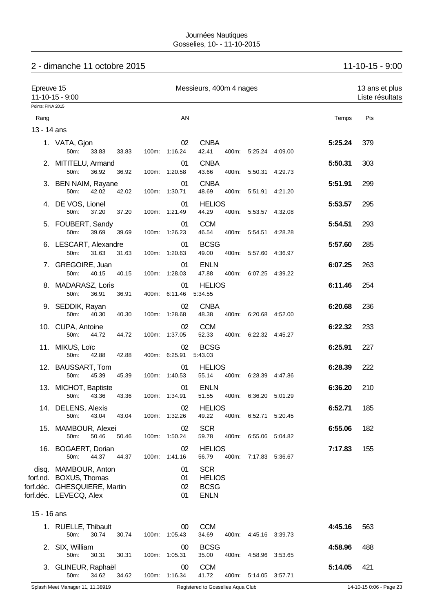# 2 - dimanche 11 octobre 2015 11-10-15 - 9:00

| Epreuve 15        | $11 - 10 - 15 - 9:00$                                                                                    | Messieurs, 400m 4 nages |  |                         |                                                           |       |                       |  | 13 ans et plus<br>Liste résultats |     |
|-------------------|----------------------------------------------------------------------------------------------------------|-------------------------|--|-------------------------|-----------------------------------------------------------|-------|-----------------------|--|-----------------------------------|-----|
| Points: FINA 2015 |                                                                                                          |                         |  |                         |                                                           |       |                       |  |                                   |     |
| Rang              |                                                                                                          |                         |  | AN                      |                                                           |       |                       |  | Temps                             | Pts |
| 13 - 14 ans       |                                                                                                          |                         |  |                         |                                                           |       |                       |  |                                   |     |
|                   | 1. VATA, Gjon<br>50m:<br>33.83                                                                           | 33.83                   |  | 02<br>100m: 1:16.24     | <b>CNBA</b><br>42.41                                      |       | 400m: 5:25.24 4:09.00 |  | 5:25.24                           | 379 |
|                   | 2. MITITELU, Armand<br>50m:<br>36.92                                                                     | 36.92                   |  | 01<br>100m: 1:20.58     | <b>CNBA</b><br>43.66                                      |       | 400m: 5:50.31 4:29.73 |  | 5:50.31                           | 303 |
|                   | 3. BEN NAIM, Rayane<br>50m:<br>42.02                                                                     | 42.02                   |  | 01<br>100m: 1:30.71     | <b>CNBA</b><br>48.69                                      |       | 400m: 5:51.91 4:21.20 |  | 5:51.91                           | 299 |
|                   | 4. DE VOS, Lionel<br>50m:<br>37.20                                                                       | 37.20                   |  | 01<br>100m: 1:21.49     | <b>HELIOS</b><br>44.29                                    |       | 400m: 5:53.57 4:32.08 |  | 5:53.57                           | 295 |
|                   | 5. FOUBERT, Sandy<br>50m:<br>39.69                                                                       | 39.69                   |  | 01<br>100m: 1:26.23     | <b>CCM</b><br>46.54                                       |       | 400m: 5:54.51 4:28.28 |  | 5:54.51                           | 293 |
|                   | 6. LESCART, Alexandre<br>50m:<br>31.63                                                                   | 31.63                   |  | 01<br>100m: 1:20.63     | <b>BCSG</b><br>49.00                                      |       | 400m: 5:57.60 4:36.97 |  | 5:57.60                           | 285 |
|                   | 7. GREGOIRE, Juan                                                                                        |                         |  | 01                      | <b>ENLN</b>                                               |       |                       |  | 6:07.25                           | 263 |
|                   | 50m:<br>40.15<br>8. MADARASZ, Loris                                                                      | 40.15                   |  | 100m: 1:28.03<br>01     | 47.88<br><b>HELIOS</b>                                    | 400m: | 6:07.25 4:39.22       |  | 6:11.46                           | 254 |
|                   | 50m:<br>36.91                                                                                            | 36.91                   |  | 400m: 6:11.46           | 5.34.55                                                   |       |                       |  |                                   |     |
|                   | 9. SEDDIK, Rayan<br>50m:<br>40.30                                                                        | 40.30                   |  | 02<br>100m: 1:28.68     | <b>CNBA</b><br>48.38                                      |       | 400m: 6:20.68 4:52.00 |  | 6:20.68                           | 236 |
|                   | 10. CUPA, Antoine<br>50m:<br>44.72                                                                       | 44.72                   |  | 02<br>100m: 1:37.05     | <b>CCM</b><br>52.33                                       |       | 400m: 6:22.32 4:45.27 |  | 6:22.32                           | 233 |
|                   | 11. MIKUS, Loïc<br>50m:<br>42.88                                                                         | 42.88                   |  | 02<br>400m: 6:25.91     | <b>BCSG</b><br>5:43.03                                    |       |                       |  | 6:25.91                           | 227 |
|                   | 12. BAUSSART, Tom<br>50m:<br>45.39                                                                       | 45.39                   |  | 01<br>100m: 1:40.53     | <b>HELIOS</b><br>55.14                                    |       | 400m: 6:28.39 4:47.86 |  | 6:28.39                           | 222 |
|                   | 13. MICHOT, Baptiste                                                                                     |                         |  | 01                      | <b>ENLN</b>                                               |       |                       |  | 6:36.20                           | 210 |
|                   | 43.36<br>50m:                                                                                            | 43.36                   |  | 100m: 1:34.91           | 51.55                                                     |       | 400m: 6:36.20 5:01.29 |  | 6:52.71                           |     |
|                   | 14. DELENS, Alexis<br>43.04<br>50m:                                                                      | 43.04                   |  | 02<br>100m: 1:32.26     | <b>HELIOS</b><br>49.22                                    |       | 400m: 6:52.71 5:20.45 |  |                                   | 185 |
|                   | 15. MAMBOUR, Alexei<br>50m:<br>50.46                                                                     | 50.46                   |  | 02<br>100m: 1:50.24     | <b>SCR</b><br>59.78                                       |       | 400m: 6:55.06 5:04.82 |  | 6:55.06                           | 182 |
|                   | 16. BOGAERT, Dorian<br>50m:<br>44.37                                                                     | 44.37                   |  | 02<br>100m: 1:41.16     | <b>HELIOS</b><br>56.79                                    | 400m: | 7:17.83 5:36.67       |  | 7:17.83                           | 155 |
|                   | disq. MAMBOUR, Anton<br>forf.nd. BOXUS, Thomas<br>forf.déc. GHESQUIERE, Martin<br>forf.déc. LEVECQ, Alex |                         |  | 01<br>01<br>02<br>01    | <b>SCR</b><br><b>HELIOS</b><br><b>BCSG</b><br><b>ENLN</b> |       |                       |  |                                   |     |
| 15 - 16 ans       |                                                                                                          |                         |  |                         |                                                           |       |                       |  |                                   |     |
|                   | 1. RUELLE, Thibault<br>50m:<br>30.74                                                                     | 30.74                   |  | 00<br>100m: 1:05.43     | <b>CCM</b><br>34.69                                       |       | 400m: 4:45.16 3:39.73 |  | 4:45.16                           | 563 |
|                   | 2. SIX, William<br>50m:<br>30.31                                                                         | 30.31                   |  | $00\,$<br>100m: 1:05.31 | <b>BCSG</b><br>35.00                                      |       | 400m: 4:58.96 3:53.65 |  | 4:58.96                           | 488 |
|                   | 3. GLINEUR, Raphaël<br>50m:<br>34.62                                                                     | 34.62                   |  | 00<br>100m: 1:16.34     | <b>CCM</b><br>41.72                                       |       | 400m: 5:14.05 3:57.71 |  | 5:14.05                           | 421 |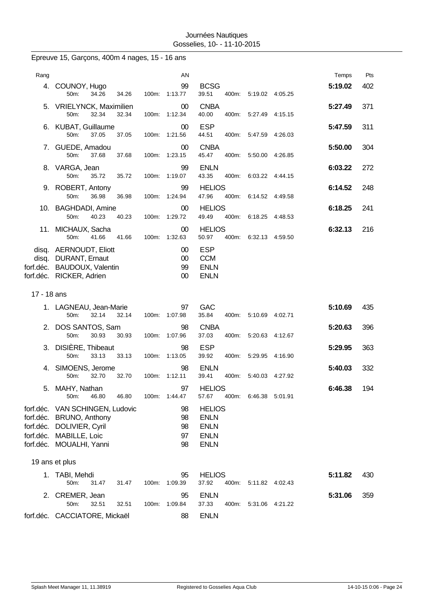|                                     | Epreuve 15, Garçons, 400m 4 nages, 15 - 16 ans                                                                           |                                  |                                                                           |                |
|-------------------------------------|--------------------------------------------------------------------------------------------------------------------------|----------------------------------|---------------------------------------------------------------------------|----------------|
| Rang                                |                                                                                                                          | AN                               |                                                                           | Pts<br>Temps   |
|                                     | 4. COUNOY, Hugo<br>50m:<br>34.26<br>34.26                                                                                | 99<br>100m: 1:13.77              | <b>BCSG</b><br>39.51<br>400m: 5:19.02 4:05.25                             | 5:19.02<br>402 |
| 5.                                  | <b>VRIELYNCK, Maximilien</b><br>50m:<br>32.34<br>32.34                                                                   | 00<br>100m:<br>1:12.34           | <b>CNBA</b><br>40.00<br>400m:<br>5:27.49 4:15.15                          | 371<br>5:27.49 |
|                                     | 6. KUBAT, Guillaume<br>50m:<br>37.05<br>37.05                                                                            | $00\,$<br>1:21.56<br>100m:       | <b>ESP</b><br>44.51<br>400m: 5:47.59 4:26.03                              | 311<br>5:47.59 |
|                                     | 7. GUEDE, Amadou<br>50m:<br>37.68<br>37.68                                                                               | $00\,$<br>100m: 1:23.15          | <b>CNBA</b><br>45.47<br>400m:<br>5.50.00 4.26.85                          | 304<br>5:50.00 |
|                                     | 8. VARGA, Jean<br>50m:<br>35.72<br>35.72                                                                                 | 99<br>100m:<br>1:19.07           | <b>ENLN</b><br>43.35<br>400m:<br>6:03.22 4:44.15                          | 272<br>6:03.22 |
|                                     | 9. ROBERT, Antony<br>50m:<br>36.98<br>36.98                                                                              | 99<br>1:24.94<br>100m:           | <b>HELIOS</b><br>47.96<br>400m:<br>6:14.52 4:49.58                        | 6:14.52<br>248 |
|                                     | 10. BAGHDADI, Amine<br>50m:<br>40.23<br>40.23                                                                            | $00\,$<br>100m: 1:29.72          | <b>HELIOS</b><br>49.49<br>400m: 6:18.25 4:48.53                           | 6:18.25<br>241 |
|                                     | 11. MICHAUX, Sacha<br>50m:<br>41.66<br>41.66                                                                             | 00<br>1:32.63<br>100m:           | <b>HELIOS</b><br>50.97<br>400m:<br>6:32.13 4:59.50                        | 6:32.13<br>216 |
|                                     | disq. AERNOUDT, Eliott<br>disq. DURANT, Ernaut<br>forf.déc. BAUDOUX, Valentin<br>forf.déc. RICKER, Adrien                | $00\,$<br>$00\,$<br>99<br>$00\,$ | <b>ESP</b><br><b>CCM</b><br><b>ENLN</b><br><b>ENLN</b>                    |                |
| 17 - 18 ans                         |                                                                                                                          |                                  |                                                                           |                |
|                                     | 1. LAGNEAU, Jean-Marie<br>50m:<br>32.14<br>32.14                                                                         | 97<br>1:07.98<br>100m:           | <b>GAC</b><br>35.84<br>400m:<br>5:10.69 4:02.71                           | 5:10.69<br>435 |
|                                     | 2. DOS SANTOS, Sam<br>50m:<br>30.93<br>30.93                                                                             | 98<br>100m: 1:07.96              | <b>CNBA</b><br>37.03<br>400m:<br>5:20.63 4:12.67                          | 5:20.63<br>396 |
| 3.                                  | DISIÈRE, Thibeaut<br>50m:<br>33.13<br>33.13                                                                              | 98<br>100m: 1:13.05              | <b>ESP</b><br>39.92<br>400m:<br>5:29.95 4:16.90                           | 5:29.95<br>363 |
| 4.                                  | SIMOENS, Jerome<br>50m:<br>32.70<br>32.70                                                                                | 98<br>1:12.11<br>100m:           | <b>ENLN</b><br>39.41<br>400m:<br>5:40.03 4:27.92                          | 5:40.03<br>332 |
| 5.                                  | MAHY, Nathan<br>50m:<br>46.80<br>46.80                                                                                   | 97<br>100m: 1:44.47              | <b>HELIOS</b><br>57.67<br>400m:<br>6:46.38 5:01.91                        | 6:46.38<br>194 |
| forf.déc.<br>forf.déc.<br>forf.déc. | VAN SCHINGEN, Ludovic<br><b>BRUNO, Anthony</b><br>DOLIVIER, Cyril<br>forf.déc. MABILLE, Loic<br>forf.déc. MOUALHI, Yanni | 98<br>98<br>98<br>97<br>98       | <b>HELIOS</b><br><b>ENLN</b><br><b>ENLN</b><br><b>ENLN</b><br><b>ENLN</b> |                |
|                                     | 19 ans et plus                                                                                                           |                                  |                                                                           |                |
| 1.                                  | TABI, Mehdi<br>50m:<br>31.47<br>31.47                                                                                    | 95<br>1:09.39<br>100m:           | <b>HELIOS</b><br>37.92<br>400m:<br>5:11.82 4:02.43                        | 5:11.82<br>430 |
| 2.                                  | CREMER, Jean<br>50m:<br>32.51<br>32.51                                                                                   | 95<br>100m:<br>1:09.84           | <b>ENLN</b><br>37.33<br>400m:<br>5:31.06 4:21.22                          | 5:31.06<br>359 |
|                                     | forf.déc. CACCIATORE, Mickaël                                                                                            | 88                               | <b>ENLN</b>                                                               |                |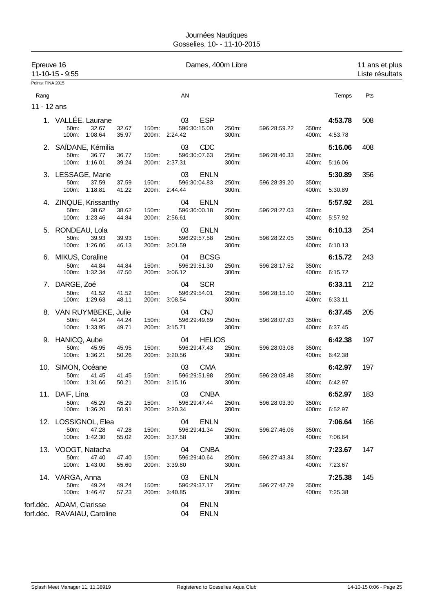| Epreuve 16        | 11-10-15 - 9:55                                         |                         |       |                     | Dames, 400m Libre          |                |              |                |                    | 11 ans et plus<br>Liste résultats |
|-------------------|---------------------------------------------------------|-------------------------|-------|---------------------|----------------------------|----------------|--------------|----------------|--------------------|-----------------------------------|
| Points: FINA 2015 |                                                         |                         |       |                     |                            |                |              |                |                    |                                   |
| Rang              |                                                         |                         |       | AN                  |                            |                |              |                | Temps              | Pts                               |
| 11 - 12 ans       |                                                         |                         |       |                     |                            |                |              |                |                    |                                   |
|                   | 1. VALLÉE, Laurane<br>50m:<br>100m: 1:08.64             | 32.67<br>32.67<br>35.97 | 150m: | 03<br>200m: 2:24.42 | <b>ESP</b><br>596:30:15.00 | 250m:<br>300m: | 596:28:59.22 | 350m:<br>400m: | 4:53.78<br>4:53.78 | 508                               |
|                   |                                                         |                         |       |                     |                            |                |              |                |                    |                                   |
|                   | 2. SAÏDANE, Kémilia<br>50m:<br>100m: 1:16.01            | 36.77<br>36.77<br>39.24 | 150m: | 03<br>200m: 2:37.31 | <b>CDC</b><br>596:30:07.63 | 250m:<br>300m: | 596:28:46.33 | 350m:<br>400m: | 5:16.06<br>5:16.06 | 408                               |
|                   | 3. LESSAGE, Marie                                       |                         |       | 03                  | <b>ENLN</b>                |                |              |                | 5:30.89            | 356                               |
|                   | 50m:<br>100m: 1:18.81                                   | 37.59<br>37.59<br>41.22 | 150m: | 200m: 2:44.44       | 596:30:04.83               | 250m:<br>300m: | 596:28:39.20 | 350m:<br>400m: | 5:30.89            |                                   |
|                   | 4. ZINQUE, Krissanthy                                   |                         |       | 04                  | <b>ENLN</b>                |                |              |                | 5:57.92            | 281                               |
|                   | 50m:<br>100m: 1:23.46                                   | 38.62<br>38.62<br>44.84 | 150m: | 200m: 2:56.61       | 596:30:00.18               | 250m:<br>300m: | 596:28:27.03 | 350m:<br>400m: | 5:57.92            |                                   |
|                   | 5. RONDEAU, Lola                                        |                         |       | 03                  | <b>ENLN</b>                |                |              |                | 6:10.13            | 254                               |
|                   | 50m:<br>100m: 1:26.06                                   | 39.93<br>39.93<br>46.13 | 150m: | 200m: 3:01.59       | 596:29:57.58               | 250m:<br>300m: | 596:28:22.05 | 350m:<br>400m: | 6:10.13            |                                   |
|                   | 6. MIKUS, Coraline                                      |                         |       | 04                  | <b>BCSG</b>                |                |              |                | 6:15.72            | 243                               |
|                   | 50m:<br>100m: 1:32.34                                   | 44.84<br>44.84<br>47.50 | 150m: | 200m: 3:06.12       | 596:29:51.30               | 250m:<br>300m: | 596:28:17.52 | 350m:<br>400m: | 6:15.72            |                                   |
|                   | 7. DARGE, Zoé                                           |                         |       | 04                  | <b>SCR</b>                 |                |              |                | 6:33.11            | 212                               |
|                   | 50m:<br>100m: 1:29.63                                   | 41.52<br>41.52<br>48.11 | 150m: | 200m: 3:08.54       | 596:29:54.01               | 250m:<br>300m: | 596:28:15.10 | 350m:<br>400m: | 6:33.11            |                                   |
|                   | 8. VAN RUYMBEKE, Julie                                  |                         |       | 04                  | <b>CNJ</b>                 |                |              |                | 6:37.45            | 205                               |
|                   | 50m:<br>100m: 1:33.95                                   | 44.24<br>44.24<br>49.71 | 150m: | 200m: 3:15.71       | 596:29:49.69               | 250m:<br>300m: | 596:28:07.93 | 350m:<br>400m: | 6:37.45            |                                   |
|                   | 9. HANICQ, Aube                                         |                         |       | 04                  | <b>HELIOS</b>              |                |              |                | 6:42.38            | 197                               |
|                   | 50m:<br>100m: 1:36.21                                   | 45.95<br>45.95<br>50.26 | 150m: | 200m: 3:20.56       | 596:29:47.43               | 250m:<br>300m: | 596:28:03.08 | 350m:<br>400m: | 6:42.38            |                                   |
|                   | 10. SIMON, Océane                                       |                         |       | 03                  | <b>CMA</b>                 |                |              |                | 6:42.97            | 197                               |
|                   | 50m:<br>100m: 1:31.66                                   | 41.45<br>41.45<br>50.21 | 150m: | 200m: 3:15.16       | 596:29:51.98               | 250m:<br>300m: | 596:28:08.48 | 350m:<br>400m: | 6:42.97            |                                   |
|                   | 11. DAIF, Lina                                          |                         |       | 03                  | <b>CNBA</b>                |                |              |                | 6:52.97            | 183                               |
|                   | 50m:<br>100m: 1:36.20                                   | 45.29<br>45.29<br>50.91 | 150m: | 200m: 3:20.34       | 596:29:47.44               | 250m:<br>300m: | 596:28:03.30 | 350m:          | 400m: 6:52.97      |                                   |
|                   | 12. LOSSIGNOL, Elea                                     |                         |       | 04                  | <b>ENLN</b>                |                |              |                | 7:06.64            | 166                               |
|                   | 50m:<br>100m: 1:42.30                                   | 47.28<br>47.28<br>55.02 | 150m: | 200m: 3:37.58       | 596:29:41.34               | 250m:<br>300m: | 596:27:46.06 | 350m:<br>400m: | 7:06.64            |                                   |
|                   | 13. VOOGT, Natacha                                      |                         |       | 04                  | <b>CNBA</b>                |                |              |                | 7:23.67            | 147                               |
|                   | 50m:<br>100m: 1:43.00                                   | 47.40<br>47.40<br>55.60 | 150m: | 200m: 3:39.80       | 596:29:40.64               | 250m:<br>300m: | 596:27:43.84 | 350m:<br>400m: | 7:23.67            |                                   |
|                   | 14. VARGA, Anna                                         |                         |       | 03                  | <b>ENLN</b>                |                |              |                | 7:25.38            | 145                               |
|                   | 50m:<br>100m: 1:46.47                                   | 49.24<br>49.24<br>57.23 | 150m: | 200m: 3:40.85       | 596:29:37.17               | 250m:<br>300m: | 596:27:42.79 | 350m:<br>400m: | 7:25.38            |                                   |
|                   | forf.déc. ADAM, Clarisse<br>forf.déc. RAVAIAU, Caroline |                         |       | 04<br>04            | <b>ENLN</b><br><b>ENLN</b> |                |              |                |                    |                                   |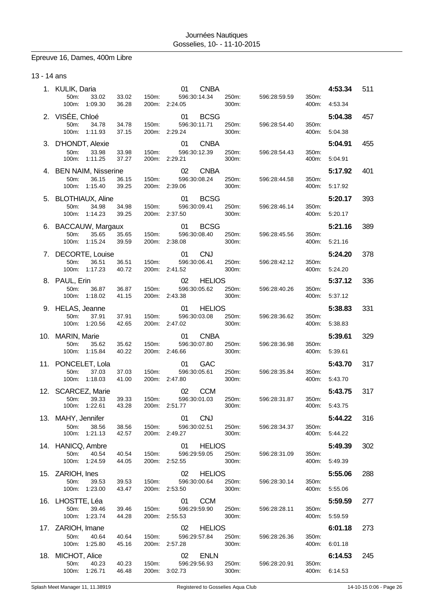# Epreuve 16, Dames, 400m Libre

13 - 14 ans

|     | 1. KULIK, Daria<br>50m:<br>33.02  | 33.02          | 150m:                     | <b>CNBA</b><br>01<br>596:30:14.34   | 250m:          | 596:28:59.59 | 350m:          | 4:53.34 | 511 |
|-----|-----------------------------------|----------------|---------------------------|-------------------------------------|----------------|--------------|----------------|---------|-----|
|     | 100m:<br>1:09.30                  | 36.28          | 2:24.05<br>200m:          |                                     | 300m:          |              | 400m:          | 4:53.34 |     |
|     | 2. VISÉE, Chloé<br>50m:<br>34.78  | 34.78          | 150m:                     | <b>BCSG</b><br>01<br>596:30:11.71   | 250m:          | 596:28:54.40 | 350m:          | 5:04.38 | 457 |
|     | 1:11.93<br>100m:                  | 37.15          | 200m:<br>2:29.24          |                                     | 300m:          |              | 400m:          | 5:04.38 |     |
|     | 3. D'HONDT, Alexie                |                |                           | 01<br><b>CNBA</b>                   |                |              |                | 5:04.91 | 455 |
|     | 50m:<br>33.98<br>100m:<br>1:11.25 | 33.98<br>37.27 | 150m:<br>2:29.21<br>200m: | 596:30:12.39                        | 250m:<br>300m: | 596:28:54.43 | 350m:<br>400m: | 5:04.91 |     |
|     | 4. BEN NAIM, Nisserine            | 36.15          |                           | 02<br><b>CNBA</b><br>596:30:08.24   | 250m:          |              |                | 5:17.92 | 401 |
|     | 50m:<br>36.15<br>100m:<br>1:15.40 | 39.25          | 150m:<br>200m:<br>2:39.06 |                                     | 300m:          | 596:28:44.58 | 350m:<br>400m: | 5:17.92 |     |
|     | 5. BLOTHIAUX, Aline               |                |                           | <b>BCSG</b><br>01                   |                |              |                | 5:20.17 | 393 |
|     | 50m:<br>34.98<br>100m: 1:14.23    | 34.98<br>39.25 | 150m:<br>2:37.50<br>200m: | 596:30:09.41                        | 250m:<br>300m: | 596:28:46.14 | 350m:<br>400m: | 5:20.17 |     |
| 6.  | <b>BACCAUW, Margaux</b>           |                |                           | 01<br><b>BCSG</b>                   |                |              |                | 5:21.16 | 389 |
|     | 50m:<br>35.65<br>100m: 1:15.24    | 35.65<br>39.59 | 150m:<br>200m:<br>2:38.08 | 596:30:08.40                        | 250m:<br>300m: | 596:28:45.56 | 350m:<br>400m: | 5:21.16 |     |
| 7.  | DECORTE, Louise<br>36.51<br>50m:  | 36.51          | 150m:                     | <b>CNJ</b><br>01<br>596:30:06.41    | 250m:          | 596:28:42.12 | 350m:          | 5:24.20 | 378 |
|     | 100m:<br>1:17.23                  | 40.72          | 200m: 2:41.52             |                                     | 300m:          |              | 400m:          | 5:24.20 |     |
|     | 8. PAUL, Erin<br>50m:<br>36.87    | 36.87          | 150m:                     | 02<br><b>HELIOS</b><br>596:30:05.62 | 250m:          | 596:28:40.26 | 350m:          | 5:37.12 | 336 |
|     | 100m:<br>1:18.02                  | 41.15          | 200m: 2:43.38             |                                     | 300m:          |              | 400m:          | 5:37.12 |     |
|     | 9. HELAS, Jeanne<br>50m:<br>37.91 | 37.91          | 150m:                     | <b>HELIOS</b><br>01<br>596:30:03.08 | 250m:          | 596:28:36.62 | 350m:          | 5:38.83 | 331 |
|     | 100m:<br>1:20.56                  | 42.65          | 200m:<br>2:47.02          |                                     | 300m:          |              | 400m:          | 5:38.83 |     |
|     | 10. MARIN, Marie<br>50m:<br>35.62 |                |                           | <b>CNBA</b><br>01<br>596:30:07.80   | 250m:          |              |                | 5:39.61 | 329 |
|     | 100m:<br>1:15.84                  | 35.62<br>40.22 | 150m:<br>200m:<br>2:46.66 |                                     | 300m:          | 596:28:36.98 | 350m:<br>400m: | 5:39.61 |     |
| 11. | PONCELET, Lola<br>37.03           |                |                           | GAC<br>01                           |                |              |                | 5:43.70 | 317 |
|     | 50m:<br>100m:<br>1:18.03          | 37.03<br>41.00 | 150m:<br>200m: 2:47.80    | 596:30:05.61                        | 250m:<br>300m: | 596:28:35.84 | 350m:<br>400m: | 5:43.70 |     |
|     | 12. SCARCEZ, Marie<br>39.33       |                | 150m:                     | <b>CCM</b><br>02<br>596:30:01.03    | 250m:          | 596:28:31.87 | 350m:          | 5:43.75 | 317 |
|     | 50m:<br>100m: 1:22.61             | 39.33<br>43.28 | 200m: 2:51.77             |                                     | 300m:          |              | 400m:          | 5:43.75 |     |
|     | 13. MAHY, Jennifer                |                |                           | <b>CNJ</b><br>01                    |                |              |                | 5:44.22 | 316 |
|     | 50m:<br>38.56<br>100m:<br>1:21.13 | 38.56<br>42.57 | 150m:<br>200m:<br>2:49.27 | 596:30:02.51                        | 250m:<br>300m: | 596:28:34.37 | 350m:<br>400m: | 5:44.22 |     |
|     | 14. HANICQ, Ambre                 |                |                           | 01<br><b>HELIOS</b>                 |                |              |                | 5:49.39 | 302 |
|     | 50m:<br>40.54<br>100m:<br>1:24.59 | 40.54<br>44.05 | 150m:<br>200m:<br>2:52.55 | 596:29:59.05                        | 250m:<br>300m: | 596:28:31.09 | 350m:<br>400m: | 5:49.39 |     |
|     | 15. ZARIOH, Ines                  |                |                           | 02<br><b>HELIOS</b>                 |                |              |                | 5:55.06 | 288 |
|     | 50m:<br>39.53<br>100m: 1:23.00    | 39.53<br>43.47 | 150m:<br>2:53.50<br>200m: | 596:30:00.64                        | 250m:<br>300m: | 596:28:30.14 | 350m:<br>400m: | 5:55.06 |     |
|     | 16. LHOSTTE, Léa                  |                |                           | <b>CCM</b><br>01                    |                |              |                | 5:59.59 | 277 |
|     | 50m:<br>39.46<br>1:23.74<br>100m: | 39.46<br>44.28 | 150m:<br>200m:<br>2:55.53 | 596:29:59.90                        | 250m:<br>300m: | 596:28:28.11 | 350m:<br>400m: | 5.59.59 |     |
|     | 17. ZARIOH, Imane                 |                |                           | 02<br><b>HELIOS</b>                 |                |              |                | 6:01.18 | 273 |
|     | 40.64<br>50m:<br>100m:<br>1:25.80 | 40.64<br>45.16 | 150m:<br>200m: 2:57.28    | 596:29:57.84                        | 250m:<br>300m: | 596:28:26.36 | 350m:<br>400m: | 6:01.18 |     |
|     | 18. MICHOT, Alice                 |                |                           | 02<br><b>ENLN</b>                   |                |              |                | 6:14.53 | 245 |
|     | 50m:<br>40.23<br>1:26.71<br>100m: | 40.23<br>46.48 | 150m:<br>3:02.73<br>200m: | 596:29:56.93                        | 250m:<br>300m: | 596:28:20.91 | 350m:<br>400m: | 6:14.53 |     |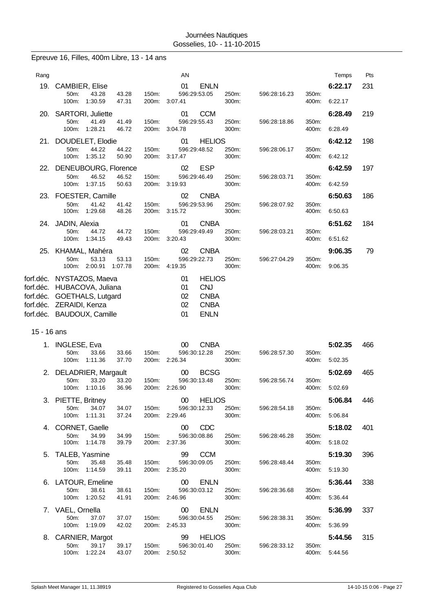# Epreuve 16, Filles, 400m Libre, 13 - 14 ans

| Rang      |                                                     |                | AN                      |                |              |                | Temps   | Pts |
|-----------|-----------------------------------------------------|----------------|-------------------------|----------------|--------------|----------------|---------|-----|
| 19.       | <b>CAMBIER, Elise</b>                               |                | 01<br><b>ENLN</b>       |                |              |                | 6:22.17 | 231 |
|           | 50m:<br>43.28<br>43.28<br>1:30.59<br>47.31<br>100m: | 150m:<br>200m: | 596:29:53.05<br>3:07.41 | 250m:<br>300m: | 596:28:16.23 | 350m:<br>400m: | 6:22.17 |     |
|           | 20. SARTORI, Juliette                               |                | <b>CCM</b><br>01        |                |              |                | 6:28.49 | 219 |
|           | 50m:<br>41.49<br>41.49<br>100m:<br>1:28.21<br>46.72 | 150m.<br>200m: | 596:29:55.43<br>3:04.78 | 250m:<br>300m: | 596:28:18.86 | 350m:<br>400m: | 6:28.49 |     |
| 21.       | DOUDELET, Elodie                                    |                | 01                      | <b>HELIOS</b>  |              |                | 6:42.12 | 198 |
|           | $50m$ :<br>44.22<br>44.22                           | 150m:          | 596:29:48.52            | 250m:          | 596:28:06.17 | 350m:          |         |     |
|           | 1:35.12<br>100m:<br>50.90                           | 200m:          | 3:17.47                 | 300m:          |              | 400m:          | 6:42.12 |     |
|           | 22. DENEUBOURG, Florence                            |                | 02<br><b>ESP</b>        |                |              |                | 6:42.59 | 197 |
|           | 46.52<br>46.52<br>50m:<br>1:37.15<br>100m:<br>50.63 | 150m:<br>200m: | 596:29:46.49<br>3:19.93 | 250m:<br>300m: | 596:28:03.71 | 350m:<br>400m: | 6:42.59 |     |
|           | 23. FOESTER, Camille                                |                | 02                      | <b>CNBA</b>    |              |                | 6:50.63 | 186 |
|           | 41.42<br>41.42<br>50m:                              | 150m:          | 596:29:53.96            | 250m:          | 596:28:07.92 | 350m:          |         |     |
|           | 100m:<br>1:29.68<br>48.26                           | 200m:          | 3:15.72                 | 300m:          |              | 400m:          | 6:50.63 |     |
|           | 24. JADIN, Alexia                                   |                | 01                      | <b>CNBA</b>    |              |                | 6:51.62 | 184 |
|           | 50m:<br>44.72<br>44.72<br>100m:<br>1:34.15<br>49.43 | 150m:<br>200m: | 596:29:49.49<br>3:20.43 | 250m:<br>300m: | 596:28:03.21 | 350m:<br>400m: | 6:51.62 |     |
| 25.       | KHAMAL, Mahéra                                      |                | 02                      | <b>CNBA</b>    |              |                | 9:06.35 | 79  |
|           | 53.13<br>$50m$ :<br>53.13                           | 150m:          | 596:29:22.73            | 250m:          | 596:27:04.29 | 350m:          |         |     |
|           | 2:00.91<br>1:07.78<br>100m:                         | 200m:          | 4:19.35                 | 300m:          |              | 400m:          | 9:06.35 |     |
|           | forf.déc. NYSTAZOS, Maeva                           |                | 01                      | <b>HELIOS</b>  |              |                |         |     |
|           | forf.déc. HUBACOVA, Juliana                         |                | <b>CNJ</b><br>01        |                |              |                |         |     |
|           | forf.déc. GOETHALS, Lutgard                         |                | 02                      | <b>CNBA</b>    |              |                |         |     |
| forf.déc. | ZERAIDI, Kenza<br>forf.déc. BAUDOUX, Camille        |                | 02<br><b>ENLN</b><br>01 | <b>CNBA</b>    |              |                |         |     |
|           |                                                     |                |                         |                |              |                |         |     |

### 15 - 16 ans

| INGLESE, Eva                      |                                                                                            | 00<br><b>CNBA</b>                                                                                                                                         |                                                                                             |                                                                                            | 5:02.35                                                                                                                                                                   | 466                                      |
|-----------------------------------|--------------------------------------------------------------------------------------------|-----------------------------------------------------------------------------------------------------------------------------------------------------------|---------------------------------------------------------------------------------------------|--------------------------------------------------------------------------------------------|---------------------------------------------------------------------------------------------------------------------------------------------------------------------------|------------------------------------------|
| 100m:<br>1:11.36                  | 37.70<br>200m:                                                                             | 2:26.34                                                                                                                                                   | 300m:                                                                                       | 400m:                                                                                      | 5:02.35                                                                                                                                                                   |                                          |
|                                   |                                                                                            | $00\,$                                                                                                                                                    |                                                                                             |                                                                                            | 5:02.69                                                                                                                                                                   | 465                                      |
| 33.20<br>50m:<br>100m:<br>1:10.16 | 33.20<br>150m:<br>36.96<br>200m:                                                           | 596:30:13.48<br>2:26.90                                                                                                                                   | 250m:<br>300m:                                                                              | 350m:<br>400m:                                                                             | 5:02.69                                                                                                                                                                   |                                          |
| PIETTE, Britney                   |                                                                                            | $00\,$                                                                                                                                                    |                                                                                             |                                                                                            | 5:06.84                                                                                                                                                                   | 446                                      |
| 1:11.31<br>100m:                  | 37.24<br>200m:                                                                             | 2:29.46                                                                                                                                                   | 300m:                                                                                       | 400m:                                                                                      | 5:06.84                                                                                                                                                                   |                                          |
| CORNET, Gaelle                    |                                                                                            | <b>CDC</b><br>00                                                                                                                                          |                                                                                             |                                                                                            | 5:18.02                                                                                                                                                                   | 401                                      |
| 34.99<br>50m:<br>1:14.78<br>100m: | 34.99<br>150m:<br>39.79<br>200m:                                                           | 596:30:08.86<br>2:37.36                                                                                                                                   | 250m:<br>300m:                                                                              | 350m:<br>400m:                                                                             | 5:18.02                                                                                                                                                                   |                                          |
| TALEB, Yasmine                    |                                                                                            | <b>CCM</b><br>99                                                                                                                                          |                                                                                             |                                                                                            | 5:19.30                                                                                                                                                                   | 396                                      |
| 35.48<br>50m:                     | 35.48<br>150m:                                                                             | 596:30:09.05                                                                                                                                              | 250m:                                                                                       | 350m:                                                                                      |                                                                                                                                                                           |                                          |
|                                   |                                                                                            |                                                                                                                                                           |                                                                                             |                                                                                            |                                                                                                                                                                           | 338                                      |
| 38.61<br>50m:                     | 38.61<br>150m.                                                                             | 596:30:03.12                                                                                                                                              | 250m:                                                                                       | 350m:                                                                                      |                                                                                                                                                                           |                                          |
|                                   |                                                                                            |                                                                                                                                                           |                                                                                             |                                                                                            |                                                                                                                                                                           |                                          |
| VAEL, Ornella                     |                                                                                            | <b>ENLN</b><br>$00\,$                                                                                                                                     |                                                                                             |                                                                                            |                                                                                                                                                                           | 337                                      |
| 1:19.09<br>100m:                  | 42.02<br>200m:                                                                             | 2:45.33                                                                                                                                                   | 300m:                                                                                       | 400m:                                                                                      | 5:36.99                                                                                                                                                                   |                                          |
|                                   |                                                                                            | 99                                                                                                                                                        |                                                                                             |                                                                                            | 5:44.56                                                                                                                                                                   | 315                                      |
| 50m:<br>39.17<br>100m:<br>1:22.24 | 39.17<br>150m:<br>43.07<br>200m:                                                           | 596:30:01.40<br>2:50.52                                                                                                                                   | 250m:<br>300m:                                                                              | 350m:<br>400m:                                                                             | 5:44.56                                                                                                                                                                   |                                          |
|                                   | $50m$ :<br>33.66<br>34.07<br>50m:<br>1:14.59<br>100m:<br>100m:<br>1:20.52<br>50m:<br>37.07 | 33.66<br>150m:<br>2. DELADRIER, Margault<br>34.07<br>150m:<br>39.11<br>200m:<br>6. LATOUR, Emeline<br>41.91<br>200m:<br>37.07<br>150m:<br>CARNIER, Margot | 596:30:12.28<br>596:30:12.33<br>2:35.20<br>$00\,$<br><b>ENLN</b><br>2:46.96<br>596:30:04.55 | 250m:<br><b>BCSG</b><br><b>HELIOS</b><br>250m:<br>300m:<br>300m:<br>250m:<br><b>HELIOS</b> | 596:28:57.30<br>350m:<br>596:28:56.74<br>596:28:54.18<br>350m:<br>596:28:46.28<br>596:28:48.44<br>400m:<br>596:28:36.68<br>400m:<br>596:28:38.31<br>350m:<br>596:28:33.12 | 5:19.30<br>5:36.44<br>5:36.44<br>5:36.99 |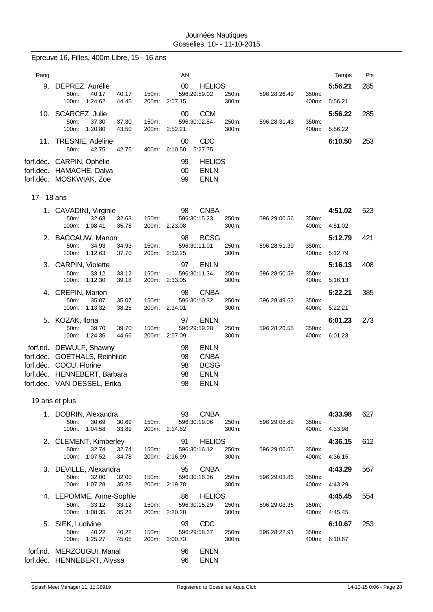|                        | Epreuve 16, Filles, 400m Libre, 15 - 16 ans                                      |                |                |                                     |                                             |                |              |                |                    |     |
|------------------------|----------------------------------------------------------------------------------|----------------|----------------|-------------------------------------|---------------------------------------------|----------------|--------------|----------------|--------------------|-----|
| Rang                   |                                                                                  |                |                | AN                                  |                                             |                |              |                | Temps              | Pts |
| 9.                     | DEPREZ, Aurélie                                                                  |                |                | 00                                  | <b>HELIOS</b>                               |                |              |                | 5:56.21            | 285 |
|                        | 40.17<br>50m:<br>100m:<br>1:24.62                                                | 40.17<br>44.45 | 150m:          | 596:29:59.02<br>200m: 2:57.15       |                                             | 250m:<br>300m: | 596:28:26.49 | 350m:<br>400m: | 5:56.21            |     |
|                        | 10. SCARCEZ, Julie                                                               |                |                | 00                                  | <b>CCM</b>                                  |                |              |                | 5:56.22            | 285 |
|                        | 37.30<br>50m:<br>100m: 1:20.80                                                   | 37.30<br>43.50 | 150m:          | 596:30:02.84<br>200m: 2:52.21       |                                             | 250m:<br>300m: | 596:28:31.43 | 350m:<br>400m: | 5:56.22            |     |
| 11.                    | TRESNIE, Adeline<br>50m:<br>42.75                                                | 42.75          | 400m:          | 00<br>6:10.50                       | CDC<br>5:27.75                              |                |              |                | 6:10.50            | 253 |
|                        | forf.déc. CARPIN, Ophélie<br>forf.déc. HAMACHE, Dalya<br>forf.déc. MOSKWIAK, Zoe |                |                | 99<br>00<br>99                      | <b>HELIOS</b><br><b>ENLN</b><br><b>ENLN</b> |                |              |                |                    |     |
| 17 - 18 ans            |                                                                                  |                |                |                                     |                                             |                |              |                |                    |     |
|                        | 1. CAVADINI, Virginie<br>50m:<br>32.63<br>100m:<br>1:08.41                       | 32.63          | 150m:          | 98<br>596:30:15.23                  | <b>CNBA</b>                                 | 250m:          | 596:29:00.56 | 350m:          | 4:51.02            | 523 |
|                        |                                                                                  | 35.78          |                | 200m: 2:23.08                       |                                             | 300m:          |              | 400m:          | 4:51.02            |     |
| 2.                     | <b>BACCAUW, Manon</b><br>50m:<br>34.93<br>100m:<br>1:12.63                       | 34.93<br>37.70 | 150m:          | 98<br>596:30:11.01<br>200m: 2:32.25 | <b>BCSG</b>                                 | 250m:<br>300m: | 596:28:51.39 | 350m:<br>400m: | 5:12.79<br>5:12.79 | 421 |
| 3.                     | <b>CARPIN, Violette</b>                                                          |                |                | 97                                  | <b>ENLN</b>                                 |                |              |                | 5:16.13            | 408 |
|                        | 50m:<br>33.12<br>100m:<br>1:12.30                                                | 33.12<br>39.18 | 150m:<br>200m: | 596:30:11.34<br>2:33.05             |                                             | 250m:<br>300m: | 596:28:50.59 | 350m:<br>400m: | 5:16.13            |     |
| 4.                     | <b>CREPIN, Marion</b>                                                            |                |                | 98                                  | <b>CNBA</b>                                 |                |              |                | 5:22.21            | 385 |
|                        | 50m:<br>35.07<br>100m:<br>1:13.32                                                | 35.07<br>38.25 | 150m:<br>200m: | 596:30:10.32<br>2:34.01             |                                             | 250m:<br>300m: | 596:28:49.63 | 350m:<br>400m: | 5:22.21            |     |
|                        | 5. KOZAK, Ilona                                                                  |                |                | 97                                  | <b>ENLN</b>                                 |                |              |                | 6:01.23            | 273 |
|                        | 50m:<br>39.70<br>100m:<br>1:24.36                                                | 39.70<br>44.66 | 150m:<br>200m: | 596:29:59.28<br>2:57.09             |                                             | 250m:<br>300m: | 596:28:26.55 | 350m:<br>400m: | 6:01.23            |     |
| forf.nd.               | DEWULF, Shawny                                                                   |                |                | 98                                  | <b>ENLN</b>                                 |                |              |                |                    |     |
| forf.déc.<br>forf.déc. | GOETHALS, Reinhilde<br>COCU, Florine                                             |                |                | 98<br>98                            | <b>CNBA</b><br><b>BCSG</b>                  |                |              |                |                    |     |
| forf.déc.              | HENNEBERT, Barbara                                                               |                |                | 98                                  | <b>ENLN</b>                                 |                |              |                |                    |     |
|                        | forf.déc. VAN DESSEL, Erika                                                      |                |                | 98                                  | <b>ENLN</b>                                 |                |              |                |                    |     |
|                        | 19 ans et plus                                                                   |                |                |                                     |                                             |                |              |                |                    |     |
|                        | 1. DOBRIN, Alexandra                                                             |                |                | 93                                  | <b>CNBA</b>                                 |                |              |                | 4:33.98            | 627 |
|                        | 50m:<br>30.69<br>100m:<br>1:04.58                                                | 30.69<br>33.89 | 150m:          | 596:30:19.06<br>200m: 2:14.82       |                                             | 250m:<br>300m: | 596:29:08.82 | 350m:<br>400m: | 4:33.98            |     |
|                        | 2. CLEMENT, Kimberley                                                            |                |                | 91                                  | <b>HELIOS</b>                               |                |              |                | 4:36.15            | 612 |
|                        | 50m:<br>32.74<br>1:07.52<br>100m:                                                | 32.74<br>34.78 | 150m:          | 596:30:16.12<br>200m: 2:16.99       |                                             | 250m:<br>300m: | 596:29:06.65 | 350m:<br>400m: | 4:36.15            |     |
|                        | 3. DEVILLE, Alexandra                                                            |                |                | 95                                  | <b>CNBA</b>                                 |                |              |                | 4:43.29            | 567 |
|                        | 50m:<br>32.00<br>100m:<br>1:07.28                                                | 32.00<br>35.28 | 150m:          | 596:30:16.36<br>200m: 2:19.78       |                                             | 250m:<br>300m: | 596:29:03.86 | 350m:<br>400m: | 4:43.29            |     |
|                        | 4. LEPOMME, Anne-Sophie                                                          |                |                | 86                                  | <b>HELIOS</b>                               |                |              |                | 4:45.45            | 554 |
|                        | 50m:<br>33.12<br>100m:<br>1:08.35                                                | 33.12<br>35.23 | 150m:<br>200m: | 596:30:15.29<br>2:20.28             |                                             | 250m:<br>300m: | 596:29:03.36 | 350m:<br>400m: | 4:45.45            |     |
|                        | 5. SIEK, Ludivine                                                                |                |                | 93                                  | CDC                                         |                |              |                | 6:10.67            | 253 |
|                        | 50m:<br>40.22<br>100m:<br>1:25.27                                                | 40.22<br>45.05 | 150m:<br>200m: | 596:29:58.37<br>3:00.73             |                                             | 250m:<br>300m: | 596:28:22.91 | 350m:<br>400m: | 6:10.67            |     |
|                        | forf.nd. MERZOUGUI, Manal<br>forf.déc. HENNEBERT, Alyssa                         |                |                | 96<br>96                            | <b>ENLN</b><br><b>ENLN</b>                  |                |              |                |                    |     |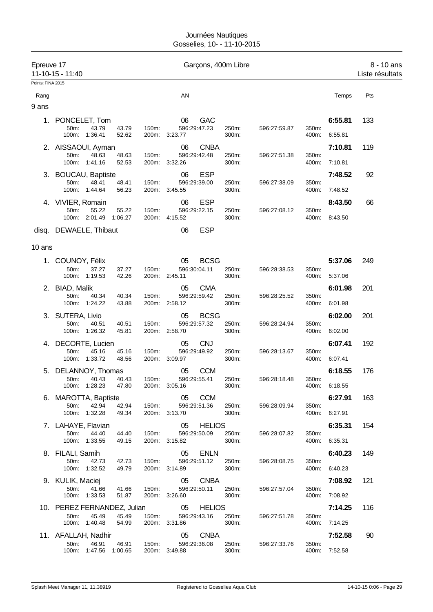| Epreuve 17<br>Points: FINA 2015 | 11-10-15 - 11:40                                                                |       | Garçons, 400m Libre                                  |                |              |                |                          | 8 - 10 ans<br>Liste résultats |
|---------------------------------|---------------------------------------------------------------------------------|-------|------------------------------------------------------|----------------|--------------|----------------|--------------------------|-------------------------------|
| Rang                            |                                                                                 |       | AN                                                   |                |              |                | Temps                    | Pts                           |
| 9 ans                           |                                                                                 |       |                                                      |                |              |                |                          |                               |
|                                 | 1. PONCELET, Tom<br>43.79<br>50m:<br>43.79<br>100m: 1:36.41<br>52.62            | 150m: | GAC<br>06<br>596:29:47.23<br>200m: 3:23.77           | 250m:<br>300m: | 596:27:59.87 | 350m:<br>400m: | 6:55.81<br>6.55.81       | 133                           |
|                                 | 2. AISSAOUI, Ayman<br>48.63<br>50m:<br>48.63<br>100m: 1:41.16<br>52.53          | 150m: | <b>CNBA</b><br>06<br>596:29:42.48<br>200m: 3:32.26   | 250m:<br>300m: | 596:27:51.38 | 350m:<br>400m: | 7:10.81<br>7:10.81       | 119                           |
|                                 | 3. BOUCAU, Baptiste<br>50m:<br>48.41<br>48.41<br>100m:<br>1:44.64<br>56.23      | 150m: | <b>ESP</b><br>06<br>596:29:39.00<br>200m: 3:45.55    | 250m:<br>300m: | 596:27:38.09 | 350m:<br>400m: | 7:48.52<br>7:48.52       | 92                            |
|                                 | 4. VIVIER, Romain<br>50m:<br>55.22<br>55.22<br>2:01.49<br>100m:<br>1:06.27      | 150m: | <b>ESP</b><br>06<br>596:29:22.15<br>200m: 4:15.52    | 250m:<br>300m: | 596:27:08.12 | 350m:<br>400m: | 8:43.50<br>8:43.50       | 66                            |
|                                 | disq. DEWAELE, Thibaut                                                          |       | <b>ESP</b><br>06                                     |                |              |                |                          |                               |
| 10 ans                          |                                                                                 |       |                                                      |                |              |                |                          |                               |
| 1.                              | COUNOY, Félix<br>50m:<br>37.27                                                  | 150m: | <b>BCSG</b><br>05<br>596:30:04.11                    |                |              |                | 5:37.06                  | 249                           |
|                                 | 37.27<br>100m: 1:19.53<br>42.26                                                 |       | 200m: 2:45.11                                        | 250m:<br>300m: | 596:28:38.53 | 350m:<br>400m: | 5:37.06                  |                               |
|                                 | 2. BIAD, Malik<br>50m:<br>40.34<br>40.34<br>100m:<br>1:24.22<br>43.88           | 150m: | 05<br><b>CMA</b><br>596:29:59.42<br>200m: 2:58.12    | 250m:<br>300m: | 596:28:25.52 | 350m:<br>400m: | 6:01.98<br>6:01.98       | 201                           |
|                                 | 3. SUTERA, Livio<br>50m:<br>40.51<br>40.51<br>1:26.32<br>100m:<br>45.81         | 150m: | <b>BCSG</b><br>05<br>596:29:57.32<br>200m: 2:58.70   | 250m:<br>300m: | 596:28:24.94 | 350m:<br>400m: | 6:02.00<br>6:02.00       | 201                           |
|                                 | 4. DECORTE, Lucien<br>50m:<br>45.16<br>45.16<br>100m: 1:33.72<br>48.56          | 150m: | <b>CNJ</b><br>05<br>596:29:49.92<br>200m: 3:09.97    | 250m:<br>300m: | 596:28:13.67 | 350m:<br>400m: | 6:07.41<br>6:07.41       | 192                           |
| 5.                              | DELANNOY, Thomas<br>50m:<br>40.43<br>40.43<br>100m: 1:28.23<br>47.80            | 150m: | <b>CCM</b><br>05<br>596:29:55.41<br>200m: 3:05.16    | 250m:<br>300m: | 596:28:18.48 | 350m:          | 6:18.55<br>400m: 6:18.55 | 176                           |
|                                 | 6. MAROTTA, Baptiste<br>50m:<br>42.94<br>42.94<br>100m: 1:32.28<br>49.34        | 150m: | <b>CCM</b><br>05<br>596:29:51.36<br>200m: 3:13.70    | 250m:<br>300m: | 596:28:09.94 | 350m:<br>400m: | 6:27.91<br>6:27.91       | 163                           |
|                                 | 7. LAHAYE, Flavian<br>50m:<br>44.40<br>44.40<br>100m: 1:33.55<br>49.15          | 150m: | 05<br><b>HELIOS</b><br>596:29:50.09<br>200m: 3:15.82 | 250m:<br>300m: | 596:28:07.82 | 350m:<br>400m: | 6:35.31<br>6:35.31       | 154                           |
|                                 | 8. FILALI, Samih<br>50m:<br>42.73<br>42.73<br>100m: 1:32.52<br>49.79            | 150m: | 05<br><b>ENLN</b><br>596:29:51.12<br>200m: 3:14.89   | 250m:<br>300m: | 596:28:08.75 | 350m:<br>400m: | 6:40.23<br>6:40.23       | 149                           |
|                                 | 9. KULIK, Maciej<br>50m:<br>41.66<br>41.66<br>51.87<br>100m:<br>1:33.53         | 150m: | <b>CNBA</b><br>05<br>596:29:50.11<br>200m: 3:26.60   | 250m:<br>300m: | 596:27:57.04 | 350m:<br>400m: | 7:08.92<br>7:08.92       | 121                           |
|                                 | 10. PEREZ FERNANDEZ, Julian<br>45.49<br>45.49<br>50m:<br>100m: 1:40.48<br>54.99 | 150m: | <b>HELIOS</b><br>05<br>596:29:43.16<br>200m: 3:31.86 | 250m:<br>300m: | 596:27:51.78 | 350m:<br>400m: | 7:14.25<br>7:14.25       | 116                           |
|                                 | 11. AFALLAH, Nadhir<br>50m:<br>46.91<br>46.91<br>100m: 1:47.56 1:00.65          | 150m: | <b>CNBA</b><br>05<br>596:29:36.08<br>200m: 3:49.88   | 250m:<br>300m: | 596:27:33.76 | 350m:<br>400m: | 7:52.58<br>7:52.58       | 90                            |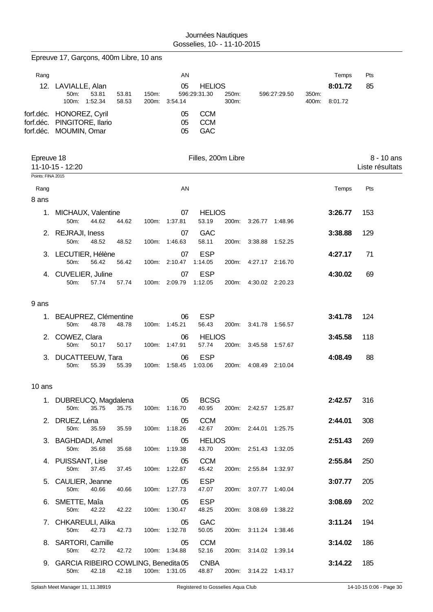|                                    | Epreuve 17, Garçons, 400m Libre, 10 ans                                 |                |                |                     |                                 |                |                       |              |                |                             |                               |
|------------------------------------|-------------------------------------------------------------------------|----------------|----------------|---------------------|---------------------------------|----------------|-----------------------|--------------|----------------|-----------------------------|-------------------------------|
| Rang                               | 12. LAVIALLE, Alan<br>50m:<br>53.81<br>100m:<br>1:52.34                 | 53.81<br>58.53 | 150m:<br>200m: | AN<br>05<br>3:54.14 | <b>HELIOS</b><br>596:29:31.30   | 250m:<br>300m: |                       | 596:27:29.50 | 350m:<br>400m: | Temps<br>8:01.72<br>8:01.72 | Pts<br>85                     |
| forf.déc.                          | forf.déc. HONOREZ, Cyril<br>PINGITORE, Ilario<br>forf.déc. MOUMIN, Omar |                |                | 05<br>05<br>05      | <b>CCM</b><br><b>CCM</b><br>GAC |                |                       |              |                |                             |                               |
| Epreuve 18                         | 11-10-15 - 12:20                                                        |                |                |                     | Filles, 200m Libre              |                |                       |              |                |                             | 8 - 10 ans<br>Liste résultats |
| Points: FINA 2015<br>Rang<br>8 ans |                                                                         |                |                | AN                  |                                 |                |                       |              |                | Temps                       | Pts                           |
| 1.                                 | MICHAUX, Valentine<br>50m:<br>44.62                                     | 44.62          |                | 07<br>100m: 1:37.81 | <b>HELIOS</b><br>53.19          | 200m:          | 3:26.77 1:48.96       |              |                | 3:26.77                     | 153                           |
|                                    | 2. REJRAJI, Iness<br>50m:<br>48.52                                      | 48.52          |                | 07<br>100m: 1:46.63 | <b>GAC</b><br>58.11             | 200m:          | 3:38.88 1:52.25       |              |                | 3:38.88                     | 129                           |
|                                    | 3. LECUTIER, Hélène<br>56.42<br>50m:                                    | 56.42          |                | 07<br>100m: 2:10.47 | <b>ESP</b><br>1:14.05           | 200m:          | 4:27.17 2:16.70       |              |                | 4:27.17                     | 71                            |
|                                    | 4. CUVELIER, Juline<br>57.74<br>50m:                                    | 57.74          |                | 07<br>100m: 2:09.79 | <b>ESP</b><br>1:12.05           |                | 200m: 4:30.02 2:20.23 |              |                | 4:30.02                     | 69                            |
| 9 ans                              |                                                                         |                |                |                     |                                 |                |                       |              |                |                             |                               |
| 1.                                 | BEAUPREZ, Clémentine<br>48.78<br>50m:                                   | 48.78          |                | 06<br>100m: 1:45.21 | <b>ESP</b><br>56.43             | 200m:          | 3:41.78 1:56.57       |              |                | 3:41.78                     | 124                           |
|                                    | 2. COWEZ, Clara<br>50m:<br>50.17                                        | 50.17          | 100m:          | 06<br>1:47.91       | <b>HELIOS</b><br>57.74          | 200m:          | 3:45.58 1:57.67       |              |                | 3:45.58                     | 118                           |
| З.                                 | <b>DUCATTEEUW, Tara</b><br>55.39<br>50m:                                | 55.39          | 100m:          | 06<br>1:58.45       | <b>ESP</b><br>1:03.06           | 200m:          | 4:08.49               | 2:10.04      |                | 4:08.49                     | 88                            |
| 10 ans                             |                                                                         |                |                |                     |                                 |                |                       |              |                |                             |                               |
|                                    | 1. DUBREUCQ, Magdalena<br>35.75<br>50m:                                 | 35.75          |                | 05<br>100m: 1:16.70 | <b>BCSG</b><br>40.95            |                | 200m: 2:42.57 1:25.87 |              |                | 2:42.57                     | 316                           |
|                                    | 2. DRUEZ, Léna<br>50m:<br>35.59                                         | 35.59          |                | 05<br>100m: 1:18.26 | <b>CCM</b><br>42.67             |                | 200m: 2:44.01 1:25.75 |              |                | 2:44.01                     | 308                           |
|                                    | 3. BAGHDADI, Amel<br>50m:<br>35.68                                      | 35.68          |                | 05<br>100m: 1:19.38 | <b>HELIOS</b><br>43.70          |                | 200m: 2:51.43 1:32.05 |              |                | 2:51.43                     | 269                           |
|                                    | 4. PUISSANT, Lise<br>50m:<br>37.45                                      | 37.45          |                | 05<br>100m: 1:22.87 | <b>CCM</b><br>45.42             |                | 200m: 2:55.84 1:32.97 |              |                | 2:55.84                     | 250                           |
|                                    | 5. CAULIER, Jeanne<br>50m:<br>40.66                                     | 40.66          |                | 05<br>100m: 1:27.73 | <b>ESP</b><br>47.07             | 200m:          | 3:07.77 1:40.04       |              |                | 3:07.77                     | 205                           |
|                                    | 6. SMETTE, Maîa<br>50m:<br>42.22                                        | 42.22          |                | 05<br>100m: 1:30.47 | <b>ESP</b><br>48.25             |                | 200m: 3:08.69 1:38.22 |              |                | 3:08.69                     | 202                           |
|                                    | 7. CHKAREULI, Alika<br>50m:<br>42.73                                    | 42.73          |                | 05<br>100m: 1:32.78 | <b>GAC</b><br>50.05             |                | 200m: 3:11.24 1:38.46 |              |                | 3:11.24                     | 194                           |
|                                    | 8. SARTORI, Camille<br>50m:<br>42.72                                    | 42.72          |                | 05<br>100m: 1:34.88 | <b>CCM</b><br>52.16             | 200m:          | 3:14.02 1:39.14       |              |                | 3:14.02                     | 186                           |
|                                    | 9. GARCIA RIBEIRO COWLING, Benedita 05<br>50m:<br>42.18                 | 42.18          |                | 100m: 1:31.05       | <b>CNBA</b><br>48.87            |                | 200m: 3:14.22 1:43.17 |              |                | 3:14.22                     | 185                           |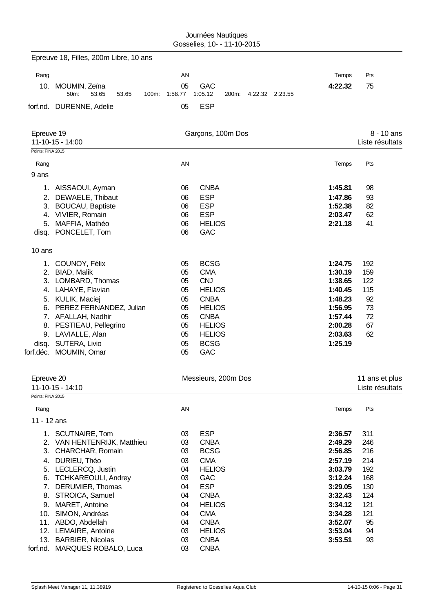|                     | Epreuve 18, Filles, 200m Libre, 10 ans     |          |                                     |                    |                 |
|---------------------|--------------------------------------------|----------|-------------------------------------|--------------------|-----------------|
| Rang                |                                            | AN       |                                     | Temps              | Pts             |
|                     | 10. MOUMIN, Zeïna                          | 05       | <b>GAC</b>                          | 4:22.32            | 75              |
|                     | 50m:<br>53.65<br>53.65<br>100m:            | 1:58.77  | 1:05.12<br>4:22.32 2:23.55<br>200m: |                    |                 |
|                     | forf.nd. DURENNE, Adelie                   | 05       | <b>ESP</b>                          |                    |                 |
| Epreuve 19          |                                            |          | Garçons, 100m Dos                   |                    | 8 - 10 ans      |
|                     | 11-10-15 - 14:00                           |          |                                     |                    | Liste résultats |
| Points: FINA 2015   |                                            |          |                                     |                    |                 |
| Rang                |                                            | AN       |                                     | Temps              | Pts             |
| 9 ans               |                                            |          |                                     |                    |                 |
|                     | 1. AISSAOUI, Ayman                         | 06       | <b>CNBA</b>                         | 1:45.81            | 98              |
| 2.                  | DEWAELE, Thibaut                           | 06       | <b>ESP</b>                          | 1:47.86            | 93              |
| 3.                  | <b>BOUCAU, Baptiste</b>                    | 06       | <b>ESP</b>                          | 1:52.38            | 82              |
|                     | 4. VIVIER, Romain                          | 06       | <b>ESP</b>                          | 2:03.47            | 62              |
| 5.                  | MAFFIA, Mathéo                             | 06       | <b>HELIOS</b>                       | 2:21.18            | 41              |
|                     | disq. PONCELET, Tom                        | 06       | <b>GAC</b>                          |                    |                 |
| 10 ans              |                                            |          |                                     |                    |                 |
|                     | 1. COUNOY, Félix                           | 05       | <b>BCSG</b>                         | 1:24.75            | 192             |
|                     | 2. BIAD, Malik                             | 05       | <b>CMA</b>                          | 1:30.19            | 159             |
|                     | 3. LOMBARD, Thomas                         | 05       | <b>CNJ</b>                          | 1:38.65            | 122             |
|                     | 4. LAHAYE, Flavian                         | 05       | <b>HELIOS</b>                       | 1:40.45            | 115             |
|                     | 5. KULIK, Maciej                           | 05       | <b>CNBA</b>                         | 1:48.23            | 92              |
| 6.                  | PEREZ FERNANDEZ, Julian                    | 05       | <b>HELIOS</b>                       | 1:56.95            | 73              |
| 8.                  | 7. AFALLAH, Nadhir<br>PESTIEAU, Pellegrino | 05<br>05 | <b>CNBA</b><br><b>HELIOS</b>        | 1:57.44<br>2:00.28 | 72<br>67        |
| 9.                  | LAVIALLE, Alan                             | 05       | <b>HELIOS</b>                       | 2:03.63            | 62              |
| disq.               | SUTERA, Livio                              | 05       | <b>BCSG</b>                         | 1:25.19            |                 |
|                     | forf.déc. MOUMIN, Omar                     | 05       | GAC                                 |                    |                 |
|                     |                                            |          |                                     |                    |                 |
| Epreuve 20          |                                            |          | Messieurs, 200m Dos                 |                    | 11 ans et plus  |
| Points: FINA 2015   | 11-10-15 - 14:10                           |          |                                     |                    | Liste résultats |
|                     |                                            | AN       |                                     |                    | Pts             |
| Rang<br>11 - 12 ans |                                            |          |                                     | Temps              |                 |
|                     | 1. SCUTNAIRE, Tom                          | 03       | <b>ESP</b>                          | 2:36.57            | 311             |
|                     | 2. VAN HENTENRIJK, Matthieu                | 03       | <b>CNBA</b>                         | 2:49.29            | 246             |
| 3.                  | CHARCHAR, Romain                           | 03       | <b>BCSG</b>                         | 2:56.85            | 216             |
|                     | 4. DURIEU, Théo                            | 03       | <b>CMA</b>                          | 2:57.19            | 214             |
|                     | 5. LECLERCQ, Justin                        | 04       | <b>HELIOS</b>                       | 3:03.79            | 192             |
| 6.                  | <b>TCHKAREOULI, Andrey</b>                 | 03       | GAC                                 | 3:12.24            | 168             |
| 7.                  | DERUMIER, Thomas                           | 04       | <b>ESP</b>                          | 3:29.05            | 130             |
| 8.                  | STROICA, Samuel                            | 04       | <b>CNBA</b>                         | 3:32.43            | 124             |
| 9.                  | MARET, Antoine                             | 04       | <b>HELIOS</b>                       | 3:34.12            | 121             |
|                     | 10. SIMON, Andréas                         | 04       | <b>CMA</b>                          | 3:34.28            | 121             |
|                     | 11. ABDO, Abdellah<br>12. LEMAIRE, Antoine | 04<br>03 | <b>CNBA</b><br><b>HELIOS</b>        | 3:52.07<br>3:53.04 | 95<br>94        |
|                     | 13. BARBIER, Nicolas                       | 03       | <b>CNBA</b>                         | 3:53.51            | 93              |
| forf.nd.            | <b>MARQUES ROBALO, Luca</b>                | 03       | <b>CNBA</b>                         |                    |                 |
|                     |                                            |          |                                     |                    |                 |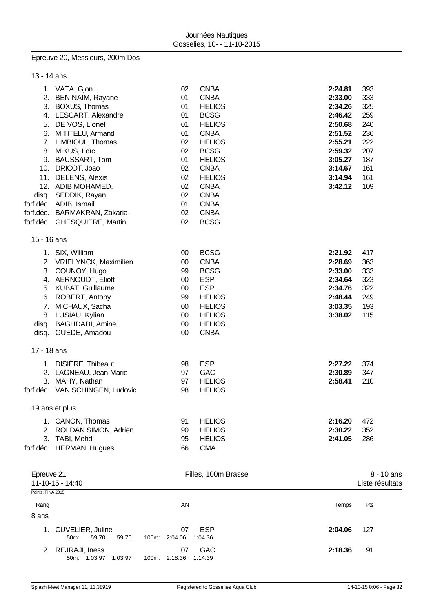#### Epreuve 20, Messieurs, 200m Dos

| 13 - 14 ans                      |                                                                                                                                                                                                                                                                                                                                                                        |                                                                                              |                                                                                                                                                                                                                                                        |                                                                                                                                  |                                                                                  |
|----------------------------------|------------------------------------------------------------------------------------------------------------------------------------------------------------------------------------------------------------------------------------------------------------------------------------------------------------------------------------------------------------------------|----------------------------------------------------------------------------------------------|--------------------------------------------------------------------------------------------------------------------------------------------------------------------------------------------------------------------------------------------------------|----------------------------------------------------------------------------------------------------------------------------------|----------------------------------------------------------------------------------|
| 3.<br>5.<br>6.<br>7.<br>8.<br>9. | 1. VATA, Gjon<br>2. BEN NAIM, Rayane<br><b>BOXUS, Thomas</b><br>4. LESCART, Alexandre<br>DE VOS, Lionel<br>MITITELU, Armand<br>LIMBIOUL, Thomas<br>MIKUS, Loïc<br><b>BAUSSART, Tom</b><br>10. DRICOT, Joao<br>11. DELENS, Alexis<br>12. ADIB MOHAMED,<br>disq. SEDDIK, Rayan<br>forf.déc. ADIB, Ismail<br>forf.déc. BARMAKRAN, Zakaria<br>forf.déc. GHESQUIERE, Martin | 02<br>01<br>01<br>01<br>01<br>01<br>02<br>02<br>01<br>02<br>02<br>02<br>02<br>01<br>02<br>02 | <b>CNBA</b><br><b>CNBA</b><br><b>HELIOS</b><br><b>BCSG</b><br><b>HELIOS</b><br><b>CNBA</b><br><b>HELIOS</b><br><b>BCSG</b><br><b>HELIOS</b><br><b>CNBA</b><br><b>HELIOS</b><br><b>CNBA</b><br><b>CNBA</b><br><b>CNBA</b><br><b>CNBA</b><br><b>BCSG</b> | 2:24.81<br>2:33.00<br>2:34.26<br>2:46.42<br>2:50.68<br>2:51.52<br>2:55.21<br>2:59.32<br>3:05.27<br>3:14.67<br>3:14.94<br>3:42.12 | 393<br>333<br>325<br>259<br>240<br>236<br>222<br>207<br>187<br>161<br>161<br>109 |
| 15 - 16 ans                      |                                                                                                                                                                                                                                                                                                                                                                        |                                                                                              |                                                                                                                                                                                                                                                        |                                                                                                                                  |                                                                                  |
| 3.<br>6.<br>7.<br>8.             | 1. SIX, William<br>2. VRIELYNCK, Maximilien<br>COUNOY, Hugo<br>4. AERNOUDT, Eliott<br>5. KUBAT, Guillaume<br>ROBERT, Antony<br>MICHAUX, Sacha<br>LUSIAU, Kylian<br>disq. BAGHDADI, Amine<br>disq. GUEDE, Amadou                                                                                                                                                        | $00\,$<br>$00\,$<br>99<br>$00\,$<br>$00\,$<br>99<br>00<br>$00\,$<br>$00\,$<br>$00\,$         | <b>BCSG</b><br><b>CNBA</b><br><b>BCSG</b><br><b>ESP</b><br><b>ESP</b><br><b>HELIOS</b><br><b>HELIOS</b><br><b>HELIOS</b><br><b>HELIOS</b><br><b>CNBA</b>                                                                                               | 2:21.92<br>2:28.69<br>2:33.00<br>2:34.64<br>2:34.76<br>2:48.44<br>3:03.35<br>3:38.02                                             | 417<br>363<br>333<br>323<br>322<br>249<br>193<br>115                             |
| 17 - 18 ans                      |                                                                                                                                                                                                                                                                                                                                                                        |                                                                                              |                                                                                                                                                                                                                                                        |                                                                                                                                  |                                                                                  |
| 3.                               | 1. DISIÈRE, Thibeaut<br>2. LAGNEAU, Jean-Marie<br>MAHY, Nathan<br>forf.déc. VAN SCHINGEN, Ludovic                                                                                                                                                                                                                                                                      | 98<br>97<br>97<br>98                                                                         | <b>ESP</b><br><b>GAC</b><br><b>HELIOS</b><br><b>HELIOS</b>                                                                                                                                                                                             | 2:27.22<br>2:30.89<br>2:58.41                                                                                                    | 374<br>347<br>210                                                                |
|                                  | 19 ans et plus                                                                                                                                                                                                                                                                                                                                                         |                                                                                              |                                                                                                                                                                                                                                                        |                                                                                                                                  |                                                                                  |
| 3.                               | 1. CANON, Thomas<br>2. ROLDAN SIMON, Adrien<br>TABI, Mehdi<br>forf.déc. HERMAN, Hugues                                                                                                                                                                                                                                                                                 | 91<br>90<br>95<br>66                                                                         | <b>HELIOS</b><br><b>HELIOS</b><br><b>HELIOS</b><br><b>CMA</b>                                                                                                                                                                                          | 2:16.20<br>2:30.22<br>2:41.05                                                                                                    | 472<br>352<br>286                                                                |
| Epreuve 21<br>Points: FINA 2015  | 11-10-15 - 14:40                                                                                                                                                                                                                                                                                                                                                       |                                                                                              | Filles, 100m Brasse                                                                                                                                                                                                                                    |                                                                                                                                  | 8 - 10 ans<br>Liste résultats                                                    |
| Rang                             |                                                                                                                                                                                                                                                                                                                                                                        | AN                                                                                           |                                                                                                                                                                                                                                                        | Temps                                                                                                                            | Pts                                                                              |
| 8 ans                            |                                                                                                                                                                                                                                                                                                                                                                        |                                                                                              |                                                                                                                                                                                                                                                        |                                                                                                                                  |                                                                                  |
| 1.                               | <b>CUVELIER, Juline</b><br>59.70<br>59.70<br>50m:                                                                                                                                                                                                                                                                                                                      | 07<br>100m: 2:04.06                                                                          | <b>ESP</b><br>1:04.36                                                                                                                                                                                                                                  | 2:04.06                                                                                                                          | 127                                                                              |
|                                  | 2. REJRAJI, Iness<br>50m: 1:03.97<br>1:03.97                                                                                                                                                                                                                                                                                                                           | 07<br>100m: 2:18.36                                                                          | <b>GAC</b><br>1:14.39                                                                                                                                                                                                                                  | 2:18.36                                                                                                                          | 91                                                                               |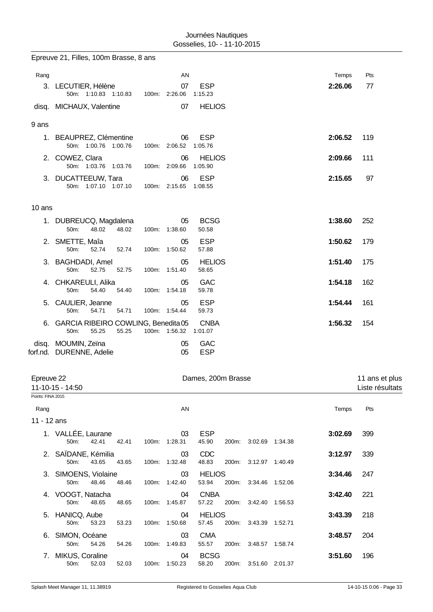|        | Epreuve 21, Filles, 100m Brasse, 8 ans                        |                        |                          |         |     |
|--------|---------------------------------------------------------------|------------------------|--------------------------|---------|-----|
| Rang   |                                                               | AN                     |                          | Temps   | Pts |
|        | 3. LECUTIER, Hélène<br>50m: 1:10.83 1:10.83                   | 07<br>100m: 2:26.06    | <b>ESP</b><br>1:15.23    | 2:26.06 | 77  |
|        | disq. MICHAUX, Valentine                                      | 07                     | <b>HELIOS</b>            |         |     |
| 9 ans  |                                                               |                        |                          |         |     |
|        | 1. BEAUPREZ, Clémentine<br>50m: 1:00.76 1:00.76               | 06<br>100m: 2:06.52    | <b>ESP</b><br>1:05.76    | 2:06.52 | 119 |
| 2.     | COWEZ, Clara<br>50m: 1:03.76 1:03.76                          | 06<br>100m: 2:09.66    | <b>HELIOS</b><br>1:05.90 | 2:09.66 | 111 |
|        | 3. DUCATTEEUW, Tara<br>50m: 1:07.10 1:07.10                   | 06<br>100m: 2:15.65    | <b>ESP</b><br>1:08.55    | 2:15.65 | 97  |
| 10 ans |                                                               |                        |                          |         |     |
| 1.     | DUBREUCQ, Magdalena<br>50m:<br>48.02<br>48.02                 | 05<br>100m: 1:38.60    | <b>BCSG</b><br>50.58     | 1:38.60 | 252 |
| 2.     | SMETTE, Maîa<br>50m:<br>52.74<br>52.74                        | 05<br>100m: 1:50.62    | <b>ESP</b><br>57.88      | 1:50.62 | 179 |
| 3.     | <b>BAGHDADI, Amel</b><br>50m:<br>52.75<br>52.75               | 05<br>1:51.40<br>100m: | <b>HELIOS</b><br>58.65   | 1:51.40 | 175 |
| 4.     | CHKAREULI, Alika<br>54.40<br>50m:<br>54.40                    | 05<br>100m: 1:54.18    | <b>GAC</b><br>59.78      | 1:54.18 | 162 |
| 5.     | CAULIER, Jeanne<br>50m:<br>54.71<br>54.71                     | 05<br>100m: 1:54.44    | <b>ESP</b><br>59.73      | 1:54.44 | 161 |
| 6.     | GARCIA RIBEIRO COWLING, Benedita 05<br>50m:<br>55.25<br>55.25 | 100m: 1:56.32          | <b>CNBA</b><br>1:01.07   | 1:56.32 | 154 |
|        | disq. MOUMIN, Zeïna<br>forf.nd. DURENNE, Adelie               | 05<br>05               | <b>GAC</b><br><b>ESP</b> |         |     |
|        |                                                               |                        |                          |         |     |

| Epreuve 22        |                                 |       |       | Dames, 200m Brasse |                     |                        |       |                       |  |         | 11 ans et plus  |  |
|-------------------|---------------------------------|-------|-------|--------------------|---------------------|------------------------|-------|-----------------------|--|---------|-----------------|--|
|                   | 11-10-15 - 14:50                |       |       |                    |                     |                        |       |                       |  |         | Liste résultats |  |
| Points: FINA 2015 |                                 |       |       |                    |                     |                        |       |                       |  |         |                 |  |
| Rang              |                                 |       |       |                    | AN                  |                        |       |                       |  | Temps   | Pts             |  |
| 11 - 12 ans       |                                 |       |       |                    |                     |                        |       |                       |  |         |                 |  |
|                   | 1. VALLÉE, Laurane<br>50m:      | 42.41 | 42.41 |                    | 03<br>100m: 1:28.31 | <b>ESP</b><br>45.90    | 200m: | 3:02.69 1:34.38       |  | 3:02.69 | 399             |  |
|                   | 2. SAÏDANE, Kémilia<br>50m:     | 43.65 | 43.65 |                    | 03<br>100m: 1:32.48 | <b>CDC</b><br>48.83    |       | 200m: 3:12.97 1:40.49 |  | 3:12.97 | 339             |  |
|                   | 3. SIMOENS, Violaine<br>$50m$ : | 48.46 | 48.46 |                    | 03<br>100m: 1:42.40 | <b>HELIOS</b><br>53.94 |       | 200m: 3:34.46 1:52.06 |  | 3:34.46 | 247             |  |
|                   | 4. VOOGT, Natacha<br>50m:       | 48.65 | 48.65 |                    | 04<br>100m: 1:45.87 | <b>CNBA</b><br>57.22   |       | 200m: 3:42.40 1:56.53 |  | 3:42.40 | 221             |  |
|                   | 5. HANICQ, Aube<br>50m:         | 53.23 | 53.23 |                    | 04<br>100m: 1:50.68 | <b>HELIOS</b><br>57.45 | 200m: | 3:43.39 1:52.71       |  | 3:43.39 | 218             |  |
| 6.                | SIMON, Océane<br>50m:           | 54.26 | 54.26 |                    | 03<br>100m: 1:49.83 | <b>CMA</b><br>55.57    | 200m: | 3:48.57 1:58.74       |  | 3:48.57 | 204             |  |
| 7.                | MIKUS, Coraline<br>50m:         | 52.03 | 52.03 | 100m:              | 04<br>1:50.23       | <b>BCSG</b><br>58.20   | 200m: | 3:51.60 2:01.37       |  | 3:51.60 | 196             |  |
|                   |                                 |       |       |                    |                     |                        |       |                       |  |         |                 |  |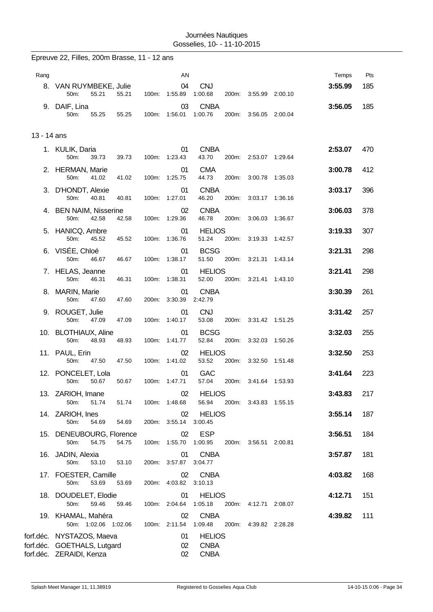|             | Epreuve 22, Filles, 200m Brasse, 11 - 12 ans                                                                 |       |       |                                 |                                                        |       |                       |         |         |     |
|-------------|--------------------------------------------------------------------------------------------------------------|-------|-------|---------------------------------|--------------------------------------------------------|-------|-----------------------|---------|---------|-----|
| Rang        |                                                                                                              |       |       | AN                              |                                                        |       |                       |         | Temps   | Pts |
|             | 8. VAN RUYMBEKE, Julie<br>50m:<br>55.21                                                                      | 55.21 |       | 04<br>100m: 1:55.89             | <b>CNJ</b><br>1:00.68                                  |       | 200m: 3:55.99 2:00.10 |         | 3:55.99 | 185 |
|             | 9. DAIF, Lina<br>50m:<br>55.25                                                                               | 55.25 | 100m: | 03<br>1:56.01                   | <b>CNBA</b><br>1:00.76                                 | 200m: | 3:56.05               | 2:00.04 | 3:56.05 | 185 |
| 13 - 14 ans |                                                                                                              |       |       |                                 |                                                        |       |                       |         |         |     |
|             | 1. KULIK, Daria<br>50m:<br>39.73                                                                             | 39.73 |       | 01<br>100m: 1:23.43             | <b>CNBA</b><br>43.70                                   |       | 200m: 2:53.07 1:29.64 |         | 2:53.07 | 470 |
|             | 2. HERMAN, Marie<br>50m:<br>41.02                                                                            | 41.02 |       | 01<br>100m: 1:25.75             | <b>CMA</b><br>44.73                                    | 200m: | 3:00.78               | 1:35.03 | 3:00.78 | 412 |
|             | 3. D'HONDT, Alexie<br>50m:<br>40.81                                                                          | 40.81 |       | 01<br>100m: 1:27.01             | <b>CNBA</b><br>46.20                                   | 200m: | 3:03.17               | 1:36.16 | 3:03.17 | 396 |
|             | 4. BEN NAIM, Nisserine<br>50m:<br>42.58                                                                      | 42.58 |       | 02<br>100m: 1:29.36             | <b>CNBA</b><br>46.78                                   | 200m: | 3:06.03               | 1:36.67 | 3:06.03 | 378 |
|             | 5. HANICQ, Ambre<br>50m:<br>45.52                                                                            | 45.52 |       | 01<br>100m: 1:36.76             | <b>HELIOS</b><br>51.24                                 | 200m: | 3:19.33               | 1:42.57 | 3:19.33 | 307 |
|             | 6. VISÉE, Chloé<br>50m:<br>46.67                                                                             | 46.67 | 100m: | 01<br>1:38.17                   | <b>BCSG</b><br>51.50                                   | 200m: | 3:21.31               | 1:43.14 | 3:21.31 | 298 |
|             | 7. HELAS, Jeanne<br>50m:<br>46.31                                                                            | 46.31 |       | 01<br>100m: 1:38.31             | <b>HELIOS</b><br>52.00                                 | 200m: | 3:21.41               | 1:43.10 | 3:21.41 | 298 |
|             | 8. MARIN, Marie<br>50m:<br>47.60                                                                             | 47.60 |       | 01<br>200m: 3:30.39             | <b>CNBA</b><br>2:42.79                                 |       |                       |         | 3:30.39 | 261 |
|             | 9. ROUGET, Julie<br>50m:<br>47.09                                                                            | 47.09 |       | 01<br>100m: 1:40.17             | <b>CNJ</b><br>53.08                                    |       | 200m: 3:31.42 1:51.25 |         | 3:31.42 | 257 |
|             | 10. BLOTHIAUX, Aline<br>50m:<br>48.93                                                                        | 48.93 |       | 01<br>100m: 1:41.77             | <b>BCSG</b><br>52.84                                   | 200m: | 3:32.03               | 1:50.26 | 3:32.03 | 255 |
|             | 11. PAUL, Erin<br>50m:<br>47.50                                                                              | 47.50 |       | 02<br>100m: 1:41.02             | <b>HELIOS</b><br>53.52                                 | 200m: | 3:32.50               | 1:51.48 | 3:32.50 | 253 |
|             | 12. PONCELET, Lola<br>50m:<br>50.67                                                                          | 50.67 |       | 01<br>100m: 1:47.71             | GAC<br>57.04                                           |       | 200m: 3:41.64 1:53.93 |         | 3:41.64 | 223 |
|             | 13. ZARIOH, Imane<br>50m:<br>51.74                                                                           | 51.74 | 100m: | 02<br>1:48.68                   | <b>HELIOS</b><br>56.94                                 |       | 200m: 3:43.83 1:55.15 |         | 3:43.83 | 217 |
|             | 14. ZARIOH, Ines<br>50m:<br>54.69                                                                            | 54.69 |       | 02<br>200m: 3:55.14             | <b>HELIOS</b><br>3:00.45                               |       |                       |         | 3:55.14 | 187 |
|             | 15. DENEUBOURG, Florence<br>50m:<br>54.75                                                                    | 54.75 |       | 02<br>100m: 1:55.70             | <b>ESP</b><br>1:00.95                                  |       | 200m: 3:56.51 2:00.81 |         | 3:56.51 | 184 |
|             | 16. JADIN, Alexia<br>50m:<br>53.10                                                                           | 53.10 |       | 01<br>200m: 3:57.87             | <b>CNBA</b><br>3:04.77                                 |       |                       |         | 3:57.87 | 181 |
|             | 17. FOESTER, Camille<br>50m:<br>53.69                                                                        | 53.69 |       | 02<br>200m: 4:03.82             | <b>CNBA</b><br>3:10.13                                 |       |                       |         | 4:03.82 | 168 |
|             | 18. DOUDELET, Elodie                                                                                         |       |       | 01                              | <b>HELIOS</b>                                          |       |                       |         | 4:12.71 | 151 |
|             | 59.46<br>50m:<br>19. KHAMAL, Mahéra                                                                          | 59.46 |       | 100m: 2:04.64<br>02             | 1:05.18<br><b>CNBA</b>                                 |       | 200m: 4:12.71 2:08.07 |         | 4:39.82 | 111 |
|             | 50m: 1:02.06 1:02.06<br>forf.déc. NYSTAZOS, Maeva<br>forf.déc. GOETHALS, Lutgard<br>forf.déc. ZERAIDI, Kenza |       |       | 100m: 2:11.54<br>01<br>02<br>02 | 1:09.48<br><b>HELIOS</b><br><b>CNBA</b><br><b>CNBA</b> |       | 200m: 4:39.82 2:28.28 |         |         |     |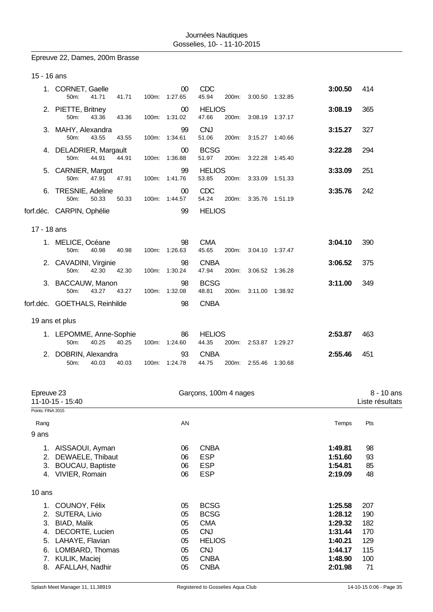## Epreuve 22, Dames, 200m Brasse

| 15 - 16 ans                      |                                                                                                               |       |       |                                  |                                                                                       |       |                       |                                                                |                                        |  |
|----------------------------------|---------------------------------------------------------------------------------------------------------------|-------|-------|----------------------------------|---------------------------------------------------------------------------------------|-------|-----------------------|----------------------------------------------------------------|----------------------------------------|--|
|                                  | 1. CORNET, Gaelle<br>50m:<br>41.71                                                                            | 41.71 |       | 00<br>100m: 1:27.65              | <b>CDC</b><br>45.94                                                                   |       | 200m: 3:00.50 1:32.85 | 3:00.50                                                        | 414                                    |  |
|                                  | 2. PIETTE, Britney<br>43.36<br>50m:                                                                           | 43.36 |       | 00<br>100m: 1:31.02              | <b>HELIOS</b><br>47.66                                                                |       | 200m: 3:08.19 1:37.17 | 3:08.19                                                        | 365                                    |  |
|                                  | 3. MAHY, Alexandra<br>50m:<br>43.55                                                                           | 43.55 |       | 99<br>100m: 1:34.61              | <b>CNJ</b><br>51.06                                                                   | 200m: | 3:15.27 1:40.66       | 3:15.27                                                        | 327                                    |  |
|                                  | 4. DELADRIER, Margault<br>44.91<br>50m:                                                                       | 44.91 |       | 00<br>100m: 1:36.88              | <b>BCSG</b><br>51.97                                                                  |       | 200m: 3:22.28 1:45.40 | 3:22.28                                                        | 294                                    |  |
|                                  | 5. CARNIER, Margot<br>50m:<br>47.91                                                                           | 47.91 |       | 99<br>100m: 1:41.76              | <b>HELIOS</b><br>53.85                                                                |       | 200m: 3:33.09 1:51.33 | 3:33.09                                                        | 251                                    |  |
|                                  | 6. TRESNIE, Adeline<br>50m:<br>50.33                                                                          | 50.33 |       | 00<br>100m: 1:44.57              | <b>CDC</b><br>54.24                                                                   | 200m: | 3:35.76 1:51.19       | 3:35.76                                                        | 242                                    |  |
|                                  | forf.déc. CARPIN, Ophélie                                                                                     |       |       | 99                               | <b>HELIOS</b>                                                                         |       |                       |                                                                |                                        |  |
| 17 - 18 ans                      |                                                                                                               |       |       |                                  |                                                                                       |       |                       |                                                                |                                        |  |
|                                  | 1. MELICE, Océane<br>40.98<br>50m:                                                                            | 40.98 |       | 98<br>100m: 1:26.63              | <b>CMA</b><br>45.65                                                                   |       | 200m: 3:04.10 1:37.47 | 3:04.10                                                        | 390                                    |  |
|                                  | 2. CAVADINI, Virginie<br>42.30<br>50m:                                                                        | 42.30 |       | 98<br>100m: 1:30.24              | <b>CNBA</b><br>47.94                                                                  |       | 200m: 3:06.52 1:36.28 | 3:06.52                                                        | 375                                    |  |
|                                  | 3. BACCAUW, Manon<br>43.27<br>50m:                                                                            | 43.27 |       | 98<br>100m: 1:32.08              | <b>BCSG</b><br>48.81                                                                  |       | 200m: 3:11.00 1:38.92 | 3:11.00                                                        | 349                                    |  |
|                                  | forf.déc. GOETHALS, Reinhilde                                                                                 |       |       | 98                               | <b>CNBA</b>                                                                           |       |                       |                                                                |                                        |  |
|                                  | 19 ans et plus                                                                                                |       |       |                                  |                                                                                       |       |                       |                                                                |                                        |  |
|                                  | 1. LEPOMME, Anne-Sophie<br>40.25<br>50m:                                                                      | 40.25 | 100m: | 86<br>1:24.60                    | <b>HELIOS</b><br>44.35                                                                | 200m: | 2:53.87 1:29.27       | 2:53.87                                                        | 463                                    |  |
|                                  | 2. DOBRIN, Alexandra<br>40.03<br>50m:                                                                         | 40.03 |       | 93<br>100m: 1:24.78              | <b>CNBA</b><br>44.75                                                                  |       | 200m: 2:55.46 1:30.68 | 2:55.46                                                        | 451                                    |  |
| Epreuve 23<br>Points: FINA 2015  | 11-10-15 - 15:40                                                                                              |       |       |                                  | Garçons, 100m 4 nages                                                                 |       |                       |                                                                | 8 - 10 ans<br>Liste résultats          |  |
| Rang<br>9 ans                    |                                                                                                               |       |       | AN                               |                                                                                       |       |                       | Temps                                                          | Pts                                    |  |
| 2.<br>3.                         | 1. AISSAOUI, Ayman<br>DEWAELE, Thibaut<br><b>BOUCAU, Baptiste</b><br>4. VIVIER, Romain                        |       |       | 06<br>06<br>06<br>06             | <b>CNBA</b><br><b>ESP</b><br><b>ESP</b><br><b>ESP</b>                                 |       |                       | 1:49.81<br>1:51.60<br>1:54.81<br>2:19.09                       | 98<br>93<br>85<br>48                   |  |
| 10 ans                           |                                                                                                               |       |       |                                  |                                                                                       |       |                       |                                                                |                                        |  |
| 1.<br>2.<br>3.<br>4.<br>5.<br>6. | COUNOY, Félix<br>SUTERA, Livio<br><b>BIAD, Malik</b><br>DECORTE, Lucien<br>LAHAYE, Flavian<br>LOMBARD, Thomas |       |       | 05<br>05<br>05<br>05<br>05<br>05 | <b>BCSG</b><br><b>BCSG</b><br><b>CMA</b><br><b>CNJ</b><br><b>HELIOS</b><br><b>CNJ</b> |       |                       | 1:25.58<br>1:28.12<br>1:29.32<br>1:31.44<br>1:40.21<br>1:44.17 | 207<br>190<br>182<br>170<br>129<br>115 |  |
|                                  | 7. KULIK, Maciej<br>8. AFALLAH, Nadhir                                                                        |       |       | 05<br>05                         | <b>CNBA</b><br><b>CNBA</b>                                                            |       |                       | 1:48.90<br>2:01.98                                             | 100<br>71                              |  |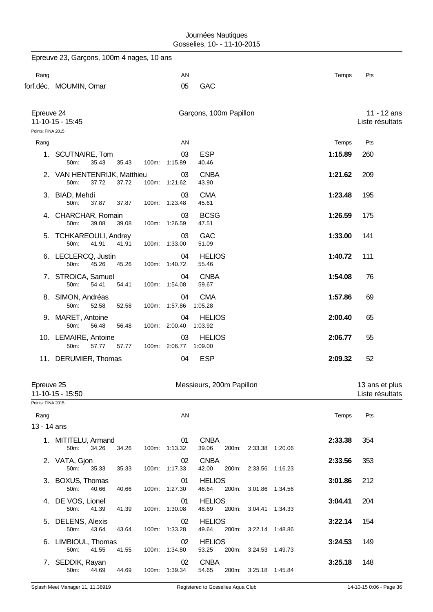|                     | Epreuve 23, Garçons, 100m 4 nages, 10 ans             |       |                             |                                 |                       |         |                                   |
|---------------------|-------------------------------------------------------|-------|-----------------------------|---------------------------------|-----------------------|---------|-----------------------------------|
| Rang                |                                                       |       | AN                          |                                 |                       | Temps   | Pts                               |
|                     | forf.déc. MOUMIN, Omar                                |       | 05                          | <b>GAC</b>                      |                       |         |                                   |
| Epreuve 24          | 11-10-15 - 15:45                                      |       |                             | Garçons, 100m Papillon          |                       |         | 11 - 12 ans<br>Liste résultats    |
| Points: FINA 2015   |                                                       |       |                             |                                 |                       |         |                                   |
| Rang                |                                                       |       | AN                          |                                 |                       | Temps   | Pts                               |
|                     | 1. SCUTNAIRE, Tom<br>50m:<br>35.43<br>35.43           | 100m: | 03<br>1:15.89               | <b>ESP</b><br>40.46             |                       | 1:15.89 | 260                               |
|                     | 2. VAN HENTENRIJK, Matthieu<br>37.72<br>50m:<br>37.72 | 100m: | 03<br>1:21.62               | <b>CNBA</b><br>43.90            |                       | 1:21.62 | 209                               |
|                     | 3. BIAD, Mehdi<br>50m:<br>37.87<br>37.87              | 100m: | 03<br>1:23.48               | <b>CMA</b><br>45.61             |                       | 1:23.48 | 195                               |
|                     | 4. CHARCHAR, Romain<br>39.08<br>50m:<br>39.08         |       | 03<br>100m: 1:26.59         | <b>BCSG</b><br>47.51            |                       | 1:26.59 | 175                               |
| 5.                  | <b>TCHKAREOULI, Andrey</b><br>41.91<br>50m:<br>41.91  |       | 03<br>100m: 1:33.00         | <b>GAC</b><br>51.09             |                       | 1:33.00 | 141                               |
|                     | 6. LECLERCQ, Justin<br>45.26<br>50m:<br>45.26         | 100m: | 04<br>1:40.72               | <b>HELIOS</b><br>55.46          |                       | 1:40.72 | 111                               |
|                     | 7. STROICA, Samuel<br>50m:<br>54.41<br>54.41          |       | 04<br>100m: 1:54.08         | <b>CNBA</b><br>59.67            |                       | 1:54.08 | 76                                |
|                     | 8. SIMON, Andréas<br>50m:<br>52.58<br>52.58           |       | 04<br>100m: 1:57.86         | <b>CMA</b><br>1:05.28           |                       | 1:57.86 | 69                                |
|                     | 9. MARET, Antoine<br>50m:<br>56.48<br>56.48           | 100m: | 04<br>2:00.40               | <b>HELIOS</b><br>1:03.92        |                       | 2:00.40 | 65                                |
|                     | 10. LEMAIRE, Antoine<br>50m:<br>57.77<br>57.77        |       | 03<br>100m: 2:06.77 1:09.00 | <b>HELIOS</b>                   |                       | 2:06.77 | 55                                |
|                     | 11. DERUMIER, Thomas                                  |       | 04                          | <b>ESP</b>                      |                       | 2:09.32 | 52                                |
| Epreuve 25          | 11-10-15 - 15:50                                      |       |                             | Messieurs, 200m Papillon        |                       |         | 13 ans et plus<br>Liste résultats |
| Points: FINA 2015   |                                                       |       |                             |                                 |                       |         |                                   |
| Rang<br>13 - 14 ans |                                                       |       | AN                          |                                 |                       | Temps   | Pts                               |
|                     | 1. MITITELU, Armand<br>50m:<br>34.26<br>34.26         | 100m: | 01<br>1:13.32               | <b>CNBA</b><br>39.06<br>200m:   | 2:33.38 1:20.06       | 2:33.38 | 354                               |
|                     | 2. VATA, Gjon<br>50m:<br>35.33<br>35.33               |       | 02<br>100m: 1:17.33         | <b>CNBA</b><br>42.00            | 200m: 2:33.56 1:16.23 | 2:33.56 | 353                               |
|                     | 3. BOXUS, Thomas<br>50m:<br>40.66<br>40.66            |       | 01<br>100m: 1:27.30         | <b>HELIOS</b><br>46.64<br>200m: | 3:01.86 1:34.56       | 3:01.86 | 212                               |
|                     | 4. DE VOS, Lionel<br>50m:<br>41.39<br>41.39           | 100m: | 01<br>1:30.08               | <b>HELIOS</b><br>48.69<br>200m: | 3:04.41 1:34.33       | 3:04.41 | 204                               |
|                     | 5. DELENS, Alexis<br>50m:<br>43.64<br>43.64           |       | 02<br>100m: 1:33.28         | <b>HELIOS</b><br>49.64<br>200m: | 3:22.14 1:48.86       | 3:22.14 | 154                               |
|                     | 6. LIMBIOUL, Thomas<br>50m:<br>41.55<br>41.55         |       | 02<br>100m: 1:34.80         | <b>HELIOS</b><br>53.25<br>200m: | 3:24.53 1:49.73       | 3:24.53 | 149                               |
|                     | 7. SEDDIK, Rayan<br>50m:<br>44.69<br>44.69            | 100m: | 02<br>1:39.34               | <b>CNBA</b><br>54.65<br>200m:   | 3:25.18 1:45.84       | 3:25.18 | 148                               |
|                     |                                                       |       |                             |                                 |                       |         |                                   |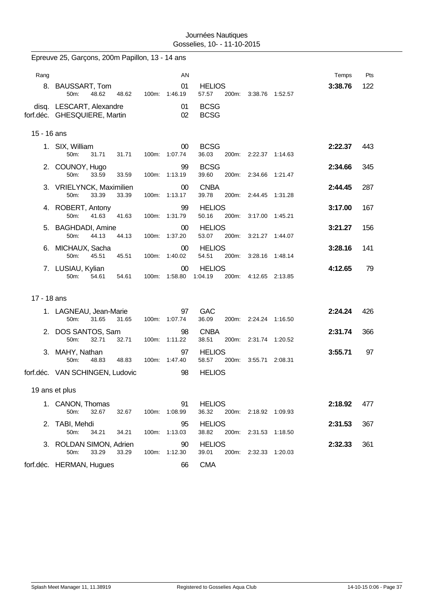|             | Epreuve 25, Garçons, 200m Papillon, 13 - 14 ans          |       |                         |                                   |                       |         |                  |            |
|-------------|----------------------------------------------------------|-------|-------------------------|-----------------------------------|-----------------------|---------|------------------|------------|
| Rang        | 8. BAUSSART, Tom                                         |       | AN<br>01                | <b>HELIOS</b>                     |                       |         | Temps<br>3:38.76 | Pts<br>122 |
|             | 50m:<br>48.62<br>48.62                                   |       | 100m: 1:46.19           | 57.57                             | 200m: 3:38.76 1:52.57 |         |                  |            |
|             | disq. LESCART, Alexandre<br>forf.déc. GHESQUIERE, Martin |       | 01<br>02                | <b>BCSG</b><br><b>BCSG</b>        |                       |         |                  |            |
| 15 - 16 ans |                                                          |       |                         |                                   |                       |         |                  |            |
|             | 1. SIX, William<br>50m:<br>31.71<br>31.71                |       | $00\,$<br>100m: 1:07.74 | <b>BCSG</b><br>36.03              | 200m: 2:22.37 1:14.63 |         | 2:22.37          | 443        |
|             | 2. COUNOY, Hugo<br>50m:<br>33.59<br>33.59                | 100m: | 99<br>1:13.19           | <b>BCSG</b><br>39.60<br>200m:     | 2:34.66               | 1:21.47 | 2:34.66          | 345        |
|             | 3. VRIELYNCK, Maximilien<br>50m:<br>33.39<br>33.39       | 100m: | 00<br>1:13.17           | <b>CNBA</b><br>39.78<br>200m:     | 2:44.45               | 1:31.28 | 2:44.45          | 287        |
|             | 4. ROBERT, Antony<br>50m:<br>41.63<br>41.63              |       | 99<br>100m: 1:31.79     | <b>HELIOS</b><br>50.16<br>200m:   | 3:17.00               | 1:45.21 | 3:17.00          | 167        |
|             | 5. BAGHDADI, Amine<br>50m:<br>44.13<br>44.13             | 100m: | 00<br>1:37.20           | <b>HELIOS</b><br>53.07<br>200m:   | 3:21.27 1:44.07       |         | 3:21.27          | 156        |
|             | 6. MICHAUX, Sacha<br>50m:<br>45.51<br>45.51              | 100m: | 00<br>1:40.02           | <b>HELIOS</b><br>54.51<br>200m:   | 3:28.16               | 1:48.14 | 3:28.16          | 141        |
|             | 7. LUSIAU, Kylian<br>50m:<br>54.61<br>54.61              |       | 00<br>100m: 1:58.80     | <b>HELIOS</b><br>200m:<br>1:04.19 | 4:12.65 2:13.85       |         | 4:12.65          | 79         |
| 17 - 18 ans |                                                          |       |                         |                                   |                       |         |                  |            |
|             | 1. LAGNEAU, Jean-Marie<br>50m:<br>31.65<br>31.65         |       | 97<br>100m: 1:07.74     | <b>GAC</b><br>36.09               | 200m: 2:24.24 1:16.50 |         | 2:24.24          | 426        |
|             | 2. DOS SANTOS, Sam<br>50m:<br>32.71<br>32.71             | 100m: | 98<br>1:11.22           | <b>CNBA</b><br>38.51<br>200m:     | 2:31.74               | 1:20.52 | 2:31.74          | 366        |
|             | 3. MAHY, Nathan<br>50m:<br>48.83<br>48.83                | 100m: | 97<br>1:47.40           | <b>HELIOS</b><br>58.57<br>200m:   | 3:55.71               | 2:08.31 | 3:55.71          | 97         |
|             | forf.déc. VAN SCHINGEN, Ludovic                          |       | 98                      | <b>HELIOS</b>                     |                       |         |                  |            |
|             | 19 ans et plus                                           |       |                         |                                   |                       |         |                  |            |
|             | 1. CANON, Thomas<br>50m:<br>32.67<br>32.67               |       | 91<br>100m: 1:08.99     | <b>HELIOS</b><br>36.32            | 200m: 2:18.92 1:09.93 |         | 2:18.92          | 477        |
|             | 2. TABI, Mehdi<br>50m:<br>34.21<br>34.21                 | 100m: | 95<br>1:13.03           | <b>HELIOS</b><br>38.82<br>200m:   | 2:31.53 1:18.50       |         | 2:31.53          | 367        |
|             | 3. ROLDAN SIMON, Adrien<br>33.29<br>50m:<br>33.29        |       | 90<br>100m: 1:12.30     | <b>HELIOS</b><br>39.01            | 200m: 2:32.33 1:20.03 |         | 2:32.33          | 361        |
|             | forf.déc. HERMAN, Hugues                                 |       | 66                      | <b>CMA</b>                        |                       |         |                  |            |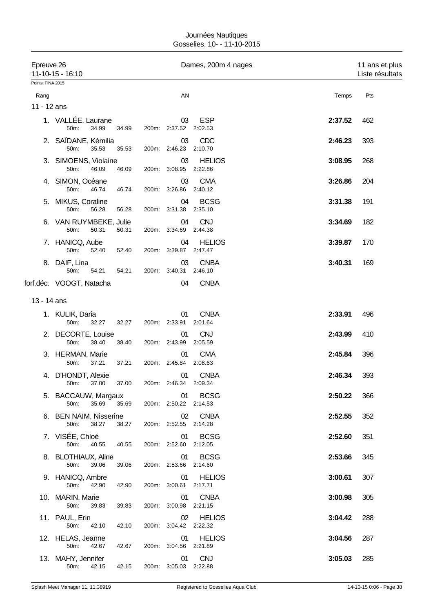| Epreuve 26        | 11-10-15 - 16:10                        |       |                             | Dames, 200m 4 nages      |         | 11 ans et plus<br>Liste résultats |
|-------------------|-----------------------------------------|-------|-----------------------------|--------------------------|---------|-----------------------------------|
| Points: FINA 2015 |                                         |       |                             |                          |         |                                   |
| Rang              |                                         |       | AN                          |                          | Temps   | Pts                               |
| 11 - 12 ans       |                                         |       |                             |                          |         |                                   |
|                   | 1. VALLÉE, Laurane<br>50m:<br>34.99     | 34.99 | 03<br>200m: 2:37.52 2:02.53 | <b>ESP</b>               | 2:37.52 | 462                               |
|                   | 2. SAÏDANE, Kémilia<br>50m:<br>35.53    | 35.53 | 03<br>200m: 2:46.23         | CDC<br>2:10.70           | 2:46.23 | 393                               |
|                   | 3. SIMOENS, Violaine<br>50m:<br>46.09   | 46.09 | 03<br>200m: 3:08.95         | <b>HELIOS</b><br>2:22.86 | 3:08.95 | 268                               |
|                   | 4. SIMON, Océane<br>50m:<br>46.74       | 46.74 | 03<br>200m: 3:26.86         | <b>CMA</b><br>2:40.12    | 3:26.86 | 204                               |
|                   | 5. MIKUS, Coraline<br>50m:<br>56.28     | 56.28 | 04<br>200m: 3:31.38         | <b>BCSG</b><br>2:35.10   | 3:31.38 | 191                               |
| 6.                | VAN RUYMBEKE, Julie<br>50m:<br>50.31    | 50.31 | 04<br>200m: 3:34.69 2:44.38 | <b>CNJ</b>               | 3:34.69 | 182                               |
|                   | 7. HANICQ, Aube<br>50m:<br>52.40        | 52.40 | 04<br>200m: 3:39.87         | <b>HELIOS</b><br>2:47.47 | 3:39.87 | 170                               |
|                   | 8. DAIF, Lina<br>50m:<br>54.21          | 54.21 | 03<br>200m: 3:40.31         | <b>CNBA</b><br>2:46.10   | 3:40.31 | 169                               |
|                   | forf.déc. VOOGT, Natacha                |       | 04                          | <b>CNBA</b>              |         |                                   |
| 13 - 14 ans       |                                         |       |                             |                          |         |                                   |
|                   | 1. KULIK, Daria<br>50m:<br>32.27        | 32.27 | 01<br>200m: 2:33.91         | <b>CNBA</b><br>2:01.64   | 2:33.91 | 496                               |
|                   | 2. DECORTE, Louise<br>50m:<br>38.40     | 38.40 | 01<br>200m: 2:43.99         | <b>CNJ</b><br>2:05.59    | 2:43.99 | 410                               |
|                   | 3. HERMAN, Marie<br>50m:<br>37.21       | 37.21 | 01<br>200m: 2:45.84         | <b>CMA</b><br>2:08.63    | 2:45.84 | 396                               |
|                   | 4. D'HONDT, Alexie<br>50m: 37.00        | 37.00 | 01<br>200m: 2:46.34         | <b>CNBA</b><br>2:09.34   | 2:46.34 | 393                               |
|                   | 5. BACCAUW, Margaux<br>50m:<br>35.69    | 35.69 | 01<br>200m: 2:50.22 2:14.53 | <b>BCSG</b>              | 2:50.22 | 366                               |
|                   | 6. BEN NAIM, Nisserine<br>50m:<br>38.27 | 38.27 | 02<br>200m: 2:52.55 2:14.28 | <b>CNBA</b>              | 2:52.55 | 352                               |
|                   | 7. VISÉE, Chloé<br>50m:<br>40.55        | 40.55 | 01<br>200m: 2:52.60 2:12.05 | <b>BCSG</b>              | 2:52.60 | 351                               |
|                   | 8. BLOTHIAUX, Aline<br>50m:<br>39.06    | 39.06 | 01<br>200m: 2:53.66 2:14.60 | <b>BCSG</b>              | 2:53.66 | 345                               |
|                   | 9. HANICQ, Ambre<br>50m:<br>42.90       | 42.90 | 01<br>200m: 3:00.61 2:17.71 | <b>HELIOS</b>            | 3:00.61 | 307                               |
|                   | 10. MARIN, Marie<br>50m:<br>39.83       | 39.83 | 01<br>200m: 3:00.98 2:21.15 | <b>CNBA</b>              | 3:00.98 | 305                               |
|                   | 11. PAUL, Erin<br>50m:<br>42.10         | 42.10 | 02<br>200m: 3:04.42 2:22.32 | <b>HELIOS</b>            | 3:04.42 | 288                               |
|                   | 12. HELAS, Jeanne<br>50m:<br>42.67      | 42.67 | 01<br>200m: 3:04.56 2:21.89 | <b>HELIOS</b>            | 3:04.56 | 287                               |
|                   | 13. MAHY, Jennifer<br>50m:<br>42.15     | 42.15 | 01<br>200m: 3:05.03 2:22.88 | <b>CNJ</b>               | 3:05.03 | 285                               |
|                   |                                         |       |                             |                          |         |                                   |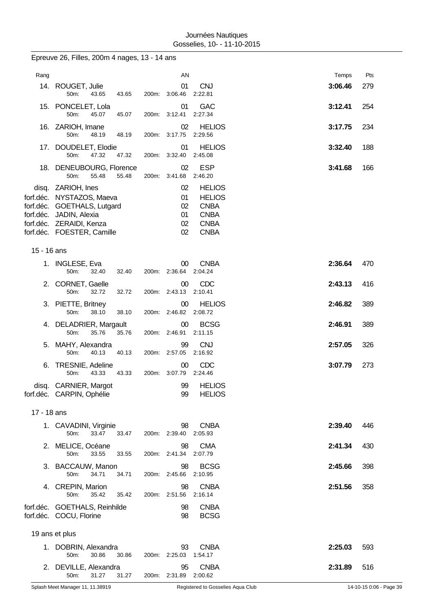|             | Epreuve 26, Filles, 200m 4 nages, 13 - 14 ans                                                                                                                    |                |                                  |                                                                                            |         |     |
|-------------|------------------------------------------------------------------------------------------------------------------------------------------------------------------|----------------|----------------------------------|--------------------------------------------------------------------------------------------|---------|-----|
| Rang        |                                                                                                                                                                  |                | AN                               |                                                                                            | Temps   | Pts |
|             | 14. ROUGET, Julie<br>50m:<br>43.65                                                                                                                               | 43.65          | 01<br>200m: 3:06.46              | <b>CNJ</b><br>2:22.81                                                                      | 3:06.46 | 279 |
|             | 15. PONCELET, Lola<br>45.07<br>50m:                                                                                                                              | 45.07<br>200m: | 01<br>3:12.41                    | <b>GAC</b><br>2:27.34                                                                      | 3:12.41 | 254 |
|             | 16. ZARIOH, Imane<br>50m:<br>48.19                                                                                                                               | 48.19<br>200m: | 02<br>3:17.75                    | <b>HELIOS</b><br>2:29.56                                                                   | 3:17.75 | 234 |
| 17.         | DOUDELET, Elodie<br>50m:<br>47.32                                                                                                                                | 47.32          | 01<br>200m: 3:32.40              | <b>HELIOS</b><br>2:45.08                                                                   | 3:32.40 | 188 |
|             | 18. DENEUBOURG, Florence<br>55.48<br>50m:                                                                                                                        | 55.48<br>200m: | 02<br>3:41.68                    | <b>ESP</b><br>2:46.20                                                                      | 3:41.68 | 166 |
| forf.déc.   | disq. ZARIOH, Ines<br>forf.déc. NYSTAZOS, Maeva<br><b>GOETHALS, Lutgard</b><br>forf.déc. JADIN, Alexia<br>forf.déc. ZERAIDI, Kenza<br>forf.déc. FOESTER, Camille |                | 02<br>01<br>02<br>01<br>02<br>02 | <b>HELIOS</b><br><b>HELIOS</b><br><b>CNBA</b><br><b>CNBA</b><br><b>CNBA</b><br><b>CNBA</b> |         |     |
| 15 - 16 ans |                                                                                                                                                                  |                |                                  |                                                                                            |         |     |
|             | 1. INGLESE, Eva<br>50m:<br>32.40                                                                                                                                 | 32.40          | 00<br>200m: 2:36.64              | <b>CNBA</b><br>2:04.24                                                                     | 2:36.64 | 470 |
|             | 2. CORNET, Gaelle<br>50m:<br>32.72                                                                                                                               | 32.72          | 00<br>200m: 2:43.13              | CDC<br>2:10.41                                                                             | 2:43.13 | 416 |
| З.          | PIETTE, Britney<br>50m:<br>38.10                                                                                                                                 | 38.10          | 00<br>200m: 2:46.82              | <b>HELIOS</b><br>2:08.72                                                                   | 2:46.82 | 389 |
| 4.          | DELADRIER, Margault<br>35.76<br>50m:                                                                                                                             | 35.76<br>200m: | 00<br>2:46.91                    | <b>BCSG</b><br>2:11.15                                                                     | 2:46.91 | 389 |
| 5.          | MAHY, Alexandra<br>50m:<br>40.13                                                                                                                                 | 40.13<br>200m: | 99<br>2:57.05                    | <b>CNJ</b><br>2:16.92                                                                      | 2:57.05 | 326 |
| 6.          | TRESNIE, Adeline<br>50m:<br>43.33                                                                                                                                | 43.33          | 00<br>200m: 3:07.79              | CDC<br>2:24.46                                                                             | 3:07.79 | 273 |
|             | disq. CARNIER, Margot<br>forf.déc. CARPIN, Ophélie                                                                                                               |                | 99<br>99                         | <b>HELIOS</b><br><b>HELIOS</b>                                                             |         |     |
| 17 - 18 ans |                                                                                                                                                                  |                |                                  |                                                                                            |         |     |
|             | 1. CAVADINI, Virginie<br>33.47<br>50m:                                                                                                                           | 33.47<br>200m: | 98<br>2:39.40                    | <b>CNBA</b><br>2:05.93                                                                     | 2:39.40 | 446 |
|             | 2. MELICE, Océane<br>50m:<br>33.55                                                                                                                               | 33.55<br>200m: | 98<br>2:41.34                    | <b>CMA</b><br>2:07.79                                                                      | 2:41.34 | 430 |
|             | 3. BACCAUW, Manon<br>50m:<br>34.71                                                                                                                               | 34.71          | 98<br>200m: 2:45.66              | <b>BCSG</b><br>2:10.95                                                                     | 2:45.66 | 398 |
|             | 4. CREPIN, Marion<br>50m:<br>35.42                                                                                                                               | 35.42<br>200m: | 98<br>2:51.56                    | <b>CNBA</b><br>2:16.14                                                                     | 2:51.56 | 358 |
|             | forf.déc. GOETHALS, Reinhilde<br>forf.déc. COCU, Florine                                                                                                         |                | 98<br>98                         | <b>CNBA</b><br><b>BCSG</b>                                                                 |         |     |
|             | 19 ans et plus                                                                                                                                                   |                |                                  |                                                                                            |         |     |
|             | 1. DOBRIN, Alexandra<br>50m:<br>30.86                                                                                                                            | 30.86          | 93<br>200m: 2:25.03              | <b>CNBA</b><br>1:54.17                                                                     | 2:25.03 | 593 |
|             | 2. DEVILLE, Alexandra<br>50m:<br>31.27                                                                                                                           | 31.27          | 95<br>200m: 2:31.89              | <b>CNBA</b><br>2:00.62                                                                     | 2:31.89 | 516 |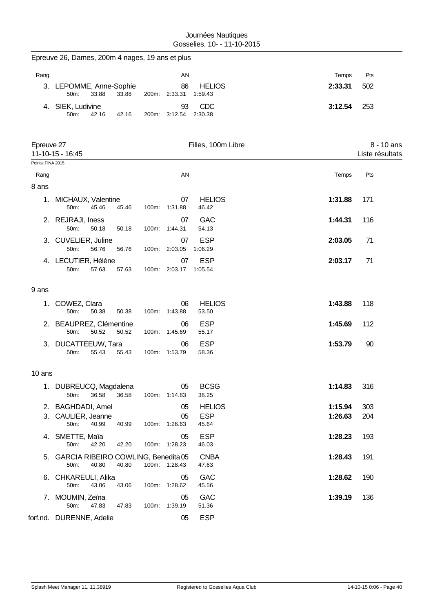|                   | Epreuve 26, Dames, 200m 4 nages, 19 ans et plus         |       |       |                           |                                      |                    |                               |
|-------------------|---------------------------------------------------------|-------|-------|---------------------------|--------------------------------------|--------------------|-------------------------------|
| Rang              |                                                         |       |       | AN                        |                                      | Temps              | Pts                           |
|                   | 3. LEPOMME, Anne-Sophie<br>33.88<br>50m:                | 33.88 |       | 86<br>200m: 2:33.31       | <b>HELIOS</b><br>1:59.43             | 2:33.31            | 502                           |
|                   | 4. SIEK, Ludivine<br>50m:<br>42.16                      | 42.16 | 200m: | 93<br>3:12.54             | CDC<br>2:30.38                       | 3:12.54            | 253                           |
| Epreuve 27        | 11-10-15 - 16:45                                        |       |       |                           | Filles, 100m Libre                   |                    | 8 - 10 ans<br>Liste résultats |
| Points: FINA 2015 |                                                         |       |       |                           |                                      |                    |                               |
| Rang              |                                                         |       |       | AN                        |                                      | Temps              | Pts                           |
| 8 ans<br>1.       | MICHAUX, Valentine<br>45.46<br>50m:                     | 45.46 |       | 07<br>100m: 1:31.88       | <b>HELIOS</b><br>46.42               | 1:31.88            | 171                           |
|                   | 2. REJRAJI, Iness<br>50m:<br>50.18                      | 50.18 |       | 07<br>100m: 1:44.31       | <b>GAC</b><br>54.13                  | 1:44.31            | 116                           |
| 3.                | CUVELIER, Juline<br>56.76<br>50m:                       | 56.76 |       | 07<br>100m: 2:03.05       | <b>ESP</b><br>1:06.29                | 2:03.05            | 71                            |
|                   | 4. LECUTIER, Hélène<br>50m:<br>57.63                    | 57.63 |       | 07<br>100m: 2:03.17       | <b>ESP</b><br>1:05.54                | 2:03.17            | 71                            |
| 9 ans             |                                                         |       |       |                           |                                      |                    |                               |
| 1.                | COWEZ, Clara<br>50m:<br>50.38                           | 50.38 |       | 06<br>100m: 1:43.88       | <b>HELIOS</b><br>53.50               | 1:43.88            | 118                           |
|                   | 2. BEAUPREZ, Clémentine<br>50m:<br>50.52                | 50.52 |       | 06<br>100m: 1:45.69       | <b>ESP</b><br>55.17                  | 1:45.69            | 112                           |
| 3.                | DUCATTEEUW, Tara<br>55.43<br>50m:                       | 55.43 |       | 06<br>100m: 1:53.79       | <b>ESP</b><br>58.36                  | 1:53.79            | 90                            |
| 10 ans            |                                                         |       |       |                           |                                      |                    |                               |
|                   | 1. DUBREUCQ, Magdalena<br>36.58<br>50m:                 | 36.58 |       | 05<br>100m: 1:14.83       | <b>BCSG</b><br>38.25                 | 1:14.83            | 316                           |
| 3.                | 2. BAGHDADI, Amel<br>CAULIER, Jeanne<br>50m:<br>40.99   | 40.99 |       | 05<br>05<br>100m: 1:26.63 | <b>HELIOS</b><br><b>ESP</b><br>45.64 | 1:15.94<br>1:26.63 | 303<br>204                    |
| 4.                | SMETTE, Maîa<br>50m:<br>42.20                           | 42.20 |       | 05<br>100m: 1:28.23       | <b>ESP</b><br>46.03                  | 1:28.23            | 193                           |
|                   | 5. GARCIA RIBEIRO COWLING, Benedita 05<br>40.80<br>50m: | 40.80 |       | 100m: 1:28.43             | <b>CNBA</b><br>47.63                 | 1:28.43            | 191                           |
| 6.                | CHKAREULI, Alika<br>50m:<br>43.06                       | 43.06 |       | 05<br>100m: 1:28.62       | GAC<br>45.56                         | 1:28.62            | 190                           |
| 7.                | MOUMIN, Zeïna<br>50m:<br>47.83                          | 47.83 |       | 05<br>100m: 1:39.19       | GAC<br>51.36                         | 1:39.19            | 136                           |
|                   | forf.nd. DURENNE, Adelie                                |       |       | 05                        | <b>ESP</b>                           |                    |                               |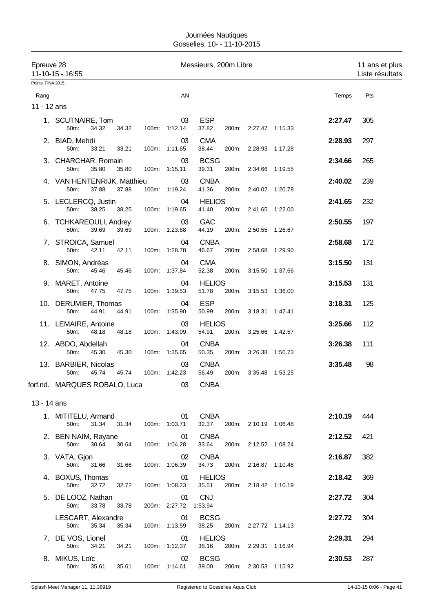|                   | Epreuve 28<br>Messieurs, 200m Libre<br>11-10-15 - 16:55 |       |                             |                              |                       |                    | 11 ans et plus<br>Liste résultats |
|-------------------|---------------------------------------------------------|-------|-----------------------------|------------------------------|-----------------------|--------------------|-----------------------------------|
| Points: FINA 2015 |                                                         |       |                             |                              |                       |                    |                                   |
| Rang              |                                                         |       | AN                          |                              |                       | Temps              | Pts                               |
| 11 - 12 ans       |                                                         |       |                             |                              |                       |                    |                                   |
|                   | 1. SCUTNAIRE, Tom<br>34.32<br>34.32<br>50m:             |       | 03<br>100m: 1:12.14         | <b>ESP</b><br>37.82          | 200m: 2:27.47 1:15.33 | 2:27.47            | 305                               |
|                   | 2. BIAD, Mehdi<br>50m:<br>33.21<br>33.21                |       | 03<br>100m: 1:11.65         | <b>CMA</b><br>38.44          | 200m: 2:28.93 1:17.28 | 2:28.93            | 297                               |
|                   | 3. CHARCHAR, Romain<br>50m:<br>35.80<br>35.80           |       | 03<br>100m: 1:15.11         | <b>BCSG</b><br>39.31         | 200m: 2:34.66 1:19.55 | 2:34.66            | 265                               |
|                   | 4. VAN HENTENRIJK, Matthieu<br>37.88<br>37.88<br>50m:   |       | 03<br>100m: 1:19.24         | <b>CNBA</b><br>41.36         | 200m: 2:40.02 1:20.78 | 2:40.02            | 239                               |
|                   | 5. LECLERCQ, Justin<br>50m:<br>38.25<br>38.25           |       | 04<br>100m: 1:19.65         | <b>HELIOS</b><br>41.40       | 200m: 2:41.65 1:22.00 | 2:41.65            | 232                               |
|                   | 6. TCHKAREOULI, Andrey<br>50m:<br>39.69<br>39.69        |       | 03<br>100m: 1:23.88         | <b>GAC</b><br>44.19          | 200m: 2:50.55 1:26.67 | 2:50.55            | 197                               |
|                   | 7. STROICA, Samuel<br>50m:<br>42.11<br>42.11            |       | 04<br>100m: 1:28.78         | <b>CNBA</b><br>46.67         | 200m: 2:58.68 1:29.90 | 2:58.68            | 172                               |
|                   | 8. SIMON, Andréas<br>50m:<br>45.46<br>45.46             |       | 04<br>100m: 1:37.84         | <b>CMA</b><br>52.38          | 200m: 3:15.50 1:37.66 | 3:15.50            | 131                               |
|                   | 9. MARET, Antoine<br>50m:<br>47.75<br>47.75             |       | 04<br>100m: 1:39.53         | <b>HELIOS</b><br>51.78       | 200m: 3:15.53 1:36.00 | 3:15.53            | 131                               |
|                   | 10. DERUMIER, Thomas<br>44.91<br>50m:<br>44.91          |       | 04<br>100m: 1:35.90         | <b>ESP</b><br>50.99<br>200m: | 3:18.31               | 3:18.31<br>1:42.41 | 125                               |
|                   | 11. LEMAIRE, Antoine<br>50m:<br>48.18<br>48.18          |       | 03<br>100m: 1:43.09         | <b>HELIOS</b><br>54.91       | 200m: 3:25.66 1:42.57 | 3:25.66            | 112                               |
|                   | 12. ABDO, Abdellah<br>50m:<br>45.30<br>45.30            |       | 04<br>100m: 1:35.65         | <b>CNBA</b><br>50.35         | 200m: 3:26.38 1:50.73 | 3:26.38            | 111                               |
|                   | 13. BARBIER, Nicolas<br>45.74<br>45.74<br>50m:          |       | 03<br>100m: 1:42.23         | <b>CNBA</b><br>56.49         | 200m: 3:35.48 1:53.25 | 3:35.48            | 98                                |
|                   | forf.nd. MARQUES ROBALO, Luca                           |       |                             | 03 CNBA                      |                       |                    |                                   |
| 13 - 14 ans       |                                                         |       |                             |                              |                       |                    |                                   |
|                   | 1. MITITELU, Armand<br>31.34<br>50m:                    | 31.34 | 01<br>100m: 1:03.71         | <b>CNBA</b><br>32.37         | 200m: 2:10.19 1:06.48 | 2:10.19            | 444                               |
|                   | 2. BEN NAIM, Rayane<br>50m:<br>30.64                    | 30.64 | 01<br>100m: 1:04.28         | <b>CNBA</b><br>33.64         | 200m: 2:12.52 1:08.24 | 2:12.52            | 421                               |
|                   | 3. VATA, Gjon<br>50m:<br>31.66<br>31.66                 |       | 02<br>100m: 1:06.39         | <b>CNBA</b><br>34.73         | 200m: 2:16.87 1:10.48 | 2:16.87            | 382                               |
|                   | 4. BOXUS, Thomas<br>50m:<br>32.72<br>32.72              |       | 01<br>100m: 1:08.23         | <b>HELIOS</b><br>35.51       | 200m: 2:18.42 1:10.19 | 2:18.42            | 369                               |
|                   | 5. DE LOOZ, Nathan<br>33.78<br>50m:<br>33.78            |       | 01<br>200m: 2:27.72 1:53.94 | <b>CNJ</b>                   |                       | 2:27.72            | 304                               |
|                   | LESCART, Alexandre<br>50m:<br>35.34<br>35.34            |       | 01<br>100m: 1:13.59         | <b>BCSG</b><br>38.25         | 200m: 2:27.72 1:14.13 | 2:27.72            | 304                               |
|                   | 7. DE VOS, Lionel<br>50m:<br>34.21<br>34.21             |       | 01<br>100m: 1:12.37         | <b>HELIOS</b><br>38.16       | 200m: 2:29.31 1:16.94 | 2:29.31            | 294                               |
|                   | 8. MIKUS, Loïc<br>50m:<br>35.61<br>35.61                |       | 02<br>100m: 1:14.61         | <b>BCSG</b><br>39.00         | 200m: 2:30.53 1:15.92 | 2:30.53            | 287                               |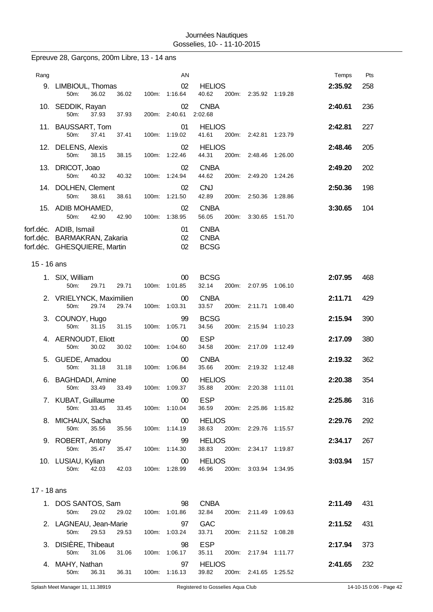|  |  | Epreuve 28, Garçons, 200m Libre, 13 - 14 ans |  |  |  |  |
|--|--|----------------------------------------------|--|--|--|--|
|--|--|----------------------------------------------|--|--|--|--|

| Rang        |                                                                                                                  |       | AN                      |                                                    |                       |         | Temps   | Pts |
|-------------|------------------------------------------------------------------------------------------------------------------|-------|-------------------------|----------------------------------------------------|-----------------------|---------|---------|-----|
|             | 9. LIMBIOUL, Thomas<br>36.02<br>36.02<br>50m:                                                                    |       | 02<br>100m: 1:16.64     | <b>HELIOS</b><br>40.62                             | 200m: 2:35.92 1:19.28 |         | 2:35.92 | 258 |
|             | 10. SEDDIK, Rayan<br>37.93<br>50m:<br>37.93                                                                      |       | 02<br>200m: 2:40.61     | <b>CNBA</b><br>2:02.68                             |                       |         | 2:40.61 | 236 |
|             | 11. BAUSSART, Tom<br>50m:<br>37.41<br>37.41                                                                      |       | 01<br>100m: 1:19.02     | <b>HELIOS</b><br>41.61                             | 200m: 2:42.81 1:23.79 |         | 2:42.81 | 227 |
|             | 12. DELENS, Alexis<br>50m:<br>38.15<br>38.15                                                                     |       | 02<br>100m: 1:22.46     | <b>HELIOS</b><br>44.31<br>200m:                    | 2:48.46               | 1:26.00 | 2:48.46 | 205 |
|             | 13. DRICOT, Joao<br>50m:<br>40.32<br>40.32                                                                       |       | 02<br>100m: 1:24.94     | <b>CNBA</b><br>44.62                               | 200m: 2:49.20         | 1:24.26 | 2:49.20 | 202 |
|             | 14. DOLHEN, Clement<br>50m:<br>38.61<br>38.61                                                                    | 100m: | 02<br>1:21.50           | <b>CNJ</b><br>42.89<br>200m:                       | 2:50.36               | 1:28.86 | 2:50.36 | 198 |
|             | 15. ADIB MOHAMED,                                                                                                |       | 02<br>1:38.95           | <b>CNBA</b><br>56.05                               |                       |         | 3:30.65 | 104 |
|             | 50m:<br>42.90<br>42.90<br>forf.déc. ADIB, Ismail<br>forf.déc. BARMAKRAN, Zakaria<br>forf.déc. GHESQUIERE, Martin | 100m: | 01<br>02<br>02          | 200m:<br><b>CNBA</b><br><b>CNBA</b><br><b>BCSG</b> | 3:30.65               | 1:51.70 |         |     |
| 15 - 16 ans |                                                                                                                  |       |                         |                                                    |                       |         |         |     |
|             | 1. SIX, William<br>50m:<br>29.71<br>29.71                                                                        | 100m: | $00\,$<br>1:01.85       | <b>BCSG</b><br>32.14<br>200m:                      | 2:07.95               | 1:06.10 | 2:07.95 | 468 |
|             | 2. VRIELYNCK, Maximilien<br>50m:<br>29.74<br>29.74                                                               | 100m: | $00\,$<br>1:03.31       | <b>CNBA</b><br>33.57<br>200m:                      | 2:11.71               | 1:08.40 | 2:11.71 | 429 |
|             | 3. COUNOY, Hugo<br>31.15<br>50m:<br>31.15                                                                        |       | 99<br>100m: 1:05.71     | <b>BCSG</b><br>34.56                               | 200m: 2:15.94         | 1:10.23 | 2:15.94 | 390 |
|             | 4. AERNOUDT, Eliott<br>30.02<br>50m:<br>30.02                                                                    | 100m: | $00\,$<br>1:04.60       | <b>ESP</b><br>34.58                                | 200m: 2:17.09         | 1:12.49 | 2:17.09 | 380 |
| 5.          | GUEDE, Amadou<br>50m:<br>31.18<br>31.18                                                                          | 100m: | $00\,$<br>1:06.84       | <b>CNBA</b><br>35.66<br>200m:                      | 2:19.32 1:12.48       |         | 2:19.32 | 362 |
| 6.          | <b>BAGHDADI</b> , Amine<br>33.49<br>33.49<br>50m:                                                                |       | $00\,$<br>100m: 1:09.37 | <b>HELIOS</b><br>35.88                             | 200m: 2:20.38 1:11.01 |         | 2:20.38 | 354 |
|             | 7. KUBAT, Guillaume<br>50m:<br>33.45<br>33.45                                                                    |       | $00\,$<br>100m: 1:10.04 | <b>ESP</b><br>36.59                                | 200m: 2:25.86 1:15.82 |         | 2:25.86 | 316 |
|             | 8. MICHAUX, Sacha<br>50m:<br>35.56<br>35.56                                                                      |       | $00\,$<br>100m: 1:14.19 | <b>HELIOS</b><br>38.63                             | 200m: 2:29.76 1:15.57 |         | 2:29.76 | 292 |
|             | 9. ROBERT, Antony<br>50m:<br>35.47<br>35.47                                                                      |       | 99<br>100m: 1:14.30     | <b>HELIOS</b><br>38.83                             | 200m: 2:34.17 1:19.87 |         | 2:34.17 | 267 |
|             | 10. LUSIAU, Kylian<br>50m:<br>42.03<br>42.03                                                                     |       | $00\,$<br>100m: 1:28.99 | <b>HELIOS</b><br>46.96                             | 200m: 3:03.94 1:34.95 |         | 3:03.94 | 157 |
| 17 - 18 ans |                                                                                                                  |       |                         |                                                    |                       |         |         |     |
|             | 1. DOS SANTOS, Sam<br>29.02<br>50m:<br>29.02                                                                     |       | 98<br>100m: 1:01.86     | <b>CNBA</b><br>32.84                               | 200m: 2:11.49 1:09.63 |         | 2:11.49 | 431 |
|             | 2. LAGNEAU, Jean-Marie<br>29.53<br>29.53<br>50m:                                                                 |       | 97<br>100m: 1:03.24     | <b>GAC</b><br>33.71                                | 200m: 2:11.52 1:08.28 |         | 2:11.52 | 431 |
|             | 3. DISIÈRE, Thibeaut<br>50m:<br>31.06<br>31.06                                                                   |       | 98<br>100m: 1:06.17     | <b>ESP</b><br>35.11                                | 200m: 2:17.94 1:11.77 |         | 2:17.94 | 373 |
|             | 4. MAHY, Nathan<br>50m:<br>36.31<br>36.31                                                                        |       | 97<br>100m: 1:16.13     | <b>HELIOS</b><br>39.82                             | 200m: 2:41.65 1:25.52 |         | 2:41.65 | 232 |